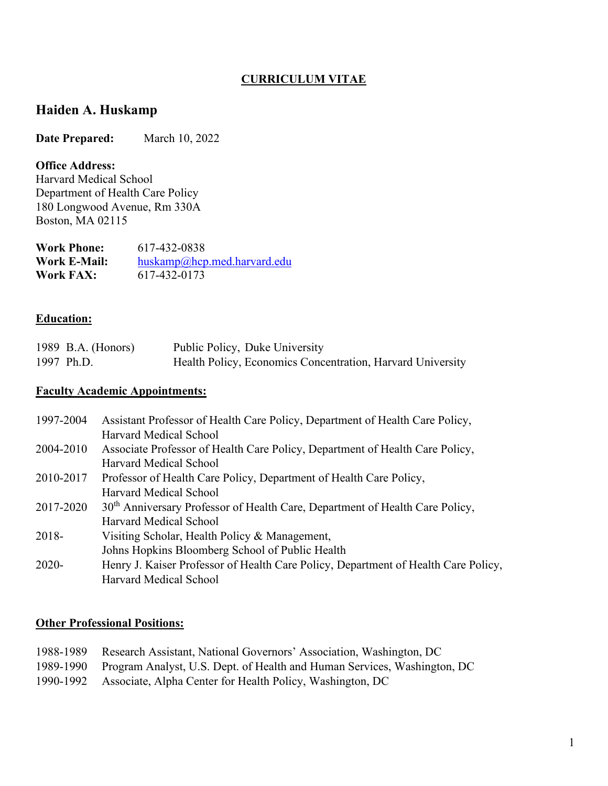### **CURRICULUM VITAE**

## **Haiden A. Huskamp**

**Date Prepared:** March 10, 2022

#### **Office Address:**

Harvard Medical School Department of Health Care Policy 180 Longwood Avenue, Rm 330A Boston, MA 02115

| <b>Work Phone:</b>  | 617-432-0838                   |
|---------------------|--------------------------------|
| <b>Work E-Mail:</b> | $huskamp@hep$ .med.harvard.edu |
| Work FAX:           | 617-432-0173                   |

### **Education:**

| 1989 B.A. (Honors) | Public Policy, Duke University                             |
|--------------------|------------------------------------------------------------|
| 1997 Ph.D.         | Health Policy, Economics Concentration, Harvard University |

### **Faculty Academic Appointments:**

| 1997-2004 | Assistant Professor of Health Care Policy, Department of Health Care Policy,             |
|-----------|------------------------------------------------------------------------------------------|
|           | Harvard Medical School                                                                   |
| 2004-2010 | Associate Professor of Health Care Policy, Department of Health Care Policy,             |
|           | Harvard Medical School                                                                   |
| 2010-2017 | Professor of Health Care Policy, Department of Health Care Policy,                       |
|           | Harvard Medical School                                                                   |
| 2017-2020 | 30 <sup>th</sup> Anniversary Professor of Health Care, Department of Health Care Policy, |
|           | <b>Harvard Medical School</b>                                                            |
| 2018-     | Visiting Scholar, Health Policy & Management,                                            |
|           | Johns Hopkins Bloomberg School of Public Health                                          |
| $2020 -$  | Henry J. Kaiser Professor of Health Care Policy, Department of Health Care Policy,       |
|           | Harvard Medical School                                                                   |

#### **Other Professional Positions:**

| 1988-1989 Research Assistant, National Governors' Association, Washington, DC      |
|------------------------------------------------------------------------------------|
| 1989-1990 Program Analyst, U.S. Dept. of Health and Human Services, Washington, DC |
| 1990-1992 Associate, Alpha Center for Health Policy, Washington, DC                |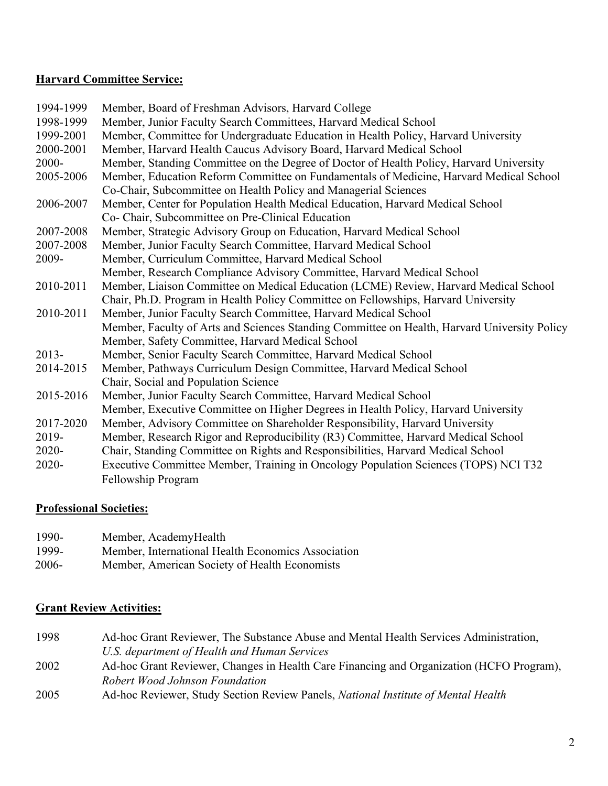#### **Harvard Committee Service:**

| 1994-1999 | Member, Board of Freshman Advisors, Harvard College                                          |
|-----------|----------------------------------------------------------------------------------------------|
| 1998-1999 | Member, Junior Faculty Search Committees, Harvard Medical School                             |
| 1999-2001 | Member, Committee for Undergraduate Education in Health Policy, Harvard University           |
| 2000-2001 | Member, Harvard Health Caucus Advisory Board, Harvard Medical School                         |
| 2000-     | Member, Standing Committee on the Degree of Doctor of Health Policy, Harvard University      |
| 2005-2006 | Member, Education Reform Committee on Fundamentals of Medicine, Harvard Medical School       |
|           | Co-Chair, Subcommittee on Health Policy and Managerial Sciences                              |
| 2006-2007 | Member, Center for Population Health Medical Education, Harvard Medical School               |
|           | Co- Chair, Subcommittee on Pre-Clinical Education                                            |
| 2007-2008 | Member, Strategic Advisory Group on Education, Harvard Medical School                        |
| 2007-2008 | Member, Junior Faculty Search Committee, Harvard Medical School                              |
| 2009-     | Member, Curriculum Committee, Harvard Medical School                                         |
|           | Member, Research Compliance Advisory Committee, Harvard Medical School                       |
| 2010-2011 | Member, Liaison Committee on Medical Education (LCME) Review, Harvard Medical School         |
|           | Chair, Ph.D. Program in Health Policy Committee on Fellowships, Harvard University           |
| 2010-2011 | Member, Junior Faculty Search Committee, Harvard Medical School                              |
|           | Member, Faculty of Arts and Sciences Standing Committee on Health, Harvard University Policy |
|           | Member, Safety Committee, Harvard Medical School                                             |
| $2013-$   | Member, Senior Faculty Search Committee, Harvard Medical School                              |
| 2014-2015 | Member, Pathways Curriculum Design Committee, Harvard Medical School                         |
|           | Chair, Social and Population Science                                                         |
| 2015-2016 | Member, Junior Faculty Search Committee, Harvard Medical School                              |
|           | Member, Executive Committee on Higher Degrees in Health Policy, Harvard University           |
| 2017-2020 | Member, Advisory Committee on Shareholder Responsibility, Harvard University                 |
| 2019-     | Member, Research Rigor and Reproducibility (R3) Committee, Harvard Medical School            |
| $2020 -$  | Chair, Standing Committee on Rights and Responsibilities, Harvard Medical School             |
| 2020-     | Executive Committee Member, Training in Oncology Population Sciences (TOPS) NCI T32          |
|           | Fellowship Program                                                                           |

#### **Professional Societies:**

| 1990-    | Member, AcademyHealth                              |
|----------|----------------------------------------------------|
| 1999-    | Member, International Health Economics Association |
| $2006 -$ | Member, American Society of Health Economists      |

## **Grant Review Activities:**

- 1998 Ad-hoc Grant Reviewer, The Substance Abuse and Mental Health Services Administration, *U.S. department of Health and Human Services*
- 2002 Ad-hoc Grant Reviewer, Changes in Health Care Financing and Organization (HCFO Program), *Robert Wood Johnson Foundation*
- 2005 Ad-hoc Reviewer, Study Section Review Panels, *National Institute of Mental Health*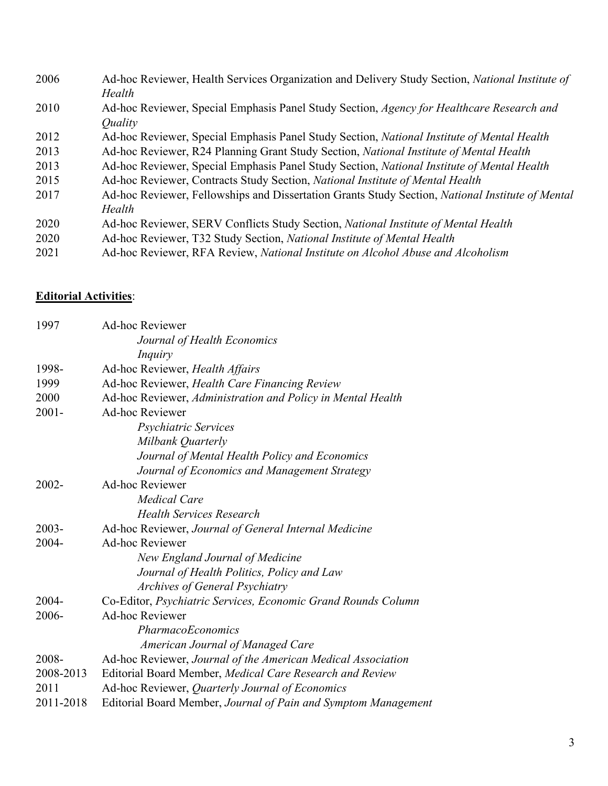| 2006 | Ad-hoc Reviewer, Health Services Organization and Delivery Study Section, <i>National Institute of</i>  |
|------|---------------------------------------------------------------------------------------------------------|
|      | Health                                                                                                  |
| 2010 | Ad-hoc Reviewer, Special Emphasis Panel Study Section, Agency for Healthcare Research and               |
|      | <i><u>Ouality</u></i>                                                                                   |
| 2012 | Ad-hoc Reviewer, Special Emphasis Panel Study Section, National Institute of Mental Health              |
| 2013 | Ad-hoc Reviewer, R24 Planning Grant Study Section, National Institute of Mental Health                  |
| 2013 | Ad-hoc Reviewer, Special Emphasis Panel Study Section, <i>National Institute of Mental Health</i>       |
| 2015 | Ad-hoc Reviewer, Contracts Study Section, National Institute of Mental Health                           |
| 2017 | Ad-hoc Reviewer, Fellowships and Dissertation Grants Study Section, <i>National Institute of Mental</i> |
|      | Health                                                                                                  |
| 2020 | Ad-hoc Reviewer, SERV Conflicts Study Section, National Institute of Mental Health                      |
| 2020 | Ad-hoc Reviewer, T32 Study Section, National Institute of Mental Health                                 |
| 2021 | Ad-hoc Reviewer, RFA Review, National Institute on Alcohol Abuse and Alcoholism                         |
|      |                                                                                                         |

## **Editorial Activities**:

| 1997      | <b>Ad-hoc Reviewer</b>                                         |
|-----------|----------------------------------------------------------------|
|           | Journal of Health Economics                                    |
|           | Inquiry                                                        |
| 1998-     | Ad-hoc Reviewer, Health Affairs                                |
| 1999      | Ad-hoc Reviewer, Health Care Financing Review                  |
| 2000      | Ad-hoc Reviewer, Administration and Policy in Mental Health    |
| $2001 -$  | <b>Ad-hoc Reviewer</b>                                         |
|           | Psychiatric Services                                           |
|           | Milbank Quarterly                                              |
|           | Journal of Mental Health Policy and Economics                  |
|           | Journal of Economics and Management Strategy                   |
| $2002 -$  | <b>Ad-hoc Reviewer</b>                                         |
|           | <b>Medical Care</b>                                            |
|           | <b>Health Services Research</b>                                |
| $2003 -$  | Ad-hoc Reviewer, Journal of General Internal Medicine          |
| 2004-     | <b>Ad-hoc Reviewer</b>                                         |
|           | New England Journal of Medicine                                |
|           | Journal of Health Politics, Policy and Law                     |
|           | Archives of General Psychiatry                                 |
| $2004 -$  | Co-Editor, Psychiatric Services, Economic Grand Rounds Column  |
| 2006-     | <b>Ad-hoc Reviewer</b>                                         |
|           | <i>PharmacoEconomics</i>                                       |
|           | American Journal of Managed Care                               |
| 2008-     | Ad-hoc Reviewer, Journal of the American Medical Association   |
| 2008-2013 | Editorial Board Member, Medical Care Research and Review       |
| 2011      | Ad-hoc Reviewer, Quarterly Journal of Economics                |
| 2011-2018 | Editorial Board Member, Journal of Pain and Symptom Management |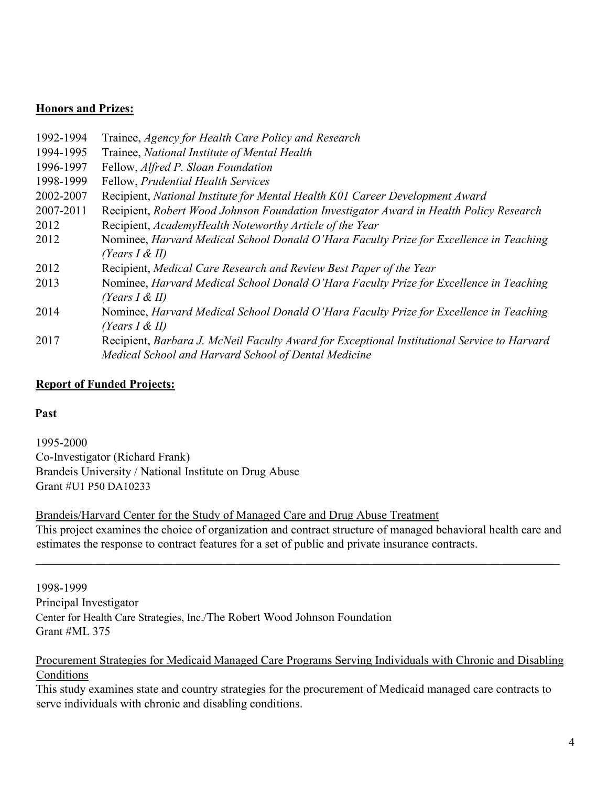#### **Honors and Prizes:**

| 1992-1994 | Trainee, Agency for Health Care Policy and Research                                         |
|-----------|---------------------------------------------------------------------------------------------|
| 1994-1995 | Trainee, National Institute of Mental Health                                                |
| 1996-1997 | Fellow, Alfred P. Sloan Foundation                                                          |
| 1998-1999 | Fellow, Prudential Health Services                                                          |
| 2002-2007 | Recipient, National Institute for Mental Health K01 Career Development Award                |
| 2007-2011 | Recipient, Robert Wood Johnson Foundation Investigator Award in Health Policy Research      |
| 2012      | Recipient, AcademyHealth Noteworthy Article of the Year                                     |
| 2012      | Nominee, Harvard Medical School Donald O'Hara Faculty Prize for Excellence in Teaching      |
|           | (Years $I \& II$ )                                                                          |
| 2012      | Recipient, Medical Care Research and Review Best Paper of the Year                          |
| 2013      | Nominee, Harvard Medical School Donald O'Hara Faculty Prize for Excellence in Teaching      |
|           | (Years $I \& II$ )                                                                          |
| 2014      | Nominee, Harvard Medical School Donald O'Hara Faculty Prize for Excellence in Teaching      |
|           | (Years $I \& II$ )                                                                          |
| 2017      | Recipient, Barbara J. McNeil Faculty Award for Exceptional Institutional Service to Harvard |
|           | Medical School and Harvard School of Dental Medicine                                        |

#### **Report of Funded Projects:**

#### **Past**

1995-2000 Co-Investigator (Richard Frank) Brandeis University / National Institute on Drug Abuse Grant #U1 P50 DA10233

Brandeis/Harvard Center for the Study of Managed Care and Drug Abuse Treatment This project examines the choice of organization and contract structure of managed behavioral health care and estimates the response to contract features for a set of public and private insurance contracts.

1998-1999 Principal Investigator Center for Health Care Strategies, Inc./The Robert Wood Johnson Foundation Grant #ML 375

#### Procurement Strategies for Medicaid Managed Care Programs Serving Individuals with Chronic and Disabling Conditions

This study examines state and country strategies for the procurement of Medicaid managed care contracts to serve individuals with chronic and disabling conditions.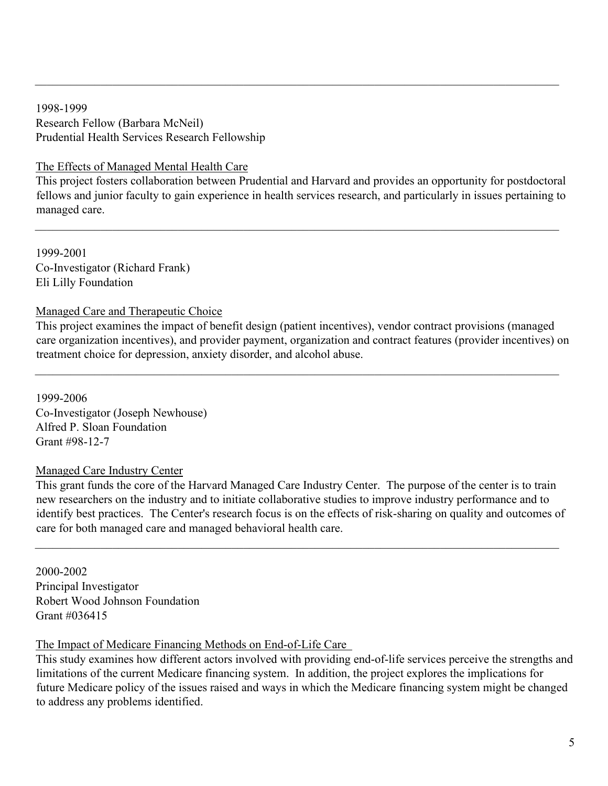1998-1999 Research Fellow (Barbara McNeil) Prudential Health Services Research Fellowship

### The Effects of Managed Mental Health Care

This project fosters collaboration between Prudential and Harvard and provides an opportunity for postdoctoral fellows and junior faculty to gain experience in health services research, and particularly in issues pertaining to managed care.

 $\mathcal{L}_\mathcal{L} = \{ \mathcal{L}_\mathcal{L} = \{ \mathcal{L}_\mathcal{L} = \{ \mathcal{L}_\mathcal{L} = \{ \mathcal{L}_\mathcal{L} = \{ \mathcal{L}_\mathcal{L} = \{ \mathcal{L}_\mathcal{L} = \{ \mathcal{L}_\mathcal{L} = \{ \mathcal{L}_\mathcal{L} = \{ \mathcal{L}_\mathcal{L} = \{ \mathcal{L}_\mathcal{L} = \{ \mathcal{L}_\mathcal{L} = \{ \mathcal{L}_\mathcal{L} = \{ \mathcal{L}_\mathcal{L} = \{ \mathcal{L}_\mathcal{$ 

1999-2001 Co-Investigator (Richard Frank) Eli Lilly Foundation

### Managed Care and Therapeutic Choice

This project examines the impact of benefit design (patient incentives), vendor contract provisions (managed care organization incentives), and provider payment, organization and contract features (provider incentives) on treatment choice for depression, anxiety disorder, and alcohol abuse.

 $\mathcal{L}_\mathcal{L} = \{ \mathcal{L}_\mathcal{L} = \{ \mathcal{L}_\mathcal{L} = \{ \mathcal{L}_\mathcal{L} = \{ \mathcal{L}_\mathcal{L} = \{ \mathcal{L}_\mathcal{L} = \{ \mathcal{L}_\mathcal{L} = \{ \mathcal{L}_\mathcal{L} = \{ \mathcal{L}_\mathcal{L} = \{ \mathcal{L}_\mathcal{L} = \{ \mathcal{L}_\mathcal{L} = \{ \mathcal{L}_\mathcal{L} = \{ \mathcal{L}_\mathcal{L} = \{ \mathcal{L}_\mathcal{L} = \{ \mathcal{L}_\mathcal{$ 

1999-2006 Co-Investigator (Joseph Newhouse) Alfred P. Sloan Foundation Grant #98-12-7

## Managed Care Industry Center

This grant funds the core of the Harvard Managed Care Industry Center. The purpose of the center is to train new researchers on the industry and to initiate collaborative studies to improve industry performance and to identify best practices. The Center's research focus is on the effects of risk-sharing on quality and outcomes of care for both managed care and managed behavioral health care.

 $\mathcal{L}_\mathcal{L} = \{ \mathcal{L}_\mathcal{L} = \{ \mathcal{L}_\mathcal{L} = \{ \mathcal{L}_\mathcal{L} = \{ \mathcal{L}_\mathcal{L} = \{ \mathcal{L}_\mathcal{L} = \{ \mathcal{L}_\mathcal{L} = \{ \mathcal{L}_\mathcal{L} = \{ \mathcal{L}_\mathcal{L} = \{ \mathcal{L}_\mathcal{L} = \{ \mathcal{L}_\mathcal{L} = \{ \mathcal{L}_\mathcal{L} = \{ \mathcal{L}_\mathcal{L} = \{ \mathcal{L}_\mathcal{L} = \{ \mathcal{L}_\mathcal{$ 

2000-2002 Principal Investigator Robert Wood Johnson Foundation Grant #036415

The Impact of Medicare Financing Methods on End-of-Life Care

This study examines how different actors involved with providing end-of-life services perceive the strengths and limitations of the current Medicare financing system. In addition, the project explores the implications for future Medicare policy of the issues raised and ways in which the Medicare financing system might be changed to address any problems identified.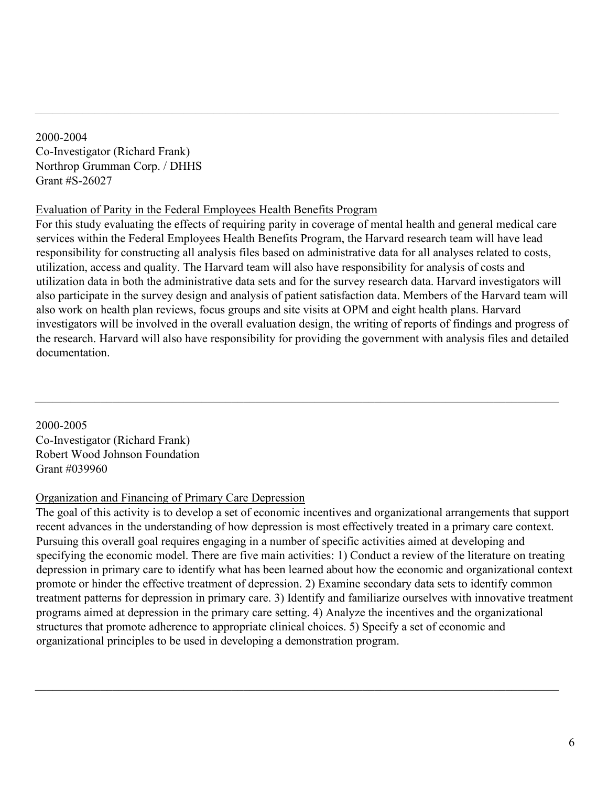2000-2004 Co-Investigator (Richard Frank) Northrop Grumman Corp. / DHHS Grant #S-26027

#### Evaluation of Parity in the Federal Employees Health Benefits Program

For this study evaluating the effects of requiring parity in coverage of mental health and general medical care services within the Federal Employees Health Benefits Program, the Harvard research team will have lead responsibility for constructing all analysis files based on administrative data for all analyses related to costs, utilization, access and quality. The Harvard team will also have responsibility for analysis of costs and utilization data in both the administrative data sets and for the survey research data. Harvard investigators will also participate in the survey design and analysis of patient satisfaction data. Members of the Harvard team will also work on health plan reviews, focus groups and site visits at OPM and eight health plans. Harvard investigators will be involved in the overall evaluation design, the writing of reports of findings and progress of the research. Harvard will also have responsibility for providing the government with analysis files and detailed documentation.

 $\mathcal{L}_\mathcal{L} = \{ \mathcal{L}_\mathcal{L} = \{ \mathcal{L}_\mathcal{L} = \{ \mathcal{L}_\mathcal{L} = \{ \mathcal{L}_\mathcal{L} = \{ \mathcal{L}_\mathcal{L} = \{ \mathcal{L}_\mathcal{L} = \{ \mathcal{L}_\mathcal{L} = \{ \mathcal{L}_\mathcal{L} = \{ \mathcal{L}_\mathcal{L} = \{ \mathcal{L}_\mathcal{L} = \{ \mathcal{L}_\mathcal{L} = \{ \mathcal{L}_\mathcal{L} = \{ \mathcal{L}_\mathcal{L} = \{ \mathcal{L}_\mathcal{$ 

2000-2005 Co-Investigator (Richard Frank) Robert Wood Johnson Foundation Grant #039960

#### Organization and Financing of Primary Care Depression

The goal of this activity is to develop a set of economic incentives and organizational arrangements that support recent advances in the understanding of how depression is most effectively treated in a primary care context. Pursuing this overall goal requires engaging in a number of specific activities aimed at developing and specifying the economic model. There are five main activities: 1) Conduct a review of the literature on treating depression in primary care to identify what has been learned about how the economic and organizational context promote or hinder the effective treatment of depression. 2) Examine secondary data sets to identify common treatment patterns for depression in primary care. 3) Identify and familiarize ourselves with innovative treatment programs aimed at depression in the primary care setting. 4) Analyze the incentives and the organizational structures that promote adherence to appropriate clinical choices. 5) Specify a set of economic and organizational principles to be used in developing a demonstration program.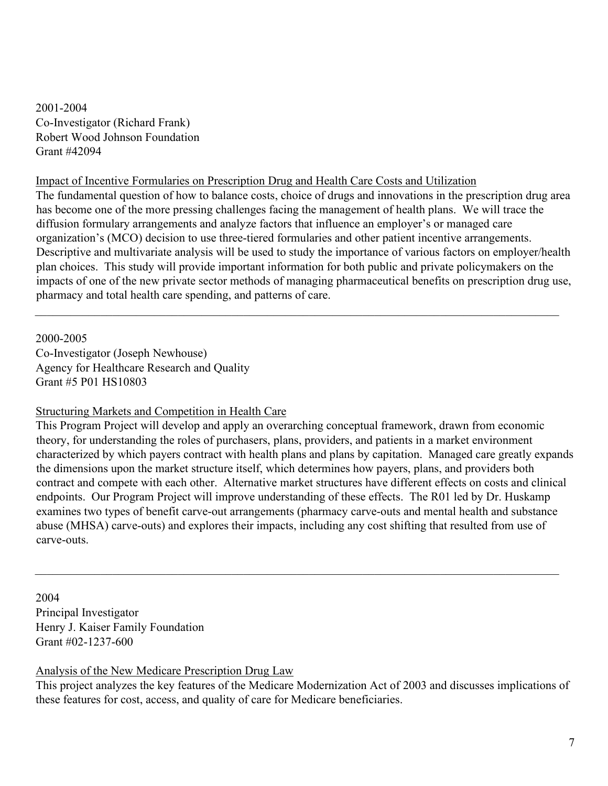2001-2004 Co-Investigator (Richard Frank) Robert Wood Johnson Foundation Grant #42094

#### Impact of Incentive Formularies on Prescription Drug and Health Care Costs and Utilization

The fundamental question of how to balance costs, choice of drugs and innovations in the prescription drug area has become one of the more pressing challenges facing the management of health plans. We will trace the diffusion formulary arrangements and analyze factors that influence an employer's or managed care organization's (MCO) decision to use three-tiered formularies and other patient incentive arrangements. Descriptive and multivariate analysis will be used to study the importance of various factors on employer/health plan choices. This study will provide important information for both public and private policymakers on the impacts of one of the new private sector methods of managing pharmaceutical benefits on prescription drug use, pharmacy and total health care spending, and patterns of care.

 $\mathcal{L}_\mathcal{L} = \{ \mathcal{L}_\mathcal{L} = \{ \mathcal{L}_\mathcal{L} = \{ \mathcal{L}_\mathcal{L} = \{ \mathcal{L}_\mathcal{L} = \{ \mathcal{L}_\mathcal{L} = \{ \mathcal{L}_\mathcal{L} = \{ \mathcal{L}_\mathcal{L} = \{ \mathcal{L}_\mathcal{L} = \{ \mathcal{L}_\mathcal{L} = \{ \mathcal{L}_\mathcal{L} = \{ \mathcal{L}_\mathcal{L} = \{ \mathcal{L}_\mathcal{L} = \{ \mathcal{L}_\mathcal{L} = \{ \mathcal{L}_\mathcal{$ 

2000-2005

Co-Investigator (Joseph Newhouse) Agency for Healthcare Research and Quality Grant #5 P01 HS10803

#### Structuring Markets and Competition in Health Care

This Program Project will develop and apply an overarching conceptual framework, drawn from economic theory, for understanding the roles of purchasers, plans, providers, and patients in a market environment characterized by which payers contract with health plans and plans by capitation. Managed care greatly expands the dimensions upon the market structure itself, which determines how payers, plans, and providers both contract and compete with each other. Alternative market structures have different effects on costs and clinical endpoints. Our Program Project will improve understanding of these effects. The R01 led by Dr. Huskamp examines two types of benefit carve-out arrangements (pharmacy carve-outs and mental health and substance abuse (MHSA) carve-outs) and explores their impacts, including any cost shifting that resulted from use of carve-outs.

 $\mathcal{L}_\mathcal{L} = \{ \mathcal{L}_\mathcal{L} = \{ \mathcal{L}_\mathcal{L} = \{ \mathcal{L}_\mathcal{L} = \{ \mathcal{L}_\mathcal{L} = \{ \mathcal{L}_\mathcal{L} = \{ \mathcal{L}_\mathcal{L} = \{ \mathcal{L}_\mathcal{L} = \{ \mathcal{L}_\mathcal{L} = \{ \mathcal{L}_\mathcal{L} = \{ \mathcal{L}_\mathcal{L} = \{ \mathcal{L}_\mathcal{L} = \{ \mathcal{L}_\mathcal{L} = \{ \mathcal{L}_\mathcal{L} = \{ \mathcal{L}_\mathcal{$ 

2004 Principal Investigator Henry J. Kaiser Family Foundation Grant #02-1237-600

## Analysis of the New Medicare Prescription Drug Law

This project analyzes the key features of the Medicare Modernization Act of 2003 and discusses implications of these features for cost, access, and quality of care for Medicare beneficiaries.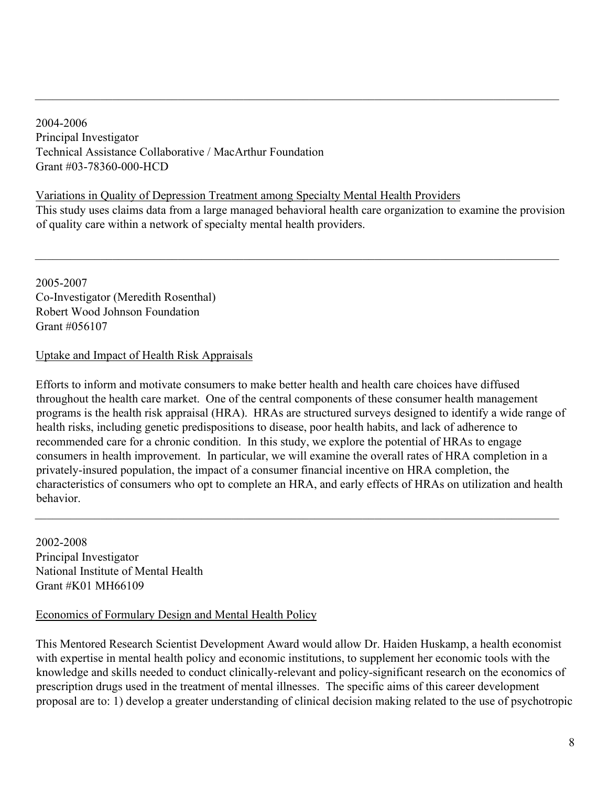2004-2006 Principal Investigator Technical Assistance Collaborative / MacArthur Foundation Grant #03-78360-000-HCD

Variations in Quality of Depression Treatment among Specialty Mental Health Providers This study uses claims data from a large managed behavioral health care organization to examine the provision of quality care within a network of specialty mental health providers.

\_\_\_\_\_\_\_\_\_\_\_\_\_\_\_\_\_\_\_\_\_\_\_\_\_\_\_\_\_\_\_\_\_\_\_\_\_\_\_\_\_\_\_\_\_\_\_\_\_\_\_\_\_\_\_\_\_\_\_\_\_\_\_\_\_\_\_\_\_\_\_\_\_\_\_\_\_\_\_\_\_\_\_\_\_\_\_\_

 $\mathcal{L}_\mathcal{L} = \{ \mathcal{L}_\mathcal{L} = \{ \mathcal{L}_\mathcal{L} = \{ \mathcal{L}_\mathcal{L} = \{ \mathcal{L}_\mathcal{L} = \{ \mathcal{L}_\mathcal{L} = \{ \mathcal{L}_\mathcal{L} = \{ \mathcal{L}_\mathcal{L} = \{ \mathcal{L}_\mathcal{L} = \{ \mathcal{L}_\mathcal{L} = \{ \mathcal{L}_\mathcal{L} = \{ \mathcal{L}_\mathcal{L} = \{ \mathcal{L}_\mathcal{L} = \{ \mathcal{L}_\mathcal{L} = \{ \mathcal{L}_\mathcal{$ 

2005-2007 Co-Investigator (Meredith Rosenthal) Robert Wood Johnson Foundation Grant #056107

## Uptake and Impact of Health Risk Appraisals

Efforts to inform and motivate consumers to make better health and health care choices have diffused throughout the health care market. One of the central components of these consumer health management programs is the health risk appraisal (HRA). HRAs are structured surveys designed to identify a wide range of health risks, including genetic predispositions to disease, poor health habits, and lack of adherence to recommended care for a chronic condition. In this study, we explore the potential of HRAs to engage consumers in health improvement. In particular, we will examine the overall rates of HRA completion in a privately-insured population, the impact of a consumer financial incentive on HRA completion, the characteristics of consumers who opt to complete an HRA, and early effects of HRAs on utilization and health behavior.

2002-2008 Principal Investigator National Institute of Mental Health Grant #K01 MH66109

## Economics of Formulary Design and Mental Health Policy

This Mentored Research Scientist Development Award would allow Dr. Haiden Huskamp, a health economist with expertise in mental health policy and economic institutions, to supplement her economic tools with the knowledge and skills needed to conduct clinically-relevant and policy-significant research on the economics of prescription drugs used in the treatment of mental illnesses. The specific aims of this career development proposal are to: 1) develop a greater understanding of clinical decision making related to the use of psychotropic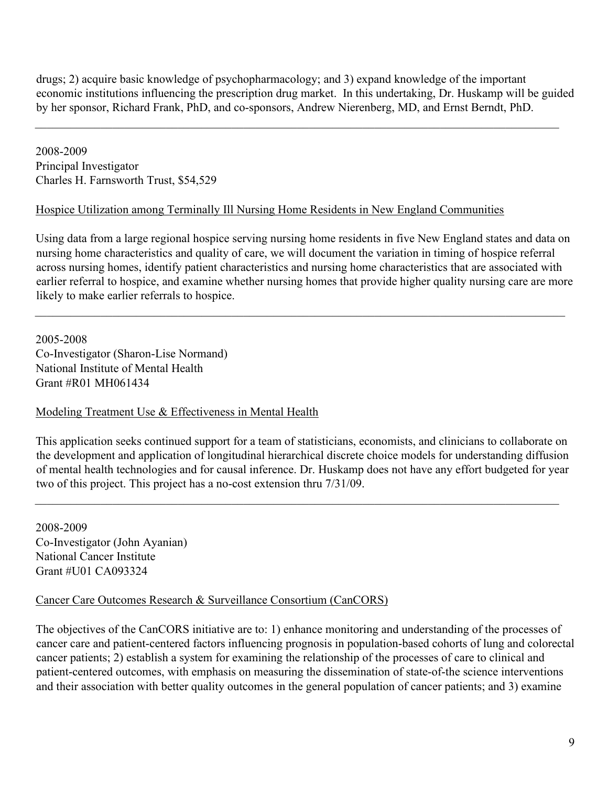drugs; 2) acquire basic knowledge of psychopharmacology; and 3) expand knowledge of the important economic institutions influencing the prescription drug market. In this undertaking, Dr. Huskamp will be guided by her sponsor, Richard Frank, PhD, and co-sponsors, Andrew Nierenberg, MD, and Ernst Berndt, PhD.

 $\mathcal{L}_\mathcal{L} = \{ \mathcal{L}_\mathcal{L} = \{ \mathcal{L}_\mathcal{L} = \{ \mathcal{L}_\mathcal{L} = \{ \mathcal{L}_\mathcal{L} = \{ \mathcal{L}_\mathcal{L} = \{ \mathcal{L}_\mathcal{L} = \{ \mathcal{L}_\mathcal{L} = \{ \mathcal{L}_\mathcal{L} = \{ \mathcal{L}_\mathcal{L} = \{ \mathcal{L}_\mathcal{L} = \{ \mathcal{L}_\mathcal{L} = \{ \mathcal{L}_\mathcal{L} = \{ \mathcal{L}_\mathcal{L} = \{ \mathcal{L}_\mathcal{$ 

2008-2009 Principal Investigator Charles H. Farnsworth Trust, \$54,529

### Hospice Utilization among Terminally Ill Nursing Home Residents in New England Communities

Using data from a large regional hospice serving nursing home residents in five New England states and data on nursing home characteristics and quality of care, we will document the variation in timing of hospice referral across nursing homes, identify patient characteristics and nursing home characteristics that are associated with earlier referral to hospice, and examine whether nursing homes that provide higher quality nursing care are more likely to make earlier referrals to hospice.

 $\mathcal{L}_\mathcal{L} = \{ \mathcal{L}_\mathcal{L} = \{ \mathcal{L}_\mathcal{L} = \{ \mathcal{L}_\mathcal{L} = \{ \mathcal{L}_\mathcal{L} = \{ \mathcal{L}_\mathcal{L} = \{ \mathcal{L}_\mathcal{L} = \{ \mathcal{L}_\mathcal{L} = \{ \mathcal{L}_\mathcal{L} = \{ \mathcal{L}_\mathcal{L} = \{ \mathcal{L}_\mathcal{L} = \{ \mathcal{L}_\mathcal{L} = \{ \mathcal{L}_\mathcal{L} = \{ \mathcal{L}_\mathcal{L} = \{ \mathcal{L}_\mathcal{$ 

2005-2008 Co-Investigator (Sharon-Lise Normand) National Institute of Mental Health Grant #R01 MH061434

## Modeling Treatment Use & Effectiveness in Mental Health

This application seeks continued support for a team of statisticians, economists, and clinicians to collaborate on the development and application of longitudinal hierarchical discrete choice models for understanding diffusion of mental health technologies and for causal inference. Dr. Huskamp does not have any effort budgeted for year two of this project. This project has a no-cost extension thru 7/31/09.

2008-2009 Co-Investigator (John Ayanian) National Cancer Institute Grant #U01 CA093324

#### Cancer Care Outcomes Research & Surveillance Consortium (CanCORS)

The objectives of the CanCORS initiative are to: 1) enhance monitoring and understanding of the processes of cancer care and patient-centered factors influencing prognosis in population-based cohorts of lung and colorectal cancer patients; 2) establish a system for examining the relationship of the processes of care to clinical and patient-centered outcomes, with emphasis on measuring the dissemination of state-of-the science interventions and their association with better quality outcomes in the general population of cancer patients; and 3) examine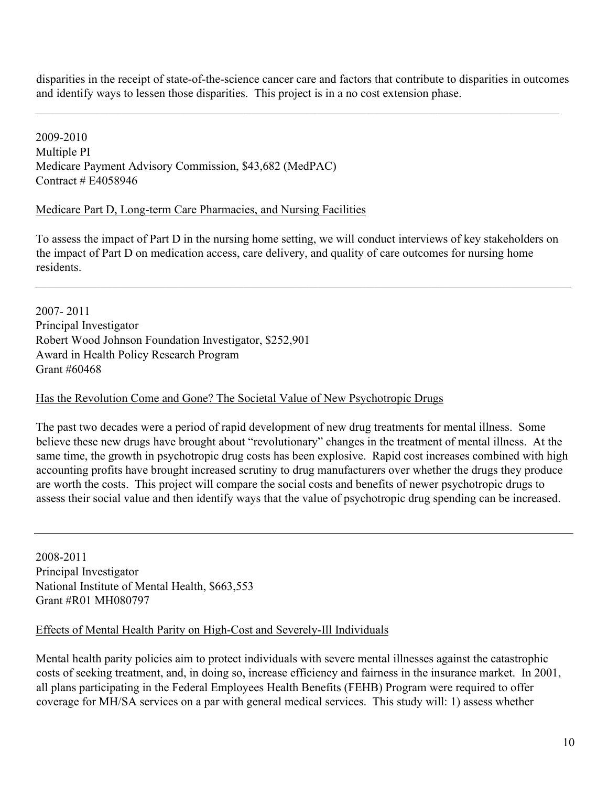disparities in the receipt of state-of-the-science cancer care and factors that contribute to disparities in outcomes and identify ways to lessen those disparities. This project is in a no cost extension phase.

 $\mathcal{L}_\mathcal{L} = \{ \mathcal{L}_\mathcal{L} = \{ \mathcal{L}_\mathcal{L} = \{ \mathcal{L}_\mathcal{L} = \{ \mathcal{L}_\mathcal{L} = \{ \mathcal{L}_\mathcal{L} = \{ \mathcal{L}_\mathcal{L} = \{ \mathcal{L}_\mathcal{L} = \{ \mathcal{L}_\mathcal{L} = \{ \mathcal{L}_\mathcal{L} = \{ \mathcal{L}_\mathcal{L} = \{ \mathcal{L}_\mathcal{L} = \{ \mathcal{L}_\mathcal{L} = \{ \mathcal{L}_\mathcal{L} = \{ \mathcal{L}_\mathcal{$ 

2009-2010 Multiple PI Medicare Payment Advisory Commission, \$43,682 (MedPAC) Contract # E4058946

#### Medicare Part D, Long-term Care Pharmacies, and Nursing Facilities

To assess the impact of Part D in the nursing home setting, we will conduct interviews of key stakeholders on the impact of Part D on medication access, care delivery, and quality of care outcomes for nursing home residents.

2007- 2011 Principal Investigator Robert Wood Johnson Foundation Investigator, \$252,901 Award in Health Policy Research Program Grant #60468

#### Has the Revolution Come and Gone? The Societal Value of New Psychotropic Drugs

The past two decades were a period of rapid development of new drug treatments for mental illness. Some believe these new drugs have brought about "revolutionary" changes in the treatment of mental illness. At the same time, the growth in psychotropic drug costs has been explosive. Rapid cost increases combined with high accounting profits have brought increased scrutiny to drug manufacturers over whether the drugs they produce are worth the costs. This project will compare the social costs and benefits of newer psychotropic drugs to assess their social value and then identify ways that the value of psychotropic drug spending can be increased.

2008-2011 Principal Investigator National Institute of Mental Health, \$663,553 Grant #R01 MH080797

#### Effects of Mental Health Parity on High-Cost and Severely-Ill Individuals

Mental health parity policies aim to protect individuals with severe mental illnesses against the catastrophic costs of seeking treatment, and, in doing so, increase efficiency and fairness in the insurance market. In 2001, all plans participating in the Federal Employees Health Benefits (FEHB) Program were required to offer coverage for MH/SA services on a par with general medical services. This study will: 1) assess whether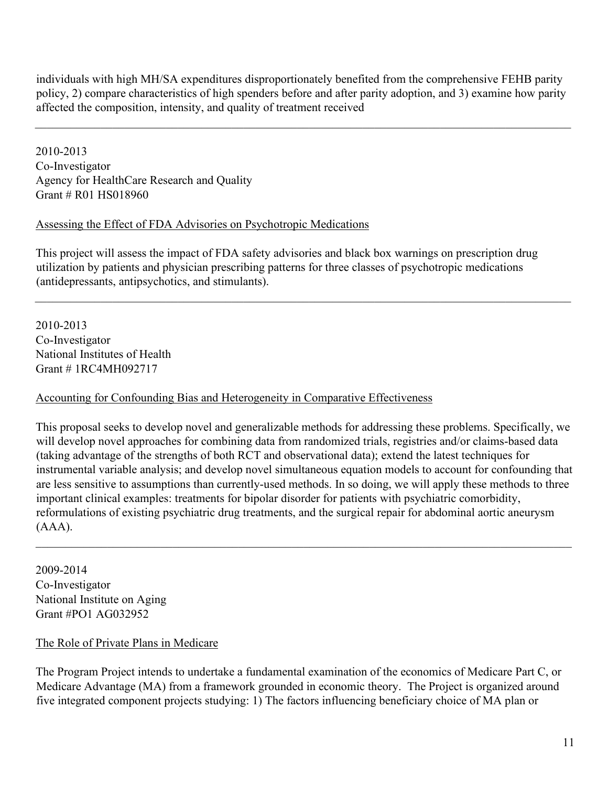individuals with high MH/SA expenditures disproportionately benefited from the comprehensive FEHB parity policy, 2) compare characteristics of high spenders before and after parity adoption, and 3) examine how parity affected the composition, intensity, and quality of treatment received

 $\mathcal{L}_\mathcal{L} = \{ \mathcal{L}_\mathcal{L} = \{ \mathcal{L}_\mathcal{L} = \{ \mathcal{L}_\mathcal{L} = \{ \mathcal{L}_\mathcal{L} = \{ \mathcal{L}_\mathcal{L} = \{ \mathcal{L}_\mathcal{L} = \{ \mathcal{L}_\mathcal{L} = \{ \mathcal{L}_\mathcal{L} = \{ \mathcal{L}_\mathcal{L} = \{ \mathcal{L}_\mathcal{L} = \{ \mathcal{L}_\mathcal{L} = \{ \mathcal{L}_\mathcal{L} = \{ \mathcal{L}_\mathcal{L} = \{ \mathcal{L}_\mathcal{$ 

2010-2013 Co-Investigator Agency for HealthCare Research and Quality Grant # R01 HS018960

### Assessing the Effect of FDA Advisories on Psychotropic Medications

This project will assess the impact of FDA safety advisories and black box warnings on prescription drug utilization by patients and physician prescribing patterns for three classes of psychotropic medications (antidepressants, antipsychotics, and stimulants).

 $\mathcal{L}_\mathcal{L} = \{ \mathcal{L}_\mathcal{L} = \{ \mathcal{L}_\mathcal{L} = \{ \mathcal{L}_\mathcal{L} = \{ \mathcal{L}_\mathcal{L} = \{ \mathcal{L}_\mathcal{L} = \{ \mathcal{L}_\mathcal{L} = \{ \mathcal{L}_\mathcal{L} = \{ \mathcal{L}_\mathcal{L} = \{ \mathcal{L}_\mathcal{L} = \{ \mathcal{L}_\mathcal{L} = \{ \mathcal{L}_\mathcal{L} = \{ \mathcal{L}_\mathcal{L} = \{ \mathcal{L}_\mathcal{L} = \{ \mathcal{L}_\mathcal{$ 

2010-2013 Co-Investigator National Institutes of Health Grant # 1RC4MH092717

### Accounting for Confounding Bias and Heterogeneity in Comparative Effectiveness

This proposal seeks to develop novel and generalizable methods for addressing these problems. Specifically, we will develop novel approaches for combining data from randomized trials, registries and/or claims-based data (taking advantage of the strengths of both RCT and observational data); extend the latest techniques for instrumental variable analysis; and develop novel simultaneous equation models to account for confounding that are less sensitive to assumptions than currently-used methods. In so doing, we will apply these methods to three important clinical examples: treatments for bipolar disorder for patients with psychiatric comorbidity, reformulations of existing psychiatric drug treatments, and the surgical repair for abdominal aortic aneurysm (AAA).

 $\mathcal{L}_\mathcal{L} = \{ \mathcal{L}_\mathcal{L} = \{ \mathcal{L}_\mathcal{L} = \{ \mathcal{L}_\mathcal{L} = \{ \mathcal{L}_\mathcal{L} = \{ \mathcal{L}_\mathcal{L} = \{ \mathcal{L}_\mathcal{L} = \{ \mathcal{L}_\mathcal{L} = \{ \mathcal{L}_\mathcal{L} = \{ \mathcal{L}_\mathcal{L} = \{ \mathcal{L}_\mathcal{L} = \{ \mathcal{L}_\mathcal{L} = \{ \mathcal{L}_\mathcal{L} = \{ \mathcal{L}_\mathcal{L} = \{ \mathcal{L}_\mathcal{$ 

2009-2014 Co-Investigator National Institute on Aging Grant #PO1 AG032952

#### The Role of Private Plans in Medicare

The Program Project intends to undertake a fundamental examination of the economics of Medicare Part C, or Medicare Advantage (MA) from a framework grounded in economic theory. The Project is organized around five integrated component projects studying: 1) The factors influencing beneficiary choice of MA plan or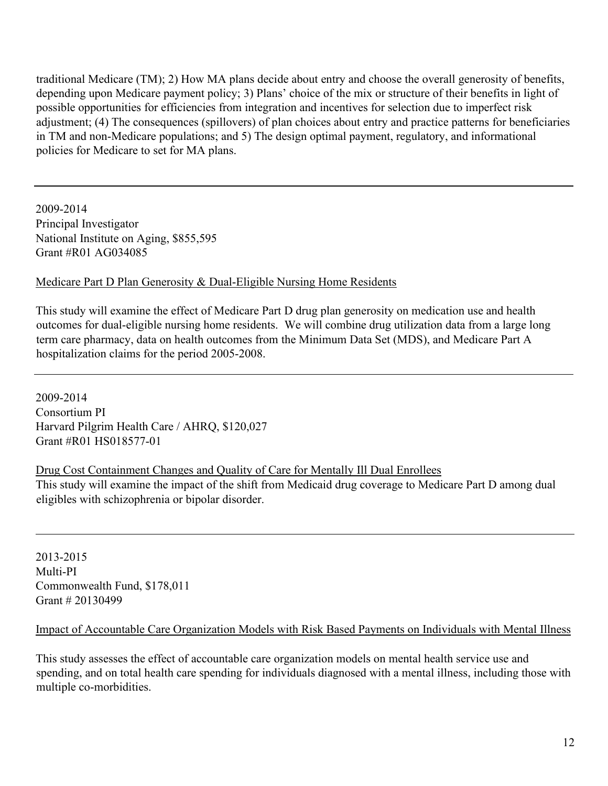traditional Medicare (TM); 2) How MA plans decide about entry and choose the overall generosity of benefits, depending upon Medicare payment policy; 3) Plans' choice of the mix or structure of their benefits in light of possible opportunities for efficiencies from integration and incentives for selection due to imperfect risk adjustment; (4) The consequences (spillovers) of plan choices about entry and practice patterns for beneficiaries in TM and non-Medicare populations; and 5) The design optimal payment, regulatory, and informational policies for Medicare to set for MA plans.

2009-2014 Principal Investigator National Institute on Aging, \$855,595 Grant #R01 AG034085

#### Medicare Part D Plan Generosity & Dual-Eligible Nursing Home Residents

This study will examine the effect of Medicare Part D drug plan generosity on medication use and health outcomes for dual-eligible nursing home residents. We will combine drug utilization data from a large long term care pharmacy, data on health outcomes from the Minimum Data Set (MDS), and Medicare Part A hospitalization claims for the period 2005-2008.

2009-2014 Consortium PI Harvard Pilgrim Health Care / AHRQ, \$120,027 Grant #R01 HS018577-01

#### Drug Cost Containment Changes and Quality of Care for Mentally Ill Dual Enrollees This study will examine the impact of the shift from Medicaid drug coverage to Medicare Part D among dual eligibles with schizophrenia or bipolar disorder.

2013-2015 Multi-PI Commonwealth Fund, \$178,011 Grant # 20130499

#### Impact of Accountable Care Organization Models with Risk Based Payments on Individuals with Mental Illness

This study assesses the effect of accountable care organization models on mental health service use and spending, and on total health care spending for individuals diagnosed with a mental illness, including those with multiple co-morbidities.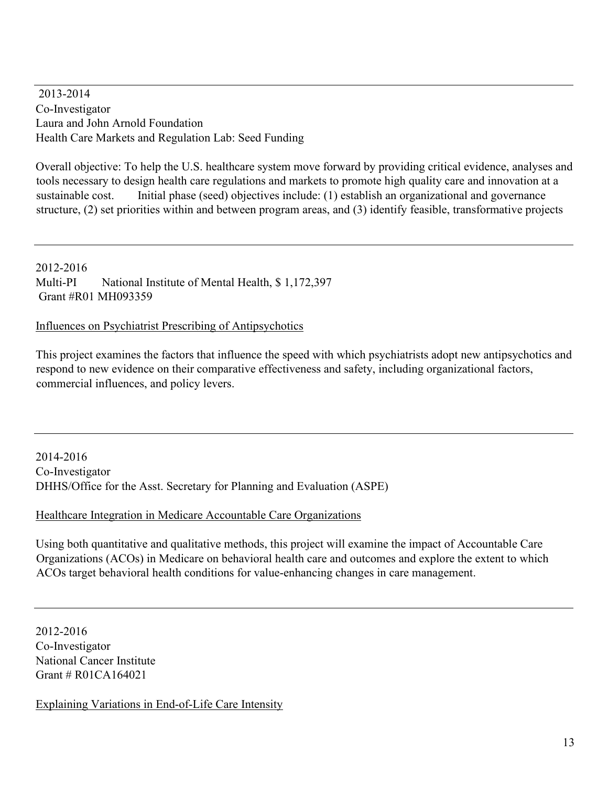2013-2014 Co-Investigator Laura and John Arnold Foundation Health Care Markets and Regulation Lab: Seed Funding

Overall objective: To help the U.S. healthcare system move forward by providing critical evidence, analyses and tools necessary to design health care regulations and markets to promote high quality care and innovation at a sustainable cost. Initial phase (seed) objectives include: (1) establish an organizational and governance structure, (2) set priorities within and between program areas, and (3) identify feasible, transformative projects

2012-2016 Multi-PI National Institute of Mental Health, \$ 1,172,397 Grant #R01 MH093359

Influences on Psychiatrist Prescribing of Antipsychotics

This project examines the factors that influence the speed with which psychiatrists adopt new antipsychotics and respond to new evidence on their comparative effectiveness and safety, including organizational factors, commercial influences, and policy levers.

2014-2016 Co-Investigator DHHS/Office for the Asst. Secretary for Planning and Evaluation (ASPE)

#### Healthcare Integration in Medicare Accountable Care Organizations

Using both quantitative and qualitative methods, this project will examine the impact of Accountable Care Organizations (ACOs) in Medicare on behavioral health care and outcomes and explore the extent to which ACOs target behavioral health conditions for value-enhancing changes in care management.

2012-2016 Co-Investigator National Cancer Institute Grant # R01CA164021

Explaining Variations in End-of-Life Care Intensity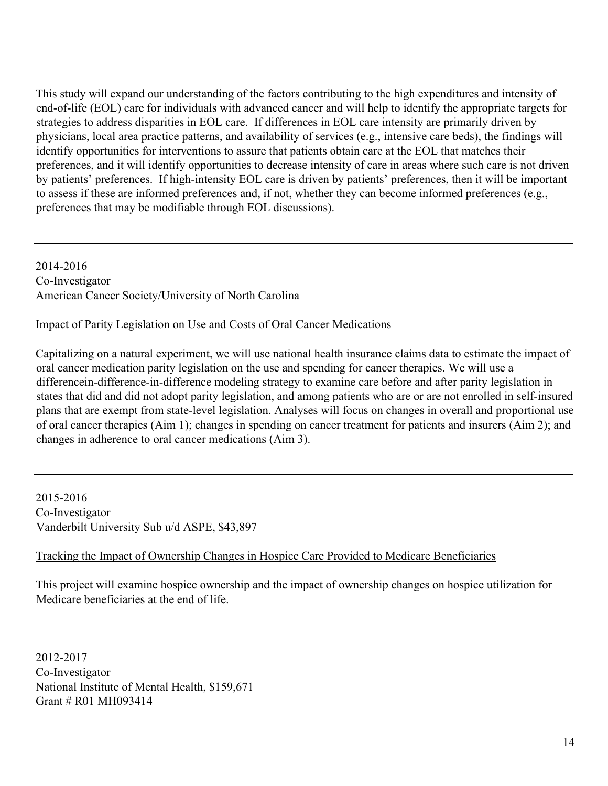This study will expand our understanding of the factors contributing to the high expenditures and intensity of end-of-life (EOL) care for individuals with advanced cancer and will help to identify the appropriate targets for strategies to address disparities in EOL care. If differences in EOL care intensity are primarily driven by physicians, local area practice patterns, and availability of services (e.g., intensive care beds), the findings will identify opportunities for interventions to assure that patients obtain care at the EOL that matches their preferences, and it will identify opportunities to decrease intensity of care in areas where such care is not driven by patients' preferences. If high-intensity EOL care is driven by patients' preferences, then it will be important to assess if these are informed preferences and, if not, whether they can become informed preferences (e.g., preferences that may be modifiable through EOL discussions).

2014-2016 Co-Investigator American Cancer Society/University of North Carolina

### Impact of Parity Legislation on Use and Costs of Oral Cancer Medications

Capitalizing on a natural experiment, we will use national health insurance claims data to estimate the impact of oral cancer medication parity legislation on the use and spending for cancer therapies. We will use a differencein-difference-in-difference modeling strategy to examine care before and after parity legislation in states that did and did not adopt parity legislation, and among patients who are or are not enrolled in self-insured plans that are exempt from state-level legislation. Analyses will focus on changes in overall and proportional use of oral cancer therapies (Aim 1); changes in spending on cancer treatment for patients and insurers (Aim 2); and changes in adherence to oral cancer medications (Aim 3).

2015-2016 Co-Investigator Vanderbilt University Sub u/d ASPE, \$43,897

## Tracking the Impact of Ownership Changes in Hospice Care Provided to Medicare Beneficiaries

This project will examine hospice ownership and the impact of ownership changes on hospice utilization for Medicare beneficiaries at the end of life.

2012-2017 Co-Investigator National Institute of Mental Health, \$159,671 Grant # R01 MH093414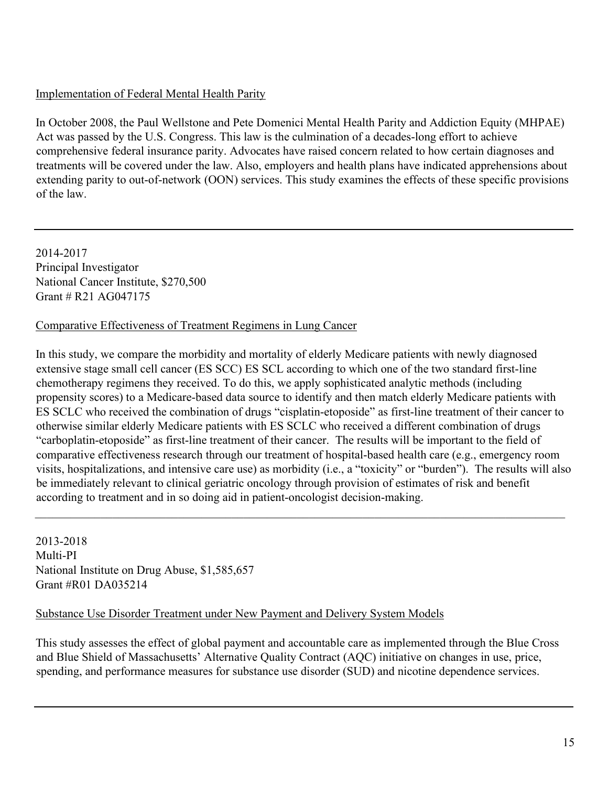## Implementation of Federal Mental Health Parity

In October 2008, the Paul Wellstone and Pete Domenici Mental Health Parity and Addiction Equity (MHPAE) Act was passed by the U.S. Congress. This law is the culmination of a decades-long effort to achieve comprehensive federal insurance parity. Advocates have raised concern related to how certain diagnoses and treatments will be covered under the law. Also, employers and health plans have indicated apprehensions about extending parity to out-of-network (OON) services. This study examines the effects of these specific provisions of the law.

2014-2017 Principal Investigator National Cancer Institute, \$270,500 Grant # R21 AG047175

### Comparative Effectiveness of Treatment Regimens in Lung Cancer

In this study, we compare the morbidity and mortality of elderly Medicare patients with newly diagnosed extensive stage small cell cancer (ES SCC) ES SCL according to which one of the two standard first-line chemotherapy regimens they received. To do this, we apply sophisticated analytic methods (including propensity scores) to a Medicare-based data source to identify and then match elderly Medicare patients with ES SCLC who received the combination of drugs "cisplatin-etoposide" as first-line treatment of their cancer to otherwise similar elderly Medicare patients with ES SCLC who received a different combination of drugs "carboplatin-etoposide" as first-line treatment of their cancer. The results will be important to the field of comparative effectiveness research through our treatment of hospital-based health care (e.g., emergency room visits, hospitalizations, and intensive care use) as morbidity (i.e., a "toxicity" or "burden"). The results will also be immediately relevant to clinical geriatric oncology through provision of estimates of risk and benefit according to treatment and in so doing aid in patient-oncologist decision-making.

 $\mathcal{L}_\mathcal{L} = \{ \mathcal{L}_\mathcal{L} = \{ \mathcal{L}_\mathcal{L} = \{ \mathcal{L}_\mathcal{L} = \{ \mathcal{L}_\mathcal{L} = \{ \mathcal{L}_\mathcal{L} = \{ \mathcal{L}_\mathcal{L} = \{ \mathcal{L}_\mathcal{L} = \{ \mathcal{L}_\mathcal{L} = \{ \mathcal{L}_\mathcal{L} = \{ \mathcal{L}_\mathcal{L} = \{ \mathcal{L}_\mathcal{L} = \{ \mathcal{L}_\mathcal{L} = \{ \mathcal{L}_\mathcal{L} = \{ \mathcal{L}_\mathcal{$ 

2013-2018 Multi-PI National Institute on Drug Abuse, \$1,585,657 Grant #R01 DA035214

#### Substance Use Disorder Treatment under New Payment and Delivery System Models

This study assesses the effect of global payment and accountable care as implemented through the Blue Cross and Blue Shield of Massachusetts' Alternative Quality Contract (AQC) initiative on changes in use, price, spending, and performance measures for substance use disorder (SUD) and nicotine dependence services.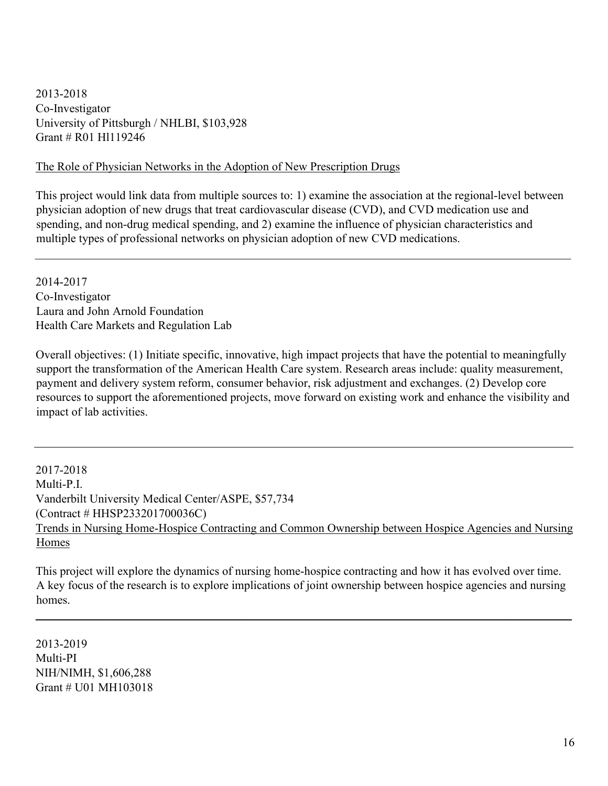2013-2018 Co-Investigator University of Pittsburgh / NHLBI, \$103,928 Grant # R01 Hl119246

#### The Role of Physician Networks in the Adoption of New Prescription Drugs

This project would link data from multiple sources to: 1) examine the association at the regional-level between physician adoption of new drugs that treat cardiovascular disease (CVD), and CVD medication use and spending, and non-drug medical spending, and 2) examine the influence of physician characteristics and multiple types of professional networks on physician adoption of new CVD medications.

 $\mathcal{L}_\mathcal{L} = \{ \mathcal{L}_\mathcal{L} = \{ \mathcal{L}_\mathcal{L} = \{ \mathcal{L}_\mathcal{L} = \{ \mathcal{L}_\mathcal{L} = \{ \mathcal{L}_\mathcal{L} = \{ \mathcal{L}_\mathcal{L} = \{ \mathcal{L}_\mathcal{L} = \{ \mathcal{L}_\mathcal{L} = \{ \mathcal{L}_\mathcal{L} = \{ \mathcal{L}_\mathcal{L} = \{ \mathcal{L}_\mathcal{L} = \{ \mathcal{L}_\mathcal{L} = \{ \mathcal{L}_\mathcal{L} = \{ \mathcal{L}_\mathcal{$ 

2014-2017 Co-Investigator Laura and John Arnold Foundation Health Care Markets and Regulation Lab

Overall objectives: (1) Initiate specific, innovative, high impact projects that have the potential to meaningfully support the transformation of the American Health Care system. Research areas include: quality measurement, payment and delivery system reform, consumer behavior, risk adjustment and exchanges. (2) Develop core resources to support the aforementioned projects, move forward on existing work and enhance the visibility and impact of lab activities.

2017-2018 Multi-P.I. Vanderbilt University Medical Center/ASPE, \$57,734 (Contract # HHSP233201700036C) Trends in Nursing Home-Hospice Contracting and Common Ownership between Hospice Agencies and Nursing Homes

This project will explore the dynamics of nursing home-hospice contracting and how it has evolved over time. A key focus of the research is to explore implications of joint ownership between hospice agencies and nursing homes.

\_\_\_\_\_\_\_\_\_\_\_\_\_\_\_\_\_\_\_\_\_\_\_\_\_\_\_\_\_\_\_\_\_\_\_\_\_\_\_\_\_\_\_\_\_\_\_\_\_\_\_\_\_\_\_\_\_\_\_\_\_\_\_\_\_\_\_\_\_\_\_\_\_\_\_\_\_\_\_\_\_\_\_\_\_\_\_\_\_\_

2013-2019 Multi-PI NIH/NIMH, \$1,606,288 Grant # U01 MH103018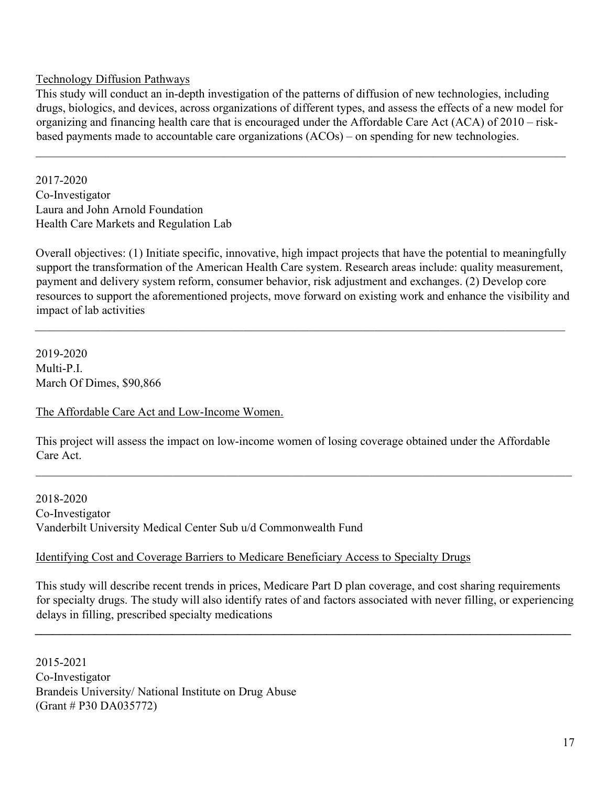#### Technology Diffusion Pathways

This study will conduct an in-depth investigation of the patterns of diffusion of new technologies, including drugs, biologics, and devices, across organizations of different types, and assess the effects of a new model for organizing and financing health care that is encouraged under the Affordable Care Act (ACA) of 2010 – riskbased payments made to accountable care organizations (ACOs) – on spending for new technologies.

 $\mathcal{L}_\mathcal{L} = \{ \mathcal{L}_\mathcal{L} = \{ \mathcal{L}_\mathcal{L} = \{ \mathcal{L}_\mathcal{L} = \{ \mathcal{L}_\mathcal{L} = \{ \mathcal{L}_\mathcal{L} = \{ \mathcal{L}_\mathcal{L} = \{ \mathcal{L}_\mathcal{L} = \{ \mathcal{L}_\mathcal{L} = \{ \mathcal{L}_\mathcal{L} = \{ \mathcal{L}_\mathcal{L} = \{ \mathcal{L}_\mathcal{L} = \{ \mathcal{L}_\mathcal{L} = \{ \mathcal{L}_\mathcal{L} = \{ \mathcal{L}_\mathcal{$ 

2017-2020 Co-Investigator Laura and John Arnold Foundation Health Care Markets and Regulation Lab

Overall objectives: (1) Initiate specific, innovative, high impact projects that have the potential to meaningfully support the transformation of the American Health Care system. Research areas include: quality measurement, payment and delivery system reform, consumer behavior, risk adjustment and exchanges. (2) Develop core resources to support the aforementioned projects, move forward on existing work and enhance the visibility and impact of lab activities

 $\mathcal{L}_\mathcal{L} = \{ \mathcal{L}_\mathcal{L} = \{ \mathcal{L}_\mathcal{L} = \{ \mathcal{L}_\mathcal{L} = \{ \mathcal{L}_\mathcal{L} = \{ \mathcal{L}_\mathcal{L} = \{ \mathcal{L}_\mathcal{L} = \{ \mathcal{L}_\mathcal{L} = \{ \mathcal{L}_\mathcal{L} = \{ \mathcal{L}_\mathcal{L} = \{ \mathcal{L}_\mathcal{L} = \{ \mathcal{L}_\mathcal{L} = \{ \mathcal{L}_\mathcal{L} = \{ \mathcal{L}_\mathcal{L} = \{ \mathcal{L}_\mathcal{$ 

2019-2020 Multi-P.I. March Of Dimes, \$90,866

The Affordable Care Act and Low-Income Women.

This project will assess the impact on low-income women of losing coverage obtained under the Affordable Care Act.

 $\mathcal{L}_\mathcal{L} = \{ \mathcal{L}_\mathcal{L} = \{ \mathcal{L}_\mathcal{L} = \{ \mathcal{L}_\mathcal{L} = \{ \mathcal{L}_\mathcal{L} = \{ \mathcal{L}_\mathcal{L} = \{ \mathcal{L}_\mathcal{L} = \{ \mathcal{L}_\mathcal{L} = \{ \mathcal{L}_\mathcal{L} = \{ \mathcal{L}_\mathcal{L} = \{ \mathcal{L}_\mathcal{L} = \{ \mathcal{L}_\mathcal{L} = \{ \mathcal{L}_\mathcal{L} = \{ \mathcal{L}_\mathcal{L} = \{ \mathcal{L}_\mathcal{$ 

2018-2020 Co-Investigator Vanderbilt University Medical Center Sub u/d Commonwealth Fund

#### Identifying Cost and Coverage Barriers to Medicare Beneficiary Access to Specialty Drugs

This study will describe recent trends in prices, Medicare Part D plan coverage, and cost sharing requirements for specialty drugs. The study will also identify rates of and factors associated with never filling, or experiencing delays in filling, prescribed specialty medications

**\_\_\_\_\_\_\_\_\_\_\_\_\_\_\_\_\_\_\_\_\_\_\_\_\_\_\_\_\_\_\_\_\_\_\_\_\_\_\_\_\_\_\_\_\_\_\_\_\_\_\_\_\_\_\_\_\_\_\_\_\_\_\_\_\_\_\_\_\_\_\_\_\_\_\_\_\_\_\_\_\_\_\_\_\_\_\_\_\_\_** 

2015-2021 Co-Investigator Brandeis University/ National Institute on Drug Abuse (Grant # P30 DA035772)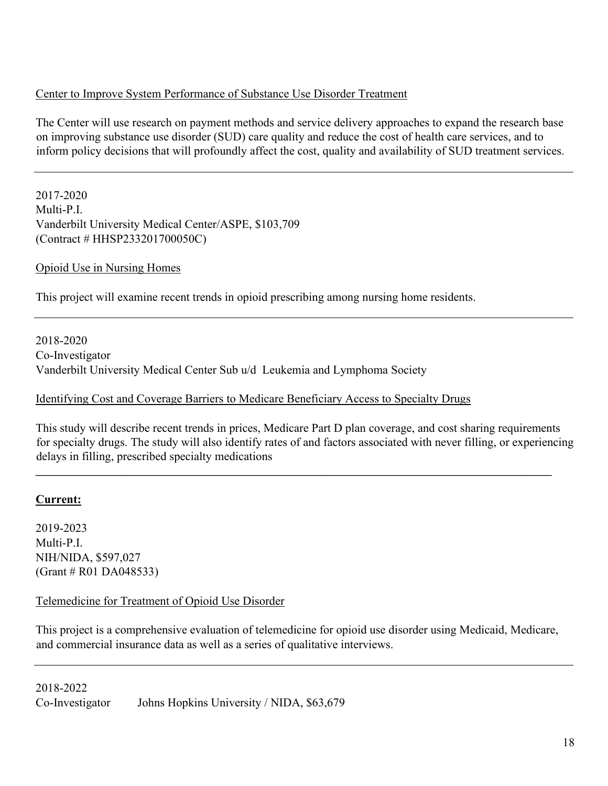### Center to Improve System Performance of Substance Use Disorder Treatment

The Center will use research on payment methods and service delivery approaches to expand the research base on improving substance use disorder (SUD) care quality and reduce the cost of health care services, and to inform policy decisions that will profoundly affect the cost, quality and availability of SUD treatment services.

2017-2020 Multi-P.I. Vanderbilt University Medical Center/ASPE, \$103,709 (Contract # HHSP233201700050C)

Opioid Use in Nursing Homes

This project will examine recent trends in opioid prescribing among nursing home residents.

2018-2020 Co-Investigator Vanderbilt University Medical Center Sub u/d Leukemia and Lymphoma Society

### Identifying Cost and Coverage Barriers to Medicare Beneficiary Access to Specialty Drugs

This study will describe recent trends in prices, Medicare Part D plan coverage, and cost sharing requirements for specialty drugs. The study will also identify rates of and factors associated with never filling, or experiencing delays in filling, prescribed specialty medications

\_\_\_\_\_\_\_\_\_\_\_\_\_\_\_\_\_\_\_\_\_\_\_\_\_\_\_\_\_\_\_\_\_\_\_\_\_\_\_\_\_\_\_\_\_\_\_\_\_\_\_\_\_\_\_\_\_\_\_\_\_\_\_\_\_\_\_\_\_\_\_\_\_\_\_\_\_\_\_\_\_\_\_\_\_

## **Current:**

2019-2023 Multi-P.I. NIH/NIDA, \$597,027 (Grant # R01 DA048533)

#### Telemedicine for Treatment of Opioid Use Disorder

This project is a comprehensive evaluation of telemedicine for opioid use disorder using Medicaid, Medicare, and commercial insurance data as well as a series of qualitative interviews.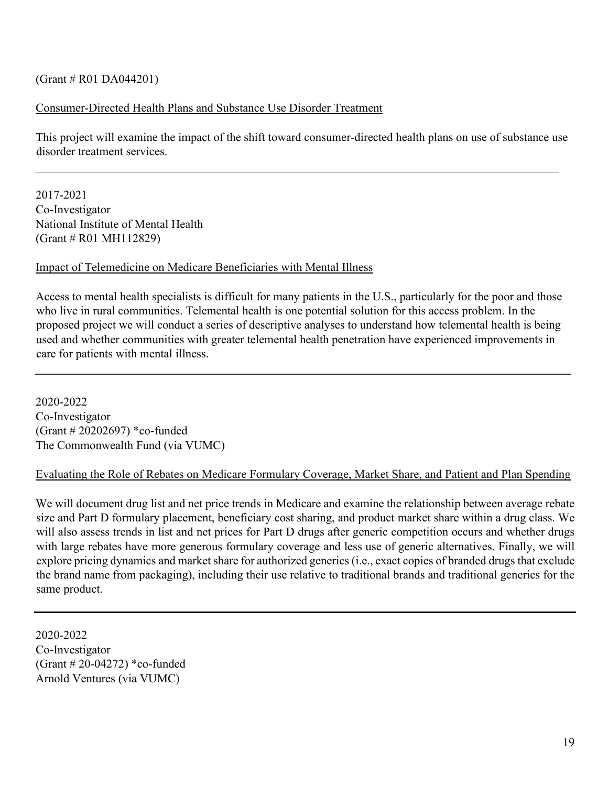#### $(Grant # R01 DA044201)$

#### Consumer-Directed Health Plans and Substance Use Disorder Treatment

This project will examine the impact of the shift toward consumer-directed health plans on use of substance use disorder treatment services.

 $\mathcal{L}_\mathcal{L} = \{ \mathcal{L}_\mathcal{L} = \{ \mathcal{L}_\mathcal{L} = \{ \mathcal{L}_\mathcal{L} = \{ \mathcal{L}_\mathcal{L} = \{ \mathcal{L}_\mathcal{L} = \{ \mathcal{L}_\mathcal{L} = \{ \mathcal{L}_\mathcal{L} = \{ \mathcal{L}_\mathcal{L} = \{ \mathcal{L}_\mathcal{L} = \{ \mathcal{L}_\mathcal{L} = \{ \mathcal{L}_\mathcal{L} = \{ \mathcal{L}_\mathcal{L} = \{ \mathcal{L}_\mathcal{L} = \{ \mathcal{L}_\mathcal{$ 

2017-2021 Co-Investigator National Institute of Mental Health (Grant # R01 MH112829)

#### Impact of Telemedicine on Medicare Beneficiaries with Mental Illness

Access to mental health specialists is difficult for many patients in the U.S., particularly for the poor and those who live in rural communities. Telemental health is one potential solution for this access problem. In the proposed project we will conduct a series of descriptive analyses to understand how telemental health is being used and whether communities with greater telemental health penetration have experienced improvements in care for patients with mental illness.

**\_\_\_\_\_\_\_\_\_\_\_\_\_\_\_\_\_\_\_\_\_\_\_\_\_\_\_\_\_\_\_\_\_\_\_\_\_\_\_\_\_\_\_\_\_\_\_\_\_\_\_\_\_\_\_\_\_\_\_\_\_\_\_\_\_\_\_\_\_\_\_\_\_\_\_\_\_\_\_\_\_\_\_\_\_\_\_\_\_\_** 

2020-2022 Co-Investigator (Grant # 20202697) \*co-funded The Commonwealth Fund (via VUMC)

#### Evaluating the Role of Rebates on Medicare Formulary Coverage, Market Share, and Patient and Plan Spending

We will document drug list and net price trends in Medicare and examine the relationship between average rebate size and Part D formulary placement, beneficiary cost sharing, and product market share within a drug class. We will also assess trends in list and net prices for Part D drugs after generic competition occurs and whether drugs with large rebates have more generous formulary coverage and less use of generic alternatives. Finally, we will explore pricing dynamics and market share for authorized generics (i.e., exact copies of branded drugs that exclude the brand name from packaging), including their use relative to traditional brands and traditional generics for the same product.

2020-2022 Co-Investigator (Grant # 20-04272) \*co-funded Arnold Ventures (via VUMC)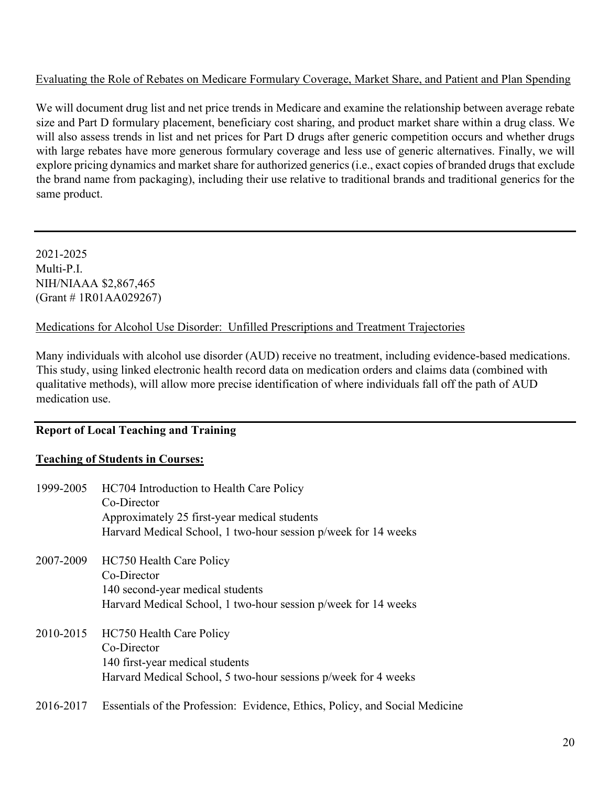### Evaluating the Role of Rebates on Medicare Formulary Coverage, Market Share, and Patient and Plan Spending

We will document drug list and net price trends in Medicare and examine the relationship between average rebate size and Part D formulary placement, beneficiary cost sharing, and product market share within a drug class. We will also assess trends in list and net prices for Part D drugs after generic competition occurs and whether drugs with large rebates have more generous formulary coverage and less use of generic alternatives. Finally, we will explore pricing dynamics and market share for authorized generics (i.e., exact copies of branded drugs that exclude the brand name from packaging), including their use relative to traditional brands and traditional generics for the same product.

2021-2025 Multi-P.I. NIH/NIAAA \$2,867,465 (Grant # 1R01AA029267)

#### Medications for Alcohol Use Disorder: Unfilled Prescriptions and Treatment Trajectories

Many individuals with alcohol use disorder (AUD) receive no treatment, including evidence-based medications. This study, using linked electronic health record data on medication orders and claims data (combined with qualitative methods), will allow more precise identification of where individuals fall off the path of AUD medication use.

## **Report of Local Teaching and Training**

## **Teaching of Students in Courses:**

| 1999-2005 | HC704 Introduction to Health Care Policy<br>Co-Director<br>Approximately 25 first-year medical students<br>Harvard Medical School, 1 two-hour session p/week for 14 weeks |
|-----------|---------------------------------------------------------------------------------------------------------------------------------------------------------------------------|
| 2007-2009 | HC750 Health Care Policy<br>Co-Director<br>140 second-year medical students<br>Harvard Medical School, 1 two-hour session p/week for 14 weeks                             |
| 2010-2015 | HC750 Health Care Policy<br>Co-Director<br>140 first-year medical students<br>Harvard Medical School, 5 two-hour sessions p/week for 4 weeks                              |
| 2016-2017 | Essentials of the Profession: Evidence, Ethics, Policy, and Social Medicine                                                                                               |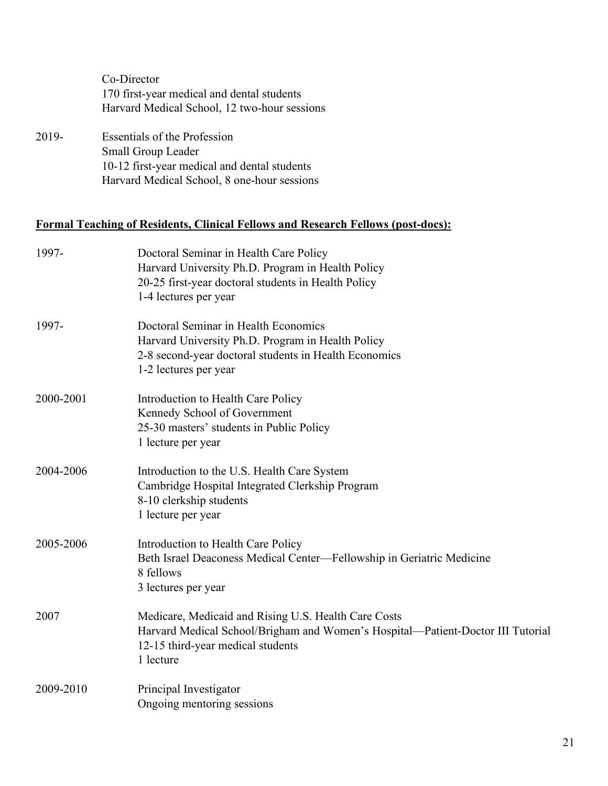|       | Co-Director                                                 |
|-------|-------------------------------------------------------------|
|       | 170 first-year medical and dental students                  |
|       | Harvard Medical School, 12 two-hour sessions                |
| 2019- | <b>Essentials of the Profession</b><br>$Small$ Group Leader |

Small Group Leader 10-12 first-year medical and dental students Harvard Medical School, 8 one-hour sessions

## **Formal Teaching of Residents, Clinical Fellows and Research Fellows (post-docs):**

| 1997-     | Doctoral Seminar in Health Care Policy<br>Harvard University Ph.D. Program in Health Policy<br>20-25 first-year doctoral students in Health Policy<br>1-4 lectures per year               |
|-----------|-------------------------------------------------------------------------------------------------------------------------------------------------------------------------------------------|
| 1997-     | Doctoral Seminar in Health Economics<br>Harvard University Ph.D. Program in Health Policy<br>2-8 second-year doctoral students in Health Economics<br>1-2 lectures per year               |
| 2000-2001 | Introduction to Health Care Policy<br>Kennedy School of Government<br>25-30 masters' students in Public Policy<br>1 lecture per year                                                      |
| 2004-2006 | Introduction to the U.S. Health Care System<br>Cambridge Hospital Integrated Clerkship Program<br>8-10 clerkship students<br>1 lecture per year                                           |
| 2005-2006 | Introduction to Health Care Policy<br>Beth Israel Deaconess Medical Center—Fellowship in Geriatric Medicine<br>8 fellows<br>3 lectures per year                                           |
| 2007      | Medicare, Medicaid and Rising U.S. Health Care Costs<br>Harvard Medical School/Brigham and Women's Hospital-Patient-Doctor III Tutorial<br>12-15 third-year medical students<br>1 lecture |
| 2009-2010 | Principal Investigator<br>Ongoing mentoring sessions                                                                                                                                      |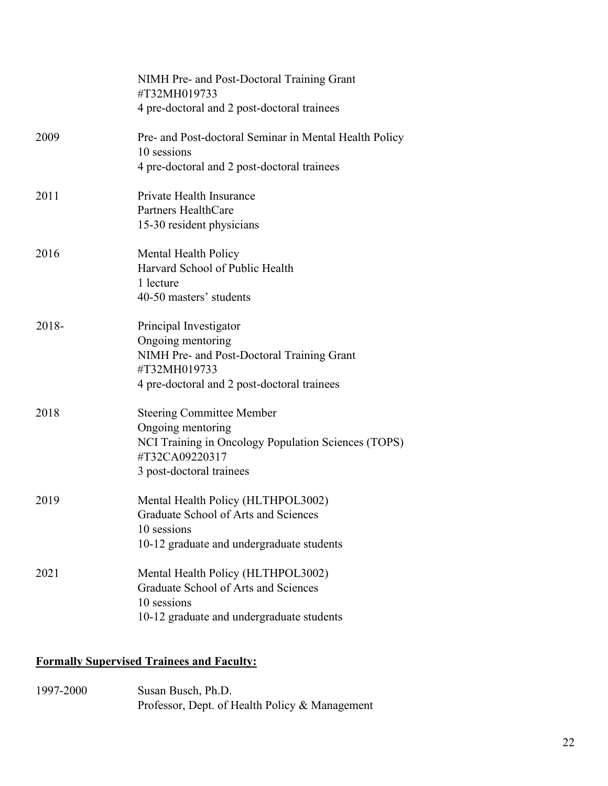|       | NIMH Pre- and Post-Doctoral Training Grant<br>#T32MH019733                                 |
|-------|--------------------------------------------------------------------------------------------|
|       | 4 pre-doctoral and 2 post-doctoral trainees                                                |
| 2009  | Pre- and Post-doctoral Seminar in Mental Health Policy<br>10 sessions                      |
|       | 4 pre-doctoral and 2 post-doctoral trainees                                                |
| 2011  | Private Health Insurance                                                                   |
|       | <b>Partners HealthCare</b><br>15-30 resident physicians                                    |
| 2016  | Mental Health Policy                                                                       |
|       | Harvard School of Public Health<br>1 lecture                                               |
|       | 40-50 masters' students                                                                    |
| 2018- | Principal Investigator                                                                     |
|       | Ongoing mentoring<br>NIMH Pre- and Post-Doctoral Training Grant<br>#T32MH019733            |
|       | 4 pre-doctoral and 2 post-doctoral trainees                                                |
| 2018  | <b>Steering Committee Member</b>                                                           |
|       | Ongoing mentoring<br>NCI Training in Oncology Population Sciences (TOPS)<br>#T32CA09220317 |
|       | 3 post-doctoral trainees                                                                   |
| 2019  | Mental Health Policy (HLTHPOL3002)                                                         |
|       | Graduate School of Arts and Sciences<br>10 sessions                                        |
|       | 10-12 graduate and undergraduate students                                                  |
| 2021  | Mental Health Policy (HLTHPOL3002)                                                         |
|       | Graduate School of Arts and Sciences<br>10 sessions                                        |
|       | 10-12 graduate and undergraduate students                                                  |

## **Formally Supervised Trainees and Faculty:**

1997-2000 Susan Busch, Ph.D. Professor, Dept. of Health Policy & Management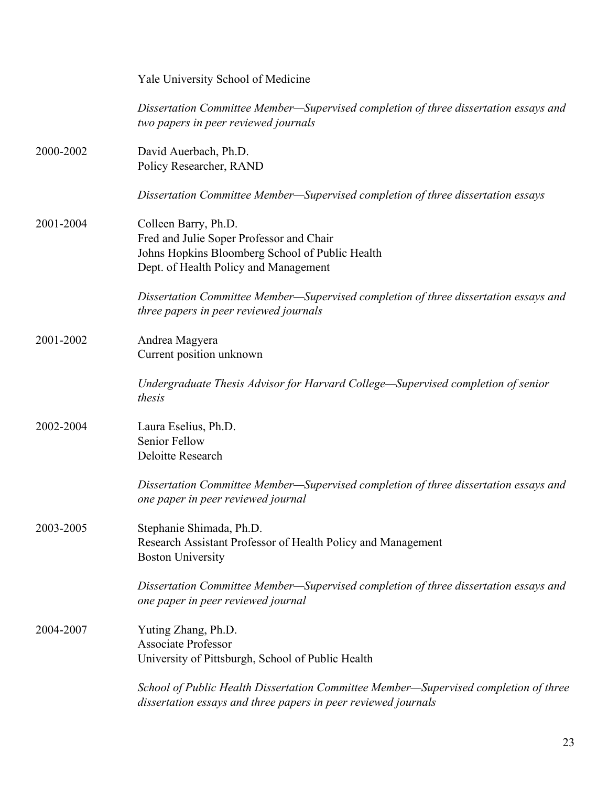|           | Yale University School of Medicine                                                                                                                           |
|-----------|--------------------------------------------------------------------------------------------------------------------------------------------------------------|
|           | Dissertation Committee Member—Supervised completion of three dissertation essays and<br>two papers in peer reviewed journals                                 |
| 2000-2002 | David Auerbach, Ph.D.<br>Policy Researcher, RAND                                                                                                             |
|           | Dissertation Committee Member—Supervised completion of three dissertation essays                                                                             |
| 2001-2004 | Colleen Barry, Ph.D.<br>Fred and Julie Soper Professor and Chair<br>Johns Hopkins Bloomberg School of Public Health<br>Dept. of Health Policy and Management |
|           | Dissertation Committee Member—Supervised completion of three dissertation essays and<br>three papers in peer reviewed journals                               |
| 2001-2002 | Andrea Magyera<br>Current position unknown                                                                                                                   |
|           | Undergraduate Thesis Advisor for Harvard College—Supervised completion of senior<br>thesis                                                                   |
| 2002-2004 | Laura Eselius, Ph.D.<br>Senior Fellow<br>Deloitte Research                                                                                                   |
|           | Dissertation Committee Member—Supervised completion of three dissertation essays and<br>one paper in peer reviewed journal                                   |
| 2003-2005 | Stephanie Shimada, Ph.D.<br>Research Assistant Professor of Health Policy and Management<br><b>Boston University</b>                                         |
|           | Dissertation Committee Member—Supervised completion of three dissertation essays and<br>one paper in peer reviewed journal                                   |
| 2004-2007 | Yuting Zhang, Ph.D.<br><b>Associate Professor</b><br>University of Pittsburgh, School of Public Health                                                       |
|           | School of Public Health Dissertation Committee Member-Supervised completion of three<br>dissertation essays and three papers in peer reviewed journals       |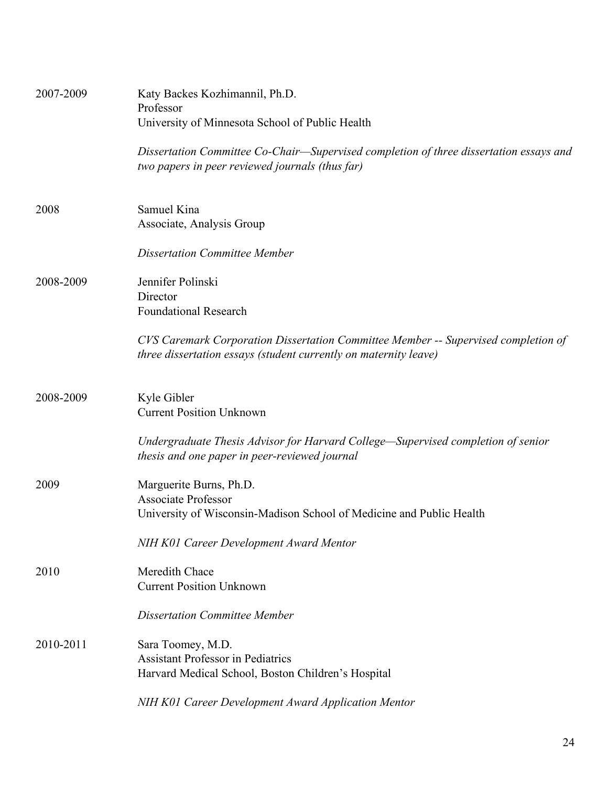| 2007-2009 | Katy Backes Kozhimannil, Ph.D.<br>Professor<br>University of Minnesota School of Public Health                                                         |
|-----------|--------------------------------------------------------------------------------------------------------------------------------------------------------|
|           | Dissertation Committee Co-Chair—Supervised completion of three dissertation essays and<br>two papers in peer reviewed journals (thus far)              |
| 2008      | Samuel Kina<br>Associate, Analysis Group                                                                                                               |
|           | <b>Dissertation Committee Member</b>                                                                                                                   |
| 2008-2009 | Jennifer Polinski<br>Director<br><b>Foundational Research</b>                                                                                          |
|           | CVS Caremark Corporation Dissertation Committee Member -- Supervised completion of<br>three dissertation essays (student currently on maternity leave) |
| 2008-2009 | Kyle Gibler<br><b>Current Position Unknown</b>                                                                                                         |
|           | Undergraduate Thesis Advisor for Harvard College—Supervised completion of senior<br>thesis and one paper in peer-reviewed journal                      |
| 2009      | Marguerite Burns, Ph.D.<br><b>Associate Professor</b><br>University of Wisconsin-Madison School of Medicine and Public Health                          |
|           | NIH K01 Career Development Award Mentor                                                                                                                |
| 2010      | Meredith Chace<br><b>Current Position Unknown</b>                                                                                                      |
|           | <b>Dissertation Committee Member</b>                                                                                                                   |
| 2010-2011 | Sara Toomey, M.D.<br><b>Assistant Professor in Pediatrics</b><br>Harvard Medical School, Boston Children's Hospital                                    |
|           | NIH K01 Career Development Award Application Mentor                                                                                                    |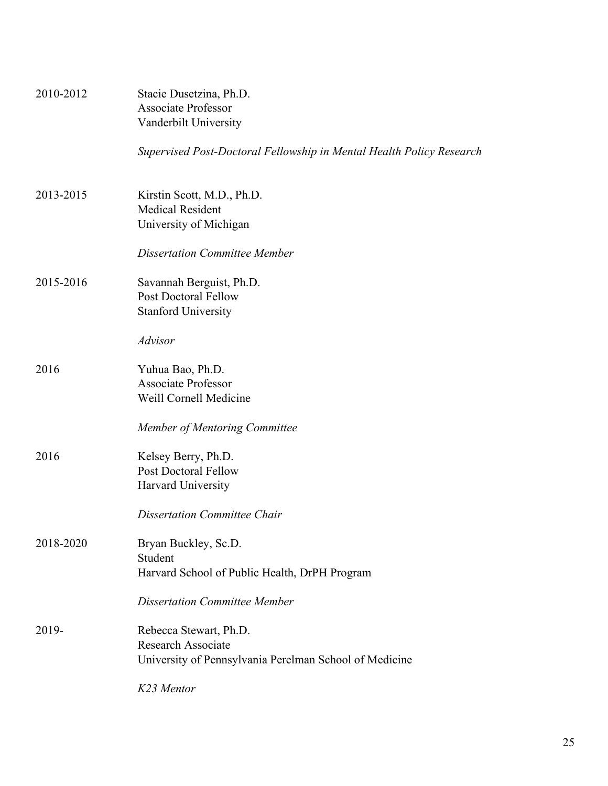| 2010-2012 | Stacie Dusetzina, Ph.D.<br><b>Associate Professor</b><br>Vanderbilt University                                |
|-----------|---------------------------------------------------------------------------------------------------------------|
|           | Supervised Post-Doctoral Fellowship in Mental Health Policy Research                                          |
| 2013-2015 | Kirstin Scott, M.D., Ph.D.<br><b>Medical Resident</b><br>University of Michigan                               |
|           | <b>Dissertation Committee Member</b>                                                                          |
| 2015-2016 | Savannah Berguist, Ph.D.<br><b>Post Doctoral Fellow</b><br><b>Stanford University</b>                         |
|           | <b>Advisor</b>                                                                                                |
| 2016      | Yuhua Bao, Ph.D.<br><b>Associate Professor</b><br>Weill Cornell Medicine                                      |
|           | Member of Mentoring Committee                                                                                 |
| 2016      | Kelsey Berry, Ph.D.<br><b>Post Doctoral Fellow</b><br>Harvard University                                      |
|           | <b>Dissertation Committee Chair</b>                                                                           |
| 2018-2020 | Bryan Buckley, Sc.D.<br>Student<br>Harvard School of Public Health, DrPH Program                              |
|           | <b>Dissertation Committee Member</b>                                                                          |
| 2019-     | Rebecca Stewart, Ph.D.<br><b>Research Associate</b><br>University of Pennsylvania Perelman School of Medicine |
|           | K23 Mentor                                                                                                    |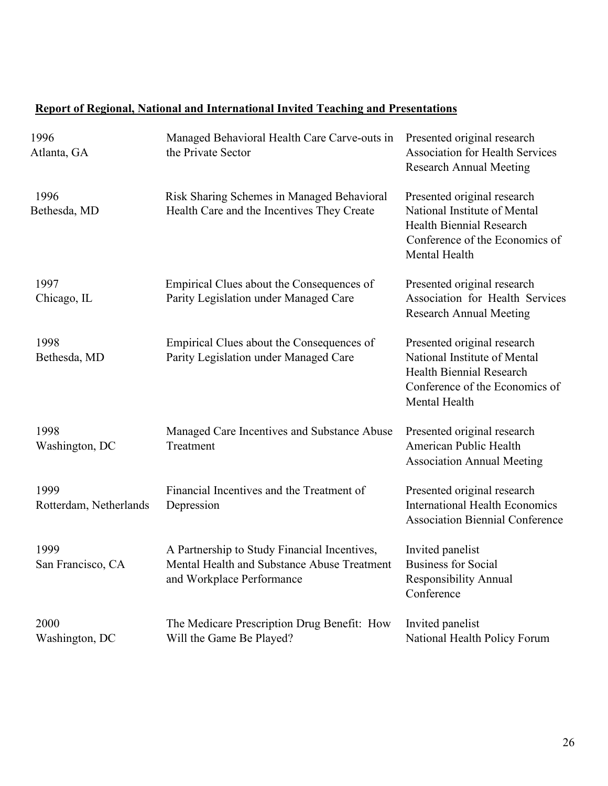## **Report of Regional, National and International Invited Teaching and Presentations**

| 1996<br>Atlanta, GA            | Managed Behavioral Health Care Carve-outs in<br>the Private Sector                                                       | Presented original research<br><b>Association for Health Services</b><br><b>Research Annual Meeting</b>                                           |
|--------------------------------|--------------------------------------------------------------------------------------------------------------------------|---------------------------------------------------------------------------------------------------------------------------------------------------|
| 1996<br>Bethesda, MD           | Risk Sharing Schemes in Managed Behavioral<br>Health Care and the Incentives They Create                                 | Presented original research<br>National Institute of Mental<br>Health Biennial Research<br>Conference of the Economics of<br>Mental Health        |
| 1997<br>Chicago, IL            | Empirical Clues about the Consequences of<br>Parity Legislation under Managed Care                                       | Presented original research<br>Association for Health Services<br><b>Research Annual Meeting</b>                                                  |
| 1998<br>Bethesda, MD           | Empirical Clues about the Consequences of<br>Parity Legislation under Managed Care                                       | Presented original research<br>National Institute of Mental<br><b>Health Biennial Research</b><br>Conference of the Economics of<br>Mental Health |
| 1998<br>Washington, DC         | Managed Care Incentives and Substance Abuse<br>Treatment                                                                 | Presented original research<br>American Public Health<br><b>Association Annual Meeting</b>                                                        |
| 1999<br>Rotterdam, Netherlands | Financial Incentives and the Treatment of<br>Depression                                                                  | Presented original research<br><b>International Health Economics</b><br><b>Association Biennial Conference</b>                                    |
| 1999<br>San Francisco, CA      | A Partnership to Study Financial Incentives,<br>Mental Health and Substance Abuse Treatment<br>and Workplace Performance | Invited panelist<br><b>Business for Social</b><br><b>Responsibility Annual</b><br>Conference                                                      |
| 2000<br>Washington, DC         | The Medicare Prescription Drug Benefit: How<br>Will the Game Be Played?                                                  | Invited panelist<br>National Health Policy Forum                                                                                                  |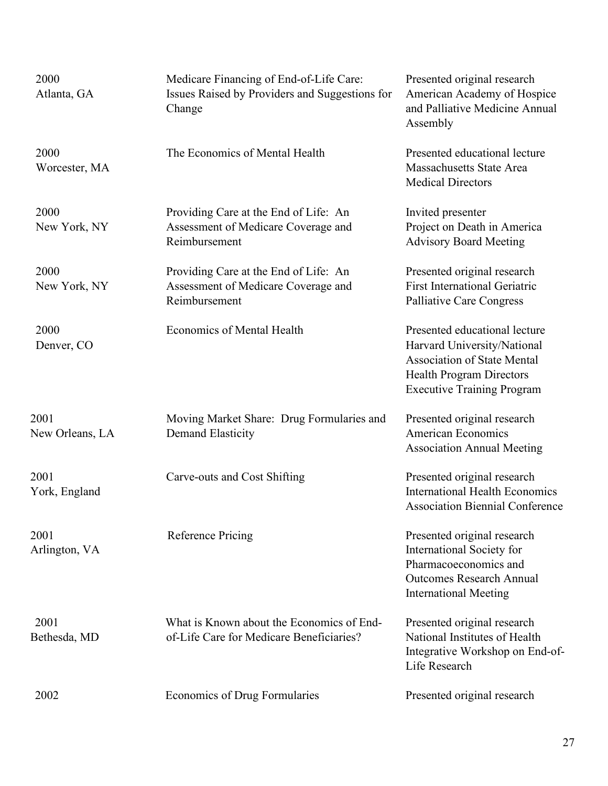| 2000<br>Atlanta, GA     | Medicare Financing of End-of-Life Care:<br>Issues Raised by Providers and Suggestions for<br>Change | Presented original research<br>American Academy of Hospice<br>and Palliative Medicine Annual<br>Assembly                                                                   |
|-------------------------|-----------------------------------------------------------------------------------------------------|----------------------------------------------------------------------------------------------------------------------------------------------------------------------------|
| 2000<br>Worcester, MA   | The Economics of Mental Health                                                                      | Presented educational lecture<br>Massachusetts State Area<br><b>Medical Directors</b>                                                                                      |
| 2000<br>New York, NY    | Providing Care at the End of Life: An<br>Assessment of Medicare Coverage and<br>Reimbursement       | Invited presenter<br>Project on Death in America<br><b>Advisory Board Meeting</b>                                                                                          |
| 2000<br>New York, NY    | Providing Care at the End of Life: An<br>Assessment of Medicare Coverage and<br>Reimbursement       | Presented original research<br><b>First International Geriatric</b><br>Palliative Care Congress                                                                            |
| 2000<br>Denver, CO      | <b>Economics of Mental Health</b>                                                                   | Presented educational lecture<br>Harvard University/National<br><b>Association of State Mental</b><br><b>Health Program Directors</b><br><b>Executive Training Program</b> |
| 2001<br>New Orleans, LA | Moving Market Share: Drug Formularies and<br><b>Demand Elasticity</b>                               | Presented original research<br><b>American Economics</b><br><b>Association Annual Meeting</b>                                                                              |
| 2001<br>York, England   | Carve-outs and Cost Shifting                                                                        | Presented original research<br><b>International Health Economics</b><br><b>Association Biennial Conference</b>                                                             |
| 2001<br>Arlington, VA   | <b>Reference Pricing</b>                                                                            | Presented original research<br>International Society for<br>Pharmacoeconomics and<br><b>Outcomes Research Annual</b><br><b>International Meeting</b>                       |
| 2001<br>Bethesda, MD    | What is Known about the Economics of End-<br>of-Life Care for Medicare Beneficiaries?               | Presented original research<br>National Institutes of Health<br>Integrative Workshop on End-of-<br>Life Research                                                           |
| 2002                    | <b>Economics of Drug Formularies</b>                                                                | Presented original research                                                                                                                                                |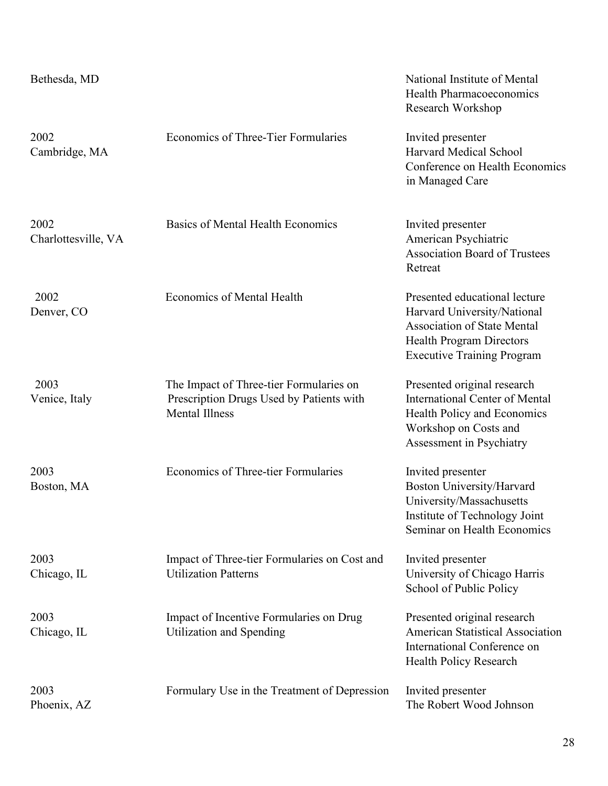| Bethesda, MD                |                                                                                                              | National Institute of Mental<br><b>Health Pharmacoeconomics</b><br>Research Workshop                                                                                       |
|-----------------------------|--------------------------------------------------------------------------------------------------------------|----------------------------------------------------------------------------------------------------------------------------------------------------------------------------|
| 2002<br>Cambridge, MA       | Economics of Three-Tier Formularies                                                                          | Invited presenter<br>Harvard Medical School<br>Conference on Health Economics<br>in Managed Care                                                                           |
| 2002<br>Charlottesville, VA | <b>Basics of Mental Health Economics</b>                                                                     | Invited presenter<br>American Psychiatric<br><b>Association Board of Trustees</b><br>Retreat                                                                               |
| 2002<br>Denver, CO          | <b>Economics of Mental Health</b>                                                                            | Presented educational lecture<br>Harvard University/National<br><b>Association of State Mental</b><br><b>Health Program Directors</b><br><b>Executive Training Program</b> |
| 2003<br>Venice, Italy       | The Impact of Three-tier Formularies on<br>Prescription Drugs Used by Patients with<br><b>Mental Illness</b> | Presented original research<br><b>International Center of Mental</b><br>Health Policy and Economics<br>Workshop on Costs and<br>Assessment in Psychiatry                   |
| 2003<br>Boston, MA          | <b>Economics of Three-tier Formularies</b>                                                                   | Invited presenter<br>Boston University/Harvard<br>University/Massachusetts<br>Institute of Technology Joint<br>Seminar on Health Economics                                 |
| 2003<br>Chicago, IL         | Impact of Three-tier Formularies on Cost and<br><b>Utilization Patterns</b>                                  | Invited presenter<br>University of Chicago Harris<br>School of Public Policy                                                                                               |
| 2003<br>Chicago, IL         | Impact of Incentive Formularies on Drug<br>Utilization and Spending                                          | Presented original research<br>American Statistical Association<br>International Conference on<br>Health Policy Research                                                   |
| 2003<br>Phoenix, AZ         | Formulary Use in the Treatment of Depression                                                                 | Invited presenter<br>The Robert Wood Johnson                                                                                                                               |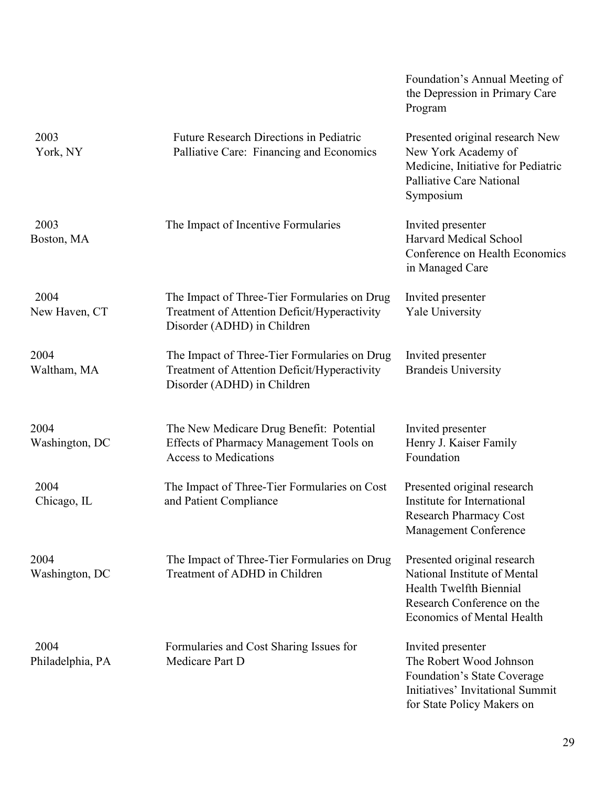|                          |                                                                                                                             | Foundation's Annual Meeting of<br>the Depression in Primary Care<br>Program                                                                               |
|--------------------------|-----------------------------------------------------------------------------------------------------------------------------|-----------------------------------------------------------------------------------------------------------------------------------------------------------|
| 2003<br>York, NY         | <b>Future Research Directions in Pediatric</b><br>Palliative Care: Financing and Economics                                  | Presented original research New<br>New York Academy of<br>Medicine, Initiative for Pediatric<br>Palliative Care National<br>Symposium                     |
| 2003<br>Boston, MA       | The Impact of Incentive Formularies                                                                                         | Invited presenter<br>Harvard Medical School<br>Conference on Health Economics<br>in Managed Care                                                          |
| 2004<br>New Haven, CT    | The Impact of Three-Tier Formularies on Drug<br>Treatment of Attention Deficit/Hyperactivity<br>Disorder (ADHD) in Children | Invited presenter<br><b>Yale University</b>                                                                                                               |
| 2004<br>Waltham, MA      | The Impact of Three-Tier Formularies on Drug<br>Treatment of Attention Deficit/Hyperactivity<br>Disorder (ADHD) in Children | Invited presenter<br><b>Brandeis University</b>                                                                                                           |
| 2004<br>Washington, DC   | The New Medicare Drug Benefit: Potential<br>Effects of Pharmacy Management Tools on<br><b>Access to Medications</b>         | Invited presenter<br>Henry J. Kaiser Family<br>Foundation                                                                                                 |
| 2004<br>Chicago, IL      | The Impact of Three-Tier Formularies on Cost<br>and Patient Compliance                                                      | Presented original research<br>Institute for International<br><b>Research Pharmacy Cost</b><br><b>Management Conference</b>                               |
| 2004<br>Washington, DC   | The Impact of Three-Tier Formularies on Drug<br>Treatment of ADHD in Children                                               | Presented original research<br>National Institute of Mental<br>Health Twelfth Biennial<br>Research Conference on the<br><b>Economics of Mental Health</b> |
| 2004<br>Philadelphia, PA | Formularies and Cost Sharing Issues for<br>Medicare Part D                                                                  | Invited presenter<br>The Robert Wood Johnson<br>Foundation's State Coverage<br>Initiatives' Invitational Summit<br>for State Policy Makers on             |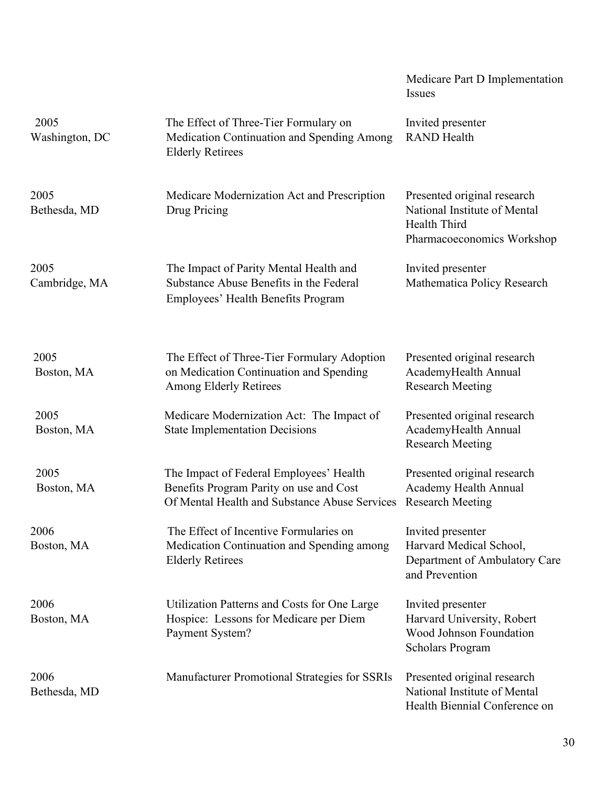|                        |                                                                                                                                     | Medicare Part D Implementation<br><b>Issues</b>                                                           |
|------------------------|-------------------------------------------------------------------------------------------------------------------------------------|-----------------------------------------------------------------------------------------------------------|
| 2005<br>Washington, DC | The Effect of Three-Tier Formulary on<br>Medication Continuation and Spending Among<br><b>Elderly Retirees</b>                      | Invited presenter<br><b>RAND</b> Health                                                                   |
| 2005<br>Bethesda, MD   | Medicare Modernization Act and Prescription<br>Drug Pricing                                                                         | Presented original research<br>National Institute of Mental<br>Health Third<br>Pharmacoeconomics Workshop |
| 2005<br>Cambridge, MA  | The Impact of Parity Mental Health and<br>Substance Abuse Benefits in the Federal<br>Employees' Health Benefits Program             | Invited presenter<br>Mathematica Policy Research                                                          |
| 2005<br>Boston, MA     | The Effect of Three-Tier Formulary Adoption<br>on Medication Continuation and Spending<br><b>Among Elderly Retirees</b>             | Presented original research<br>AcademyHealth Annual<br><b>Research Meeting</b>                            |
| 2005<br>Boston, MA     | Medicare Modernization Act: The Impact of<br><b>State Implementation Decisions</b>                                                  | Presented original research<br>AcademyHealth Annual<br><b>Research Meeting</b>                            |
| 2005<br>Boston, MA     | The Impact of Federal Employees' Health<br>Benefits Program Parity on use and Cost<br>Of Mental Health and Substance Abuse Services | Presented original research<br>Academy Health Annual<br><b>Research Meeting</b>                           |
| 2006<br>Boston, MA     | The Effect of Incentive Formularies on<br>Medication Continuation and Spending among<br><b>Elderly Retirees</b>                     | Invited presenter<br>Harvard Medical School,<br>Department of Ambulatory Care<br>and Prevention           |
| 2006<br>Boston, MA     | Utilization Patterns and Costs for One Large<br>Hospice: Lessons for Medicare per Diem<br>Payment System?                           | Invited presenter<br>Harvard University, Robert<br>Wood Johnson Foundation<br><b>Scholars Program</b>     |
| 2006<br>Bethesda, MD   | Manufacturer Promotional Strategies for SSRIs                                                                                       | Presented original research<br>National Institute of Mental<br>Health Biennial Conference on              |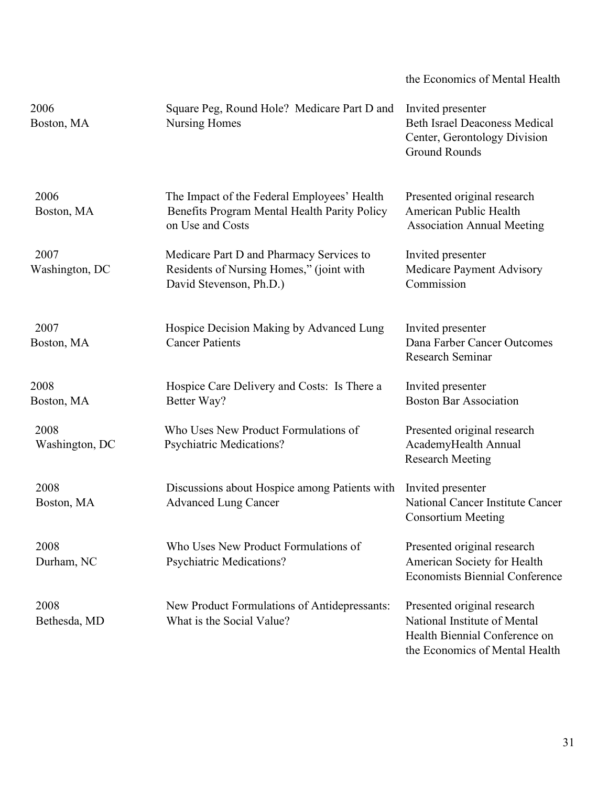|                        |                                                                                                                 | the Economics of Mental Health                                                                                                 |
|------------------------|-----------------------------------------------------------------------------------------------------------------|--------------------------------------------------------------------------------------------------------------------------------|
| 2006<br>Boston, MA     | Square Peg, Round Hole? Medicare Part D and<br>Nursing Homes                                                    | Invited presenter<br><b>Beth Israel Deaconess Medical</b><br>Center, Gerontology Division<br><b>Ground Rounds</b>              |
| 2006<br>Boston, MA     | The Impact of the Federal Employees' Health<br>Benefits Program Mental Health Parity Policy<br>on Use and Costs | Presented original research<br>American Public Health<br><b>Association Annual Meeting</b>                                     |
| 2007<br>Washington, DC | Medicare Part D and Pharmacy Services to<br>Residents of Nursing Homes," (joint with<br>David Stevenson, Ph.D.) | Invited presenter<br>Medicare Payment Advisory<br>Commission                                                                   |
| 2007<br>Boston, MA     | Hospice Decision Making by Advanced Lung<br><b>Cancer Patients</b>                                              | Invited presenter<br>Dana Farber Cancer Outcomes<br>Research Seminar                                                           |
| 2008<br>Boston, MA     | Hospice Care Delivery and Costs: Is There a<br>Better Way?                                                      | Invited presenter<br><b>Boston Bar Association</b>                                                                             |
| 2008<br>Washington, DC | Who Uses New Product Formulations of<br><b>Psychiatric Medications?</b>                                         | Presented original research<br>AcademyHealth Annual<br><b>Research Meeting</b>                                                 |
| 2008<br>Boston, MA     | Discussions about Hospice among Patients with<br><b>Advanced Lung Cancer</b>                                    | Invited presenter<br>National Cancer Institute Cancer<br><b>Consortium Meeting</b>                                             |
| 2008<br>Durham, NC     | Who Uses New Product Formulations of<br><b>Psychiatric Medications?</b>                                         | Presented original research<br>American Society for Health<br><b>Economists Biennial Conference</b>                            |
| 2008<br>Bethesda, MD   | New Product Formulations of Antidepressants:<br>What is the Social Value?                                       | Presented original research<br>National Institute of Mental<br>Health Biennial Conference on<br>the Economics of Mental Health |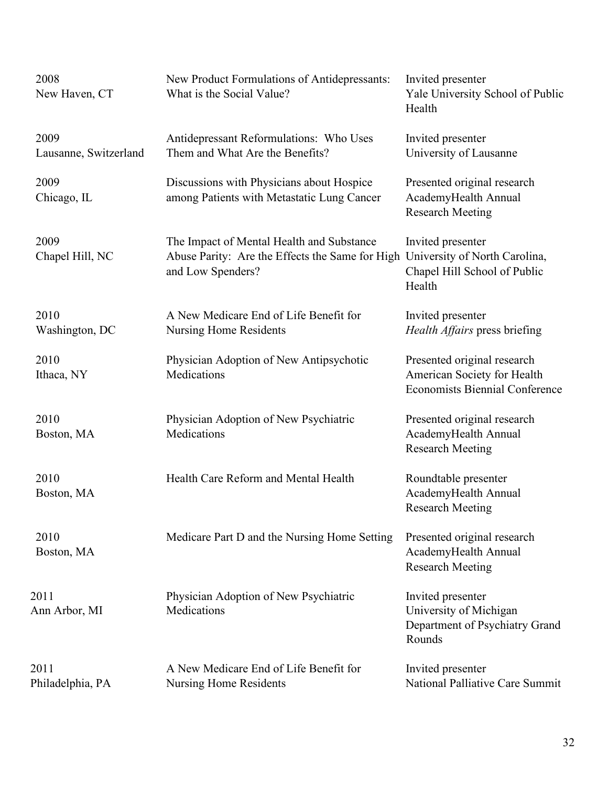| 2008<br>New Haven, CT         | New Product Formulations of Antidepressants:<br>What is the Social Value?                                         | Invited presenter<br>Yale University School of Public<br>Health                                     |
|-------------------------------|-------------------------------------------------------------------------------------------------------------------|-----------------------------------------------------------------------------------------------------|
| 2009<br>Lausanne, Switzerland | Antidepressant Reformulations: Who Uses<br>Them and What Are the Benefits?                                        | Invited presenter<br>University of Lausanne                                                         |
| 2009<br>Chicago, IL           | Discussions with Physicians about Hospice<br>among Patients with Metastatic Lung Cancer                           | Presented original research<br>AcademyHealth Annual<br><b>Research Meeting</b>                      |
| 2009<br>Chapel Hill, NC       | The Impact of Mental Health and Substance<br>Abuse Parity: Are the Effects the Same for High<br>and Low Spenders? | Invited presenter<br>University of North Carolina,<br>Chapel Hill School of Public<br>Health        |
| 2010<br>Washington, DC        | A New Medicare End of Life Benefit for<br><b>Nursing Home Residents</b>                                           | Invited presenter<br>Health Affairs press briefing                                                  |
| 2010<br>Ithaca, NY            | Physician Adoption of New Antipsychotic<br>Medications                                                            | Presented original research<br>American Society for Health<br><b>Economists Biennial Conference</b> |
| 2010<br>Boston, MA            | Physician Adoption of New Psychiatric<br>Medications                                                              | Presented original research<br>AcademyHealth Annual<br><b>Research Meeting</b>                      |
| 2010<br>Boston, MA            | Health Care Reform and Mental Health                                                                              | Roundtable presenter<br>AcademyHealth Annual<br><b>Research Meeting</b>                             |
| 2010<br>Boston, MA            | Medicare Part D and the Nursing Home Setting                                                                      | Presented original research<br>AcademyHealth Annual<br><b>Research Meeting</b>                      |
| 2011<br>Ann Arbor, MI         | Physician Adoption of New Psychiatric<br>Medications                                                              | Invited presenter<br>University of Michigan<br>Department of Psychiatry Grand<br>Rounds             |
| 2011<br>Philadelphia, PA      | A New Medicare End of Life Benefit for<br><b>Nursing Home Residents</b>                                           | Invited presenter<br>National Palliative Care Summit                                                |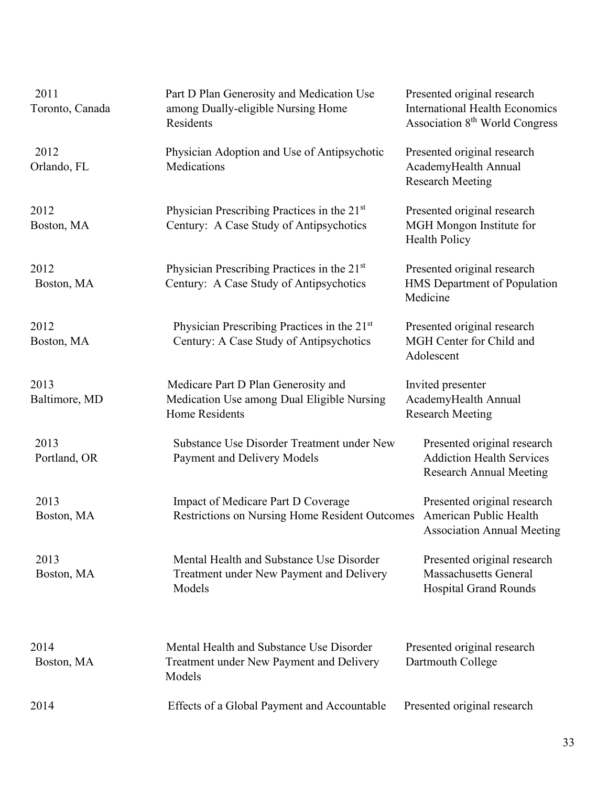| 2011<br>Toronto, Canada | Part D Plan Generosity and Medication Use<br>among Dually-eligible Nursing Home<br>Residents                | Presented original research<br><b>International Health Economics</b><br>Association 8 <sup>th</sup> World Congress |
|-------------------------|-------------------------------------------------------------------------------------------------------------|--------------------------------------------------------------------------------------------------------------------|
| 2012<br>Orlando, FL     | Physician Adoption and Use of Antipsychotic<br>Medications                                                  | Presented original research<br>AcademyHealth Annual<br><b>Research Meeting</b>                                     |
| 2012<br>Boston, MA      | Physician Prescribing Practices in the 21 <sup>st</sup><br>Century: A Case Study of Antipsychotics          | Presented original research<br>MGH Mongon Institute for<br><b>Health Policy</b>                                    |
| 2012<br>Boston, MA      | Physician Prescribing Practices in the 21 <sup>st</sup><br>Century: A Case Study of Antipsychotics          | Presented original research<br>HMS Department of Population<br>Medicine                                            |
| 2012<br>Boston, MA      | Physician Prescribing Practices in the 21 <sup>st</sup><br>Century: A Case Study of Antipsychotics          | Presented original research<br>MGH Center for Child and<br>Adolescent                                              |
| 2013<br>Baltimore, MD   | Medicare Part D Plan Generosity and<br>Medication Use among Dual Eligible Nursing<br><b>Home Residents</b>  | Invited presenter<br>AcademyHealth Annual<br><b>Research Meeting</b>                                               |
| 2013<br>Portland, OR    | Substance Use Disorder Treatment under New<br>Payment and Delivery Models                                   | Presented original research<br><b>Addiction Health Services</b><br><b>Research Annual Meeting</b>                  |
| 2013<br>Boston, MA      | Impact of Medicare Part D Coverage<br>Restrictions on Nursing Home Resident Outcomes American Public Health | Presented original research<br><b>Association Annual Meeting</b>                                                   |
| 2013<br>Boston, MA      | Mental Health and Substance Use Disorder<br>Treatment under New Payment and Delivery<br>Models              | Presented original research<br><b>Massachusetts General</b><br><b>Hospital Grand Rounds</b>                        |
| 2014<br>Boston, MA      | Mental Health and Substance Use Disorder<br>Treatment under New Payment and Delivery<br>Models              | Presented original research<br>Dartmouth College                                                                   |
| 2014                    | Effects of a Global Payment and Accountable                                                                 | Presented original research                                                                                        |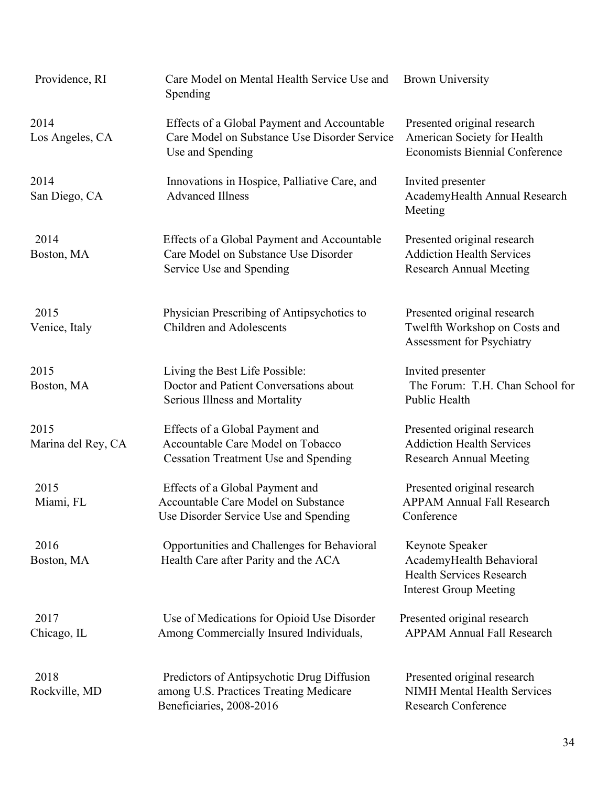| Providence, RI             | Care Model on Mental Health Service Use and Brown University<br>Spending                                            |                                                                                                                 |
|----------------------------|---------------------------------------------------------------------------------------------------------------------|-----------------------------------------------------------------------------------------------------------------|
| 2014<br>Los Angeles, CA    | Effects of a Global Payment and Accountable<br>Care Model on Substance Use Disorder Service<br>Use and Spending     | Presented original research<br>American Society for Health<br><b>Economists Biennial Conference</b>             |
| 2014<br>San Diego, CA      | Innovations in Hospice, Palliative Care, and<br><b>Advanced Illness</b>                                             | Invited presenter<br>AcademyHealth Annual Research<br>Meeting                                                   |
| 2014<br>Boston, MA         | Effects of a Global Payment and Accountable<br>Care Model on Substance Use Disorder<br>Service Use and Spending     | Presented original research<br><b>Addiction Health Services</b><br><b>Research Annual Meeting</b>               |
| 2015<br>Venice, Italy      | Physician Prescribing of Antipsychotics to<br><b>Children and Adolescents</b>                                       | Presented original research<br>Twelfth Workshop on Costs and<br>Assessment for Psychiatry                       |
| 2015<br>Boston, MA         | Living the Best Life Possible:<br>Doctor and Patient Conversations about<br>Serious Illness and Mortality           | Invited presenter<br>The Forum: T.H. Chan School for<br>Public Health                                           |
| 2015<br>Marina del Rey, CA | Effects of a Global Payment and<br>Accountable Care Model on Tobacco<br><b>Cessation Treatment Use and Spending</b> | Presented original research<br><b>Addiction Health Services</b><br><b>Research Annual Meeting</b>               |
| 2015<br>Miami, FL          | Effects of a Global Payment and<br>Accountable Care Model on Substance<br>Use Disorder Service Use and Spending     | Presented original research<br><b>APPAM Annual Fall Research</b><br>Conference                                  |
| 2016<br>Boston, MA         | Opportunities and Challenges for Behavioral<br>Health Care after Parity and the ACA                                 | Keynote Speaker<br>AcademyHealth Behavioral<br><b>Health Services Research</b><br><b>Interest Group Meeting</b> |
| 2017<br>Chicago, IL        | Use of Medications for Opioid Use Disorder<br>Among Commercially Insured Individuals,                               | Presented original research<br><b>APPAM Annual Fall Research</b>                                                |
| 2018<br>Rockville, MD      | Predictors of Antipsychotic Drug Diffusion<br>among U.S. Practices Treating Medicare<br>Beneficiaries, 2008-2016    | Presented original research<br><b>NIMH Mental Health Services</b><br><b>Research Conference</b>                 |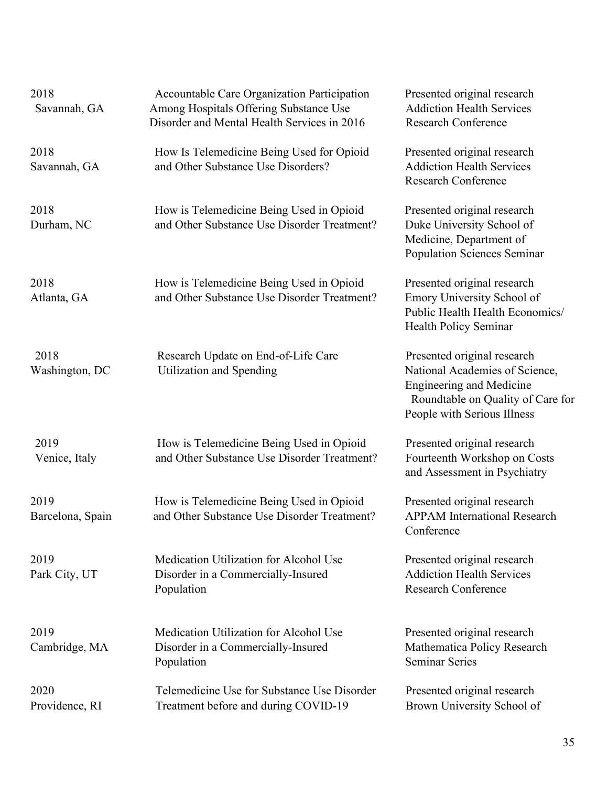| 2018<br>Savannah, GA     | Accountable Care Organization Participation<br>Among Hospitals Offering Substance Use<br>Disorder and Mental Health Services in 2016 | Presented original research<br><b>Addiction Health Services</b><br><b>Research Conference</b>                                                                        |
|--------------------------|--------------------------------------------------------------------------------------------------------------------------------------|----------------------------------------------------------------------------------------------------------------------------------------------------------------------|
| 2018<br>Savannah, GA     | How Is Telemedicine Being Used for Opioid<br>and Other Substance Use Disorders?                                                      | Presented original research<br><b>Addiction Health Services</b><br><b>Research Conference</b>                                                                        |
| 2018<br>Durham, NC       | How is Telemedicine Being Used in Opioid<br>and Other Substance Use Disorder Treatment?                                              | Presented original research<br>Duke University School of<br>Medicine, Department of<br><b>Population Sciences Seminar</b>                                            |
| 2018<br>Atlanta, GA      | How is Telemedicine Being Used in Opioid<br>and Other Substance Use Disorder Treatment?                                              | Presented original research<br>Emory University School of<br>Public Health Health Economics/<br>Health Policy Seminar                                                |
| 2018<br>Washington, DC   | Research Update on End-of-Life Care<br><b>Utilization and Spending</b>                                                               | Presented original research<br>National Academies of Science,<br><b>Engineering and Medicine</b><br>Roundtable on Quality of Care for<br>People with Serious Illness |
| 2019<br>Venice, Italy    | How is Telemedicine Being Used in Opioid<br>and Other Substance Use Disorder Treatment?                                              | Presented original research<br>Fourteenth Workshop on Costs<br>and Assessment in Psychiatry                                                                          |
| 2019<br>Barcelona, Spain | How is Telemedicine Being Used in Opioid<br>and Other Substance Use Disorder Treatment?                                              | Presented original research<br><b>APPAM International Research</b><br>Conference                                                                                     |
| 2019<br>Park City, UT    | Medication Utilization for Alcohol Use<br>Disorder in a Commercially-Insured<br>Population                                           | Presented original research<br><b>Addiction Health Services</b><br><b>Research Conference</b>                                                                        |
| 2019<br>Cambridge, MA    | Medication Utilization for Alcohol Use<br>Disorder in a Commercially-Insured<br>Population                                           | Presented original research<br>Mathematica Policy Research<br><b>Seminar Series</b>                                                                                  |
| 2020<br>Providence, RI   | Telemedicine Use for Substance Use Disorder<br>Treatment before and during COVID-19                                                  | Presented original research<br>Brown University School of                                                                                                            |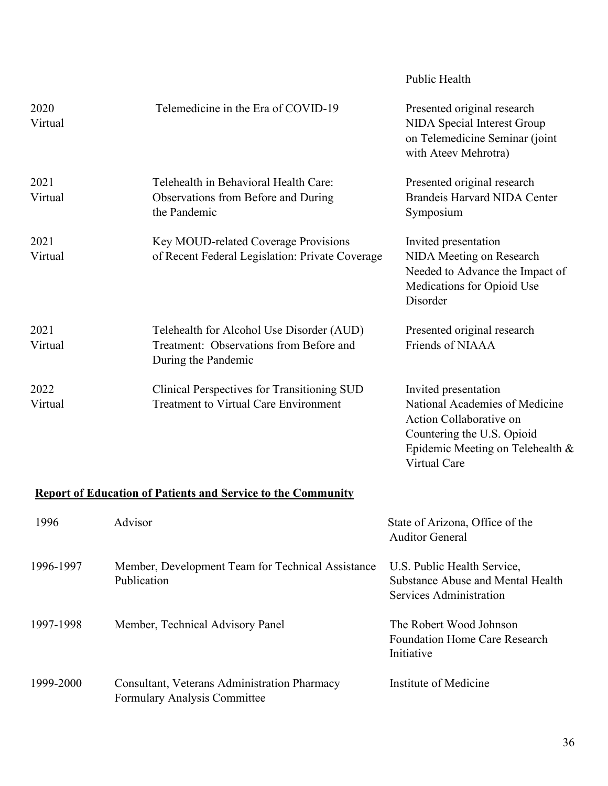|                 |                                                                                                             | Public Health                                                                                                                                       |
|-----------------|-------------------------------------------------------------------------------------------------------------|-----------------------------------------------------------------------------------------------------------------------------------------------------|
| 2020<br>Virtual | Telemedicine in the Era of COVID-19                                                                         | Presented original research<br>NIDA Special Interest Group<br>on Telemedicine Seminar (joint<br>with Ateev Mehrotra)                                |
| 2021<br>Virtual | Telehealth in Behavioral Health Care:<br>Observations from Before and During<br>the Pandemic                | Presented original research<br><b>Brandeis Harvard NIDA Center</b><br>Symposium                                                                     |
| 2021<br>Virtual | Key MOUD-related Coverage Provisions<br>of Recent Federal Legislation: Private Coverage                     | Invited presentation<br>NIDA Meeting on Research<br>Needed to Advance the Impact of<br>Medications for Opioid Use<br>Disorder                       |
| 2021<br>Virtual | Telehealth for Alcohol Use Disorder (AUD)<br>Treatment: Observations from Before and<br>During the Pandemic | Presented original research<br>Friends of NIAAA                                                                                                     |
| 2022<br>Virtual | Clinical Perspectives for Transitioning SUD<br><b>Treatment to Virtual Care Environment</b>                 | Invited presentation<br>National Academies of Medicine<br>Action Collaborative on<br>Countering the U.S. Opioid<br>Epidemic Meeting on Telehealth & |

# **Report of Education of Patients and Service to the Community**

| 1996      | Advisor                                                                      | State of Arizona, Office of the<br><b>Auditor General</b>                                   |
|-----------|------------------------------------------------------------------------------|---------------------------------------------------------------------------------------------|
| 1996-1997 | Member, Development Team for Technical Assistance<br>Publication             | U.S. Public Health Service,<br>Substance Abuse and Mental Health<br>Services Administration |
| 1997-1998 | Member, Technical Advisory Panel                                             | The Robert Wood Johnson<br><b>Foundation Home Care Research</b><br>Initiative               |
| 1999-2000 | Consultant, Veterans Administration Pharmacy<br>Formulary Analysis Committee | Institute of Medicine                                                                       |

Virtual Care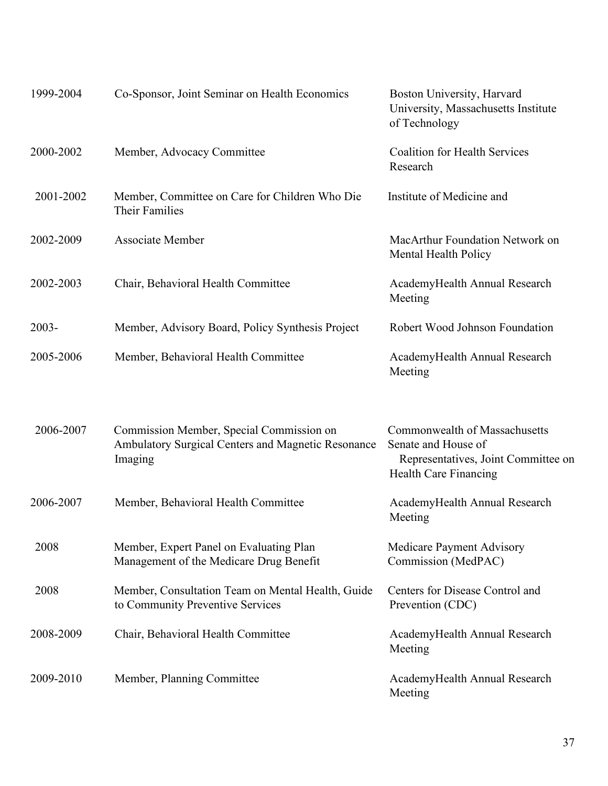| 1999-2004 | Co-Sponsor, Joint Seminar on Health Economics                                                             | Boston University, Harvard<br>University, Massachusetts Institute<br>of Technology                                                 |
|-----------|-----------------------------------------------------------------------------------------------------------|------------------------------------------------------------------------------------------------------------------------------------|
| 2000-2002 | Member, Advocacy Committee                                                                                | <b>Coalition for Health Services</b><br>Research                                                                                   |
| 2001-2002 | Member, Committee on Care for Children Who Die<br><b>Their Families</b>                                   | Institute of Medicine and                                                                                                          |
| 2002-2009 | <b>Associate Member</b>                                                                                   | MacArthur Foundation Network on<br>Mental Health Policy                                                                            |
| 2002-2003 | Chair, Behavioral Health Committee                                                                        | AcademyHealth Annual Research<br>Meeting                                                                                           |
| $2003 -$  | Member, Advisory Board, Policy Synthesis Project                                                          | Robert Wood Johnson Foundation                                                                                                     |
| 2005-2006 | Member, Behavioral Health Committee                                                                       | AcademyHealth Annual Research<br>Meeting                                                                                           |
| 2006-2007 | Commission Member, Special Commission on<br>Ambulatory Surgical Centers and Magnetic Resonance<br>Imaging | <b>Commonwealth of Massachusetts</b><br>Senate and House of<br>Representatives, Joint Committee on<br><b>Health Care Financing</b> |
| 2006-2007 | Member, Behavioral Health Committee                                                                       | AcademyHealth Annual Research<br>Meeting                                                                                           |
| 2008      | Member, Expert Panel on Evaluating Plan<br>Management of the Medicare Drug Benefit                        | <b>Medicare Payment Advisory</b><br>Commission (MedPAC)                                                                            |
| 2008      | Member, Consultation Team on Mental Health, Guide<br>to Community Preventive Services                     | Centers for Disease Control and<br>Prevention (CDC)                                                                                |
| 2008-2009 | Chair, Behavioral Health Committee                                                                        | AcademyHealth Annual Research<br>Meeting                                                                                           |
| 2009-2010 |                                                                                                           |                                                                                                                                    |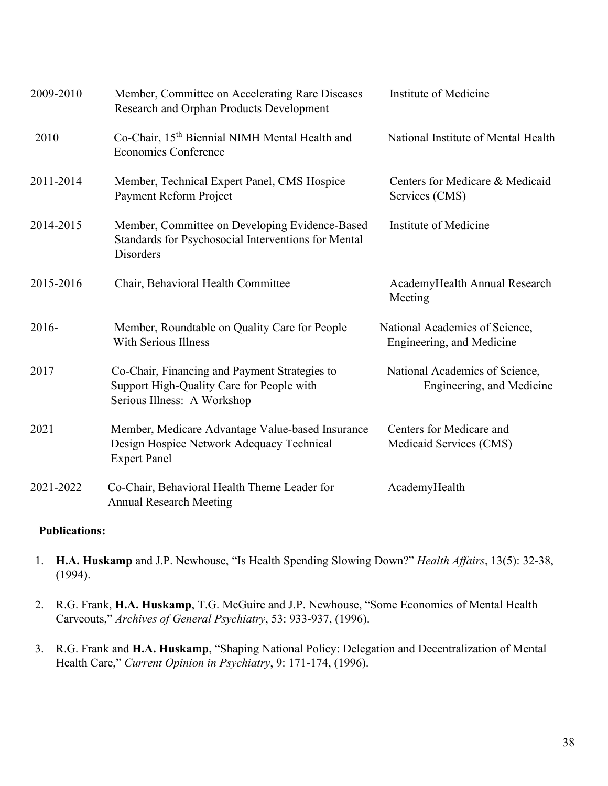| 2009-2010 | Member, Committee on Accelerating Rare Diseases<br>Research and Orphan Products Development                               | Institute of Medicine                                       |
|-----------|---------------------------------------------------------------------------------------------------------------------------|-------------------------------------------------------------|
| 2010      | Co-Chair, 15 <sup>th</sup> Biennial NIMH Mental Health and<br><b>Economics Conference</b>                                 | National Institute of Mental Health                         |
| 2011-2014 | Member, Technical Expert Panel, CMS Hospice<br>Payment Reform Project                                                     | Centers for Medicare & Medicaid<br>Services (CMS)           |
| 2014-2015 | Member, Committee on Developing Evidence-Based<br>Standards for Psychosocial Interventions for Mental<br>Disorders        | Institute of Medicine                                       |
| 2015-2016 | Chair, Behavioral Health Committee                                                                                        | AcademyHealth Annual Research<br>Meeting                    |
| 2016-     | Member, Roundtable on Quality Care for People<br><b>With Serious Illness</b>                                              | National Academies of Science,<br>Engineering, and Medicine |
| 2017      | Co-Chair, Financing and Payment Strategies to<br>Support High-Quality Care for People with<br>Serious Illness: A Workshop | National Academics of Science,<br>Engineering, and Medicine |
| 2021      | Member, Medicare Advantage Value-based Insurance<br>Design Hospice Network Adequacy Technical<br><b>Expert Panel</b>      | Centers for Medicare and<br>Medicaid Services (CMS)         |
| 2021-2022 | Co-Chair, Behavioral Health Theme Leader for<br><b>Annual Research Meeting</b>                                            | AcademyHealth                                               |

#### **Publications:**

- 1. **H.A. Huskamp** and J.P. Newhouse, "Is Health Spending Slowing Down?" *Health Affairs*, 13(5): 32-38, (1994).
- 2. R.G. Frank, **H.A. Huskamp**, T.G. McGuire and J.P. Newhouse, "Some Economics of Mental Health Carveouts," *Archives of General Psychiatry*, 53: 933-937, (1996).
- 3. R.G. Frank and **H.A. Huskamp**, "Shaping National Policy: Delegation and Decentralization of Mental Health Care," *Current Opinion in Psychiatry*, 9: 171-174, (1996).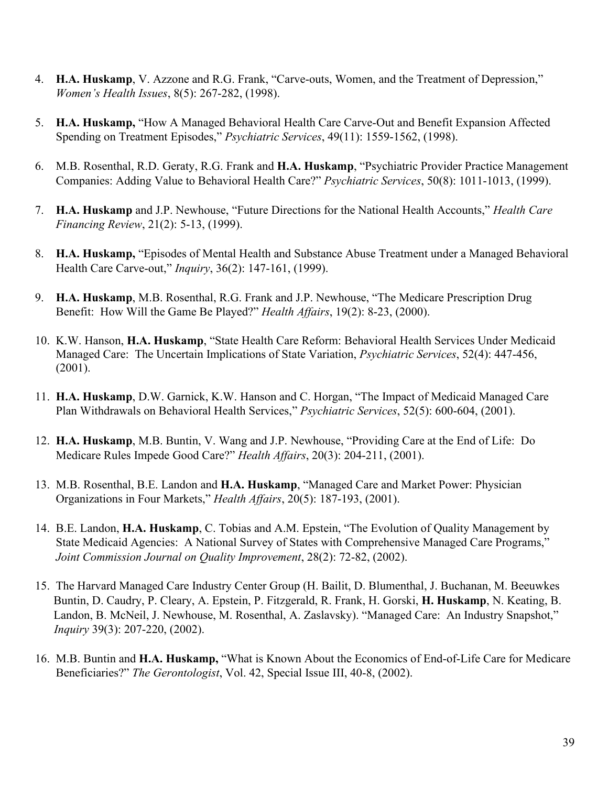- 4. **H.A. Huskamp**, V. Azzone and R.G. Frank, "Carve-outs, Women, and the Treatment of Depression," *Women's Health Issues*, 8(5): 267-282, (1998).
- 5. **H.A. Huskamp,** "How A Managed Behavioral Health Care Carve-Out and Benefit Expansion Affected Spending on Treatment Episodes," *Psychiatric Services*, 49(11): 1559-1562, (1998).
- 6. M.B. Rosenthal, R.D. Geraty, R.G. Frank and **H.A. Huskamp**, "Psychiatric Provider Practice Management Companies: Adding Value to Behavioral Health Care?" *Psychiatric Services*, 50(8): 1011-1013, (1999).
- 7. **H.A. Huskamp** and J.P. Newhouse, "Future Directions for the National Health Accounts," *Health Care Financing Review*, 21(2): 5-13, (1999).
- 8. **H.A. Huskamp,** "Episodes of Mental Health and Substance Abuse Treatment under a Managed Behavioral Health Care Carve-out," *Inquiry*, 36(2): 147-161, (1999).
- 9. **H.A. Huskamp**, M.B. Rosenthal, R.G. Frank and J.P. Newhouse, "The Medicare Prescription Drug Benefit: How Will the Game Be Played?" *Health Affairs*, 19(2): 8-23, (2000).
- 10. K.W. Hanson, **H.A. Huskamp**, "State Health Care Reform: Behavioral Health Services Under Medicaid Managed Care: The Uncertain Implications of State Variation, *Psychiatric Services*, 52(4): 447-456, (2001).
- 11. **H.A. Huskamp**, D.W. Garnick, K.W. Hanson and C. Horgan, "The Impact of Medicaid Managed Care Plan Withdrawals on Behavioral Health Services," *Psychiatric Services*, 52(5): 600-604, (2001).
- 12. **H.A. Huskamp**, M.B. Buntin, V. Wang and J.P. Newhouse, "Providing Care at the End of Life: Do Medicare Rules Impede Good Care?" *Health Affairs*, 20(3): 204-211, (2001).
- 13. M.B. Rosenthal, B.E. Landon and **H.A. Huskamp**, "Managed Care and Market Power: Physician Organizations in Four Markets," *Health Affairs*, 20(5): 187-193, (2001).
- 14. B.E. Landon, **H.A. Huskamp**, C. Tobias and A.M. Epstein, "The Evolution of Quality Management by State Medicaid Agencies: A National Survey of States with Comprehensive Managed Care Programs," *Joint Commission Journal on Quality Improvement*, 28(2): 72-82, (2002).
- 15. The Harvard Managed Care Industry Center Group (H. Bailit, D. Blumenthal, J. Buchanan, M. Beeuwkes Buntin, D. Caudry, P. Cleary, A. Epstein, P. Fitzgerald, R. Frank, H. Gorski, **H. Huskamp**, N. Keating, B. Landon, B. McNeil, J. Newhouse, M. Rosenthal, A. Zaslavsky). "Managed Care: An Industry Snapshot," *Inquiry* 39(3): 207-220, (2002).
- 16. M.B. Buntin and **H.A. Huskamp,** "What is Known About the Economics of End-of-Life Care for Medicare Beneficiaries?" *The Gerontologist*, Vol. 42, Special Issue III, 40-8, (2002).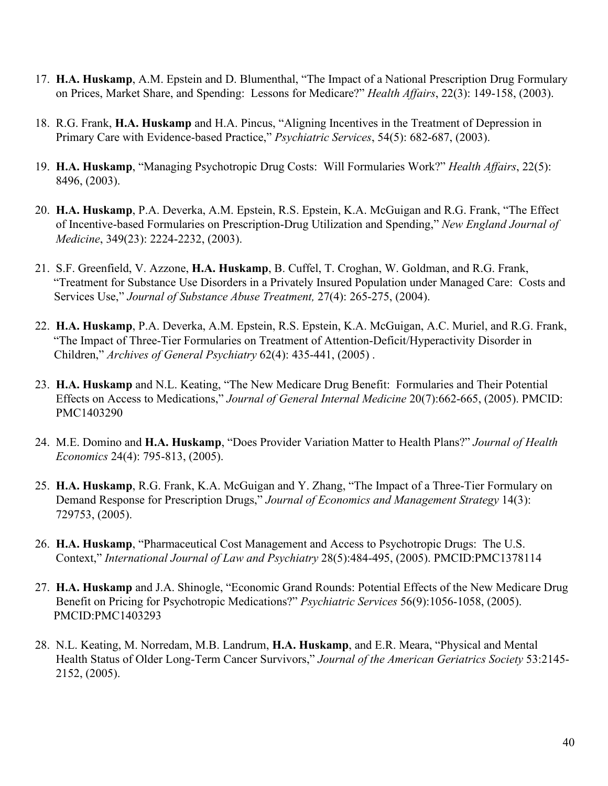- 17. **H.A. Huskamp**, A.M. Epstein and D. Blumenthal, "The Impact of a National Prescription Drug Formulary on Prices, Market Share, and Spending: Lessons for Medicare?" *Health Affairs*, 22(3): 149-158, (2003).
- 18. R.G. Frank, **H.A. Huskamp** and H.A. Pincus, "Aligning Incentives in the Treatment of Depression in Primary Care with Evidence-based Practice," *Psychiatric Services*, 54(5): 682-687, (2003).
- 19. **H.A. Huskamp**, "Managing Psychotropic Drug Costs: Will Formularies Work?" *Health Affairs*, 22(5): 8496, (2003).
- 20. **H.A. Huskamp**, P.A. Deverka, A.M. Epstein, R.S. Epstein, K.A. McGuigan and R.G. Frank, "The Effect of Incentive-based Formularies on Prescription-Drug Utilization and Spending," *New England Journal of Medicine*, 349(23): 2224-2232, (2003).
- 21. S.F. Greenfield, V. Azzone, **H.A. Huskamp**, B. Cuffel, T. Croghan, W. Goldman, and R.G. Frank, "Treatment for Substance Use Disorders in a Privately Insured Population under Managed Care: Costs and Services Use," *Journal of Substance Abuse Treatment,* 27(4): 265-275, (2004).
- 22. **H.A. Huskamp**, P.A. Deverka, A.M. Epstein, R.S. Epstein, K.A. McGuigan, A.C. Muriel, and R.G. Frank, "The Impact of Three-Tier Formularies on Treatment of Attention-Deficit/Hyperactivity Disorder in Children," *Archives of General Psychiatry* 62(4): 435-441, (2005) .
- 23. **H.A. Huskamp** and N.L. Keating, "The New Medicare Drug Benefit: Formularies and Their Potential Effects on Access to Medications," *Journal of General Internal Medicine* 20(7):662-665, (2005). PMCID: PMC1403290
- 24. M.E. Domino and **H.A. Huskamp**, "Does Provider Variation Matter to Health Plans?" *Journal of Health Economics* 24(4): 795-813, (2005).
- 25. **H.A. Huskamp**, R.G. Frank, K.A. McGuigan and Y. Zhang, "The Impact of a Three-Tier Formulary on Demand Response for Prescription Drugs," *Journal of Economics and Management Strategy* 14(3): 729753, (2005).
- 26. **H.A. Huskamp**, "Pharmaceutical Cost Management and Access to Psychotropic Drugs: The U.S. Context," *International Journal of Law and Psychiatry* 28(5):484-495, (2005). PMCID:PMC1378114
- 27. **H.A. Huskamp** and J.A. Shinogle, "Economic Grand Rounds: Potential Effects of the New Medicare Drug Benefit on Pricing for Psychotropic Medications?" *Psychiatric Services* 56(9):1056-1058, (2005). PMCID:PMC1403293
- 28. N.L. Keating, M. Norredam, M.B. Landrum, **H.A. Huskamp**, and E.R. Meara, "Physical and Mental Health Status of Older Long-Term Cancer Survivors," *Journal of the American Geriatrics Society* 53:2145- 2152, (2005).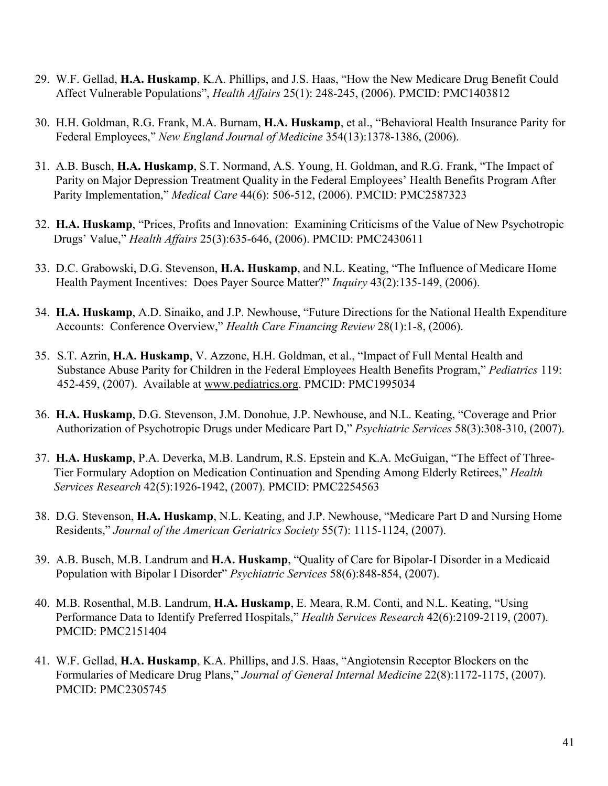- 29. W.F. Gellad, **H.A. Huskamp**, K.A. Phillips, and J.S. Haas, "How the New Medicare Drug Benefit Could Affect Vulnerable Populations", *Health Affairs* 25(1): 248-245, (2006). PMCID: PMC1403812
- 30. H.H. Goldman, R.G. Frank, M.A. Burnam, **H.A. Huskamp**, et al., "Behavioral Health Insurance Parity for Federal Employees," *New England Journal of Medicine* 354(13):1378-1386, (2006).
- 31. A.B. Busch, **H.A. Huskamp**, S.T. Normand, A.S. Young, H. Goldman, and R.G. Frank, "The Impact of Parity on Major Depression Treatment Quality in the Federal Employees' Health Benefits Program After Parity Implementation," *Medical Care* 44(6): 506-512, (2006). PMCID: PMC2587323
- 32. **H.A. Huskamp**, "Prices, Profits and Innovation: Examining Criticisms of the Value of New Psychotropic Drugs' Value," *Health Affairs* 25(3):635-646, (2006). PMCID: PMC2430611
- 33. D.C. Grabowski, D.G. Stevenson, **H.A. Huskamp**, and N.L. Keating, "The Influence of Medicare Home Health Payment Incentives: Does Payer Source Matter?" *Inquiry* 43(2):135-149, (2006).
- 34. **H.A. Huskamp**, A.D. Sinaiko, and J.P. Newhouse, "Future Directions for the National Health Expenditure Accounts: Conference Overview," *Health Care Financing Review* 28(1):1-8, (2006).
- 35. S.T. Azrin, **H.A. Huskamp**, V. Azzone, H.H. Goldman, et al., "Impact of Full Mental Health and Substance Abuse Parity for Children in the Federal Employees Health Benefits Program," *Pediatrics* 119: 452-459, (2007). Available at [www.pediatrics.org.](http://www.pediatrics.org/) PMCID: PMC1995034
- 36. **H.A. Huskamp**, D.G. Stevenson, J.M. Donohue, J.P. Newhouse, and N.L. Keating, "Coverage and Prior Authorization of Psychotropic Drugs under Medicare Part D," *Psychiatric Services* 58(3):308-310, (2007).
- 37. **H.A. Huskamp**, P.A. Deverka, M.B. Landrum, R.S. Epstein and K.A. McGuigan, "The Effect of Three-Tier Formulary Adoption on Medication Continuation and Spending Among Elderly Retirees," *Health Services Research* 42(5):1926-1942, (2007). PMCID: PMC2254563
- 38. D.G. Stevenson, **H.A. Huskamp**, N.L. Keating, and J.P. Newhouse, "Medicare Part D and Nursing Home Residents," *Journal of the American Geriatrics Society* 55(7): 1115-1124, (2007).
- 39. A.B. Busch, M.B. Landrum and **H.A. Huskamp**, "Quality of Care for Bipolar-I Disorder in a Medicaid Population with Bipolar I Disorder" *Psychiatric Services* 58(6):848-854, (2007).
- 40. M.B. Rosenthal, M.B. Landrum, **H.A. Huskamp**, E. Meara, R.M. Conti, and N.L. Keating, "Using Performance Data to Identify Preferred Hospitals," *Health Services Research* 42(6):2109-2119, (2007). PMCID: PMC2151404
- 41. W.F. Gellad, **H.A. Huskamp**, K.A. Phillips, and J.S. Haas, "Angiotensin Receptor Blockers on the Formularies of Medicare Drug Plans," *Journal of General Internal Medicine* 22(8):1172-1175, (2007). PMCID: PMC2305745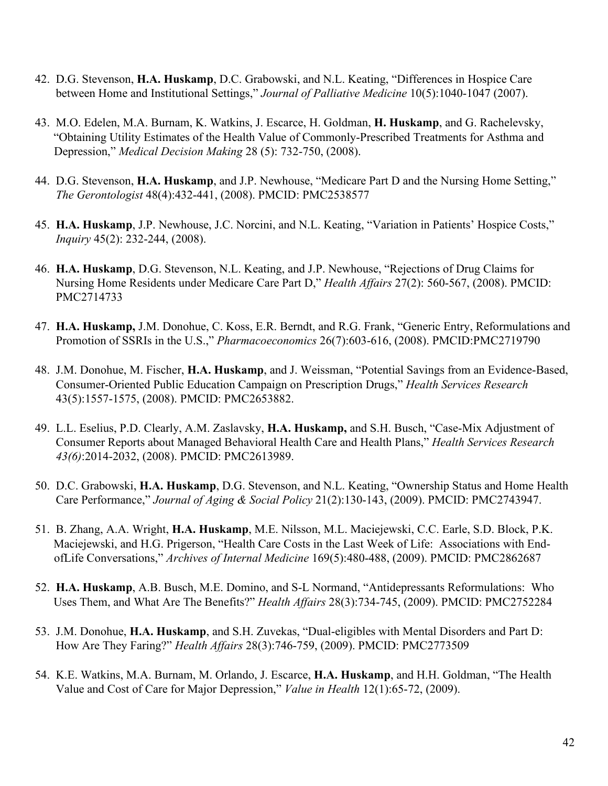- 42. D.G. Stevenson, **H.A. Huskamp**, D.C. Grabowski, and N.L. Keating, "Differences in Hospice Care between Home and Institutional Settings," *Journal of Palliative Medicine* 10(5):1040-1047 (2007).
- 43. M.O. Edelen, M.A. Burnam, K. Watkins, J. Escarce, H. Goldman, **H. Huskamp**, and G. Rachelevsky, "Obtaining Utility Estimates of the Health Value of Commonly-Prescribed Treatments for Asthma and Depression," *Medical Decision Making* 28 (5): 732-750, (2008).
- 44. D.G. Stevenson, **H.A. Huskamp**, and J.P. Newhouse, "Medicare Part D and the Nursing Home Setting," *The Gerontologist* 48(4):432-441, (2008). PMCID: PMC2538577
- 45. **H.A. Huskamp**, J.P. Newhouse, J.C. Norcini, and N.L. Keating, "Variation in Patients' Hospice Costs," *Inquiry* 45(2): 232-244, (2008).
- 46. **H.A. Huskamp**, D.G. Stevenson, N.L. Keating, and J.P. Newhouse, "Rejections of Drug Claims for Nursing Home Residents under Medicare Care Part D," *Health Affairs* 27(2): 560-567, (2008). PMCID: PMC2714733
- 47. **H.A. Huskamp,** J.M. Donohue, C. Koss, E.R. Berndt, and R.G. Frank, "Generic Entry, Reformulations and Promotion of SSRIs in the U.S.," *Pharmacoeconomics* 26(7):603-616, (2008). PMCID:PMC2719790
- 48. J.M. Donohue, M. Fischer, **H.A. Huskamp**, and J. Weissman, "Potential Savings from an Evidence-Based, Consumer-Oriented Public Education Campaign on Prescription Drugs," *Health Services Research* 43(5):1557-1575, (2008). PMCID: PMC2653882.
- 49. L.L. Eselius, P.D. Clearly, A.M. Zaslavsky, **H.A. Huskamp,** and S.H. Busch, "Case-Mix Adjustment of Consumer Reports about Managed Behavioral Health Care and Health Plans," *Health Services Research 43(6)*:2014-2032, (2008). PMCID: PMC2613989.
- 50. D.C. Grabowski, **H.A. Huskamp**, D.G. Stevenson, and N.L. Keating, "Ownership Status and Home Health Care Performance," *Journal of Aging & Social Policy* 21(2):130-143, (2009). PMCID: PMC2743947.
- 51. B. Zhang, A.A. Wright, **H.A. Huskamp**, M.E. Nilsson, M.L. Maciejewski, C.C. Earle, S.D. Block, P.K. Maciejewski, and H.G. Prigerson, "Health Care Costs in the Last Week of Life: Associations with EndofLife Conversations," *Archives of Internal Medicine* 169(5):480-488, (2009). PMCID: PMC2862687
- 52. **H.A. Huskamp**, A.B. Busch, M.E. Domino, and S-L Normand, "Antidepressants Reformulations: Who Uses Them, and What Are The Benefits?" *Health Affairs* 28(3):734-745, (2009). PMCID: PMC2752284
- 53. J.M. Donohue, **H.A. Huskamp**, and S.H. Zuvekas, "Dual-eligibles with Mental Disorders and Part D: How Are They Faring?" *Health Affairs* 28(3):746-759, (2009). PMCID: PMC2773509
- 54. K.E. Watkins, M.A. Burnam, M. Orlando, J. Escarce, **H.A. Huskamp**, and H.H. Goldman, "The Health Value and Cost of Care for Major Depression," *Value in Health* 12(1):65-72, (2009).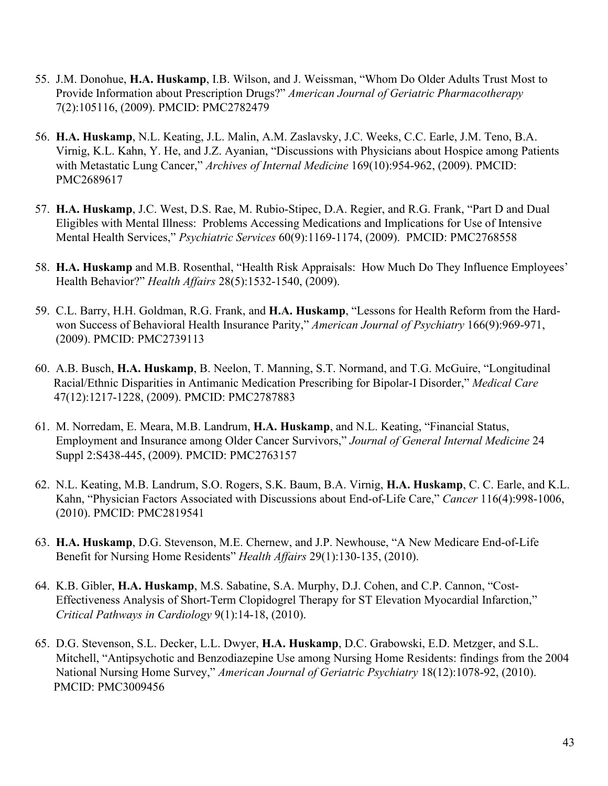- 55. J.M. Donohue, **H.A. Huskamp**, I.B. Wilson, and J. Weissman, "Whom Do Older Adults Trust Most to Provide Information about Prescription Drugs?" *American Journal of Geriatric Pharmacotherapy* 7(2):105116, (2009). PMCID: PMC2782479
- 56. **H.A. Huskamp**, N.L. Keating, J.L. Malin, A.M. Zaslavsky, J.C. Weeks, C.C. Earle, J.M. Teno, B.A. Virnig, K.L. Kahn, Y. He, and J.Z. Ayanian, "Discussions with Physicians about Hospice among Patients with Metastatic Lung Cancer," *Archives of Internal Medicine* 169(10):954-962, (2009). PMCID: PMC2689617
- 57. **H.A. Huskamp**, J.C. West, D.S. Rae, M. Rubio-Stipec, D.A. Regier, and R.G. Frank, "Part D and Dual Eligibles with Mental Illness: Problems Accessing Medications and Implications for Use of Intensive Mental Health Services," *Psychiatric Services* 60(9):1169-1174, (2009). PMCID: PMC2768558
- 58. **H.A. Huskamp** and M.B. Rosenthal, "Health Risk Appraisals: How Much Do They Influence Employees' Health Behavior?" *Health Affairs* 28(5):1532-1540, (2009).
- 59. C.L. Barry, H.H. Goldman, R.G. Frank, and **H.A. Huskamp**, "Lessons for Health Reform from the Hardwon Success of Behavioral Health Insurance Parity," *American Journal of Psychiatry* 166(9):969-971, (2009). PMCID: PMC2739113
- 60. A.B. Busch, **H.A. Huskamp**, B. Neelon, T. Manning, S.T. Normand, and T.G. McGuire, "Longitudinal Racial/Ethnic Disparities in Antimanic Medication Prescribing for Bipolar-I Disorder," *Medical Care* 47(12):1217-1228, (2009). PMCID: PMC2787883
- 61. M. Norredam, E. Meara, M.B. Landrum, **H.A. Huskamp**, and N.L. Keating, "Financial Status, Employment and Insurance among Older Cancer Survivors," *Journal of General Internal Medicine* 24 Suppl 2:S438-445, (2009). PMCID: PMC2763157
- 62. N.L. Keating, M.B. Landrum, S.O. Rogers, S.K. Baum, B.A. Virnig, **H.A. Huskamp**, C. C. Earle, and K.L. Kahn, "Physician Factors Associated with Discussions about End-of-Life Care," *Cancer* 116(4):998-1006, (2010). PMCID: PMC2819541
- 63. **H.A. Huskamp**, D.G. Stevenson, M.E. Chernew, and J.P. Newhouse, "A New Medicare End-of-Life Benefit for Nursing Home Residents" *Health Affairs* 29(1):130-135, (2010).
- 64. K.B. Gibler, **H.A. Huskamp**, M.S. Sabatine, S.A. Murphy, D.J. Cohen, and C.P. Cannon, "Cost-Effectiveness Analysis of Short-Term Clopidogrel Therapy for ST Elevation Myocardial Infarction," *Critical Pathways in Cardiology* 9(1):14-18, (2010).
- 65. D.G. Stevenson, S.L. Decker, L.L. Dwyer, **H.A. Huskamp**, D.C. Grabowski, E.D. Metzger, and S.L. Mitchell, "Antipsychotic and Benzodiazepine Use among Nursing Home Residents: findings from the 2004 National Nursing Home Survey," *American Journal of Geriatric Psychiatry* 18(12):1078-92, (2010). PMCID: PMC3009456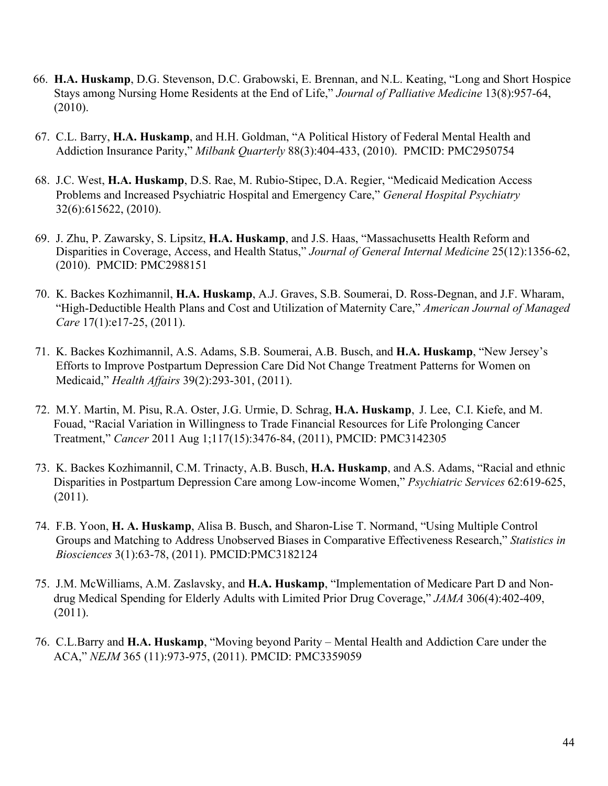- 66. **H.A. Huskamp**, D.G. Stevenson, D.C. Grabowski, E. Brennan, and N.L. Keating, "Long and Short Hospice Stays among Nursing Home Residents at the End of Life," *Journal of Palliative Medicine* 13(8):957-64, (2010).
- 67. C.L. Barry, **H.A. Huskamp**, and H.H. Goldman, "A Political History of Federal Mental Health and Addiction Insurance Parity," *Milbank Quarterly* 88(3):404-433, (2010).PMCID: PMC2950754
- 68. J.C. West, **H.A. Huskamp**, D.S. Rae, M. Rubio-Stipec, D.A. Regier, "Medicaid Medication Access Problems and Increased Psychiatric Hospital and Emergency Care," *General Hospital Psychiatry* 32(6):615622, (2010).
- 69. J. Zhu, P. Zawarsky, S. Lipsitz, **H.A. Huskamp**, and J.S. Haas, "Massachusetts Health Reform and Disparities in Coverage, Access, and Health Status," *Journal of General Internal Medicine* 25(12):1356-62, (2010). PMCID: PMC2988151
- 70. K. Backes Kozhimannil, **H.A. Huskamp**, A.J. Graves, S.B. Soumerai, D. Ross-Degnan, and J.F. Wharam, "High-Deductible Health Plans and Cost and Utilization of Maternity Care," *American Journal of Managed Care* 17(1):e17-25, (2011).
- 71. K. Backes Kozhimannil, A.S. Adams, S.B. Soumerai, A.B. Busch, and **H.A. Huskamp**, "New Jersey's Efforts to Improve Postpartum Depression Care Did Not Change Treatment Patterns for Women on Medicaid," *Health Affairs* 39(2):293-301, (2011).
- 72. M.Y. Martin, M. Pisu, R.A. Oster, J.G. Urmie, D. Schrag, **H.A. Huskamp**, J. Lee, C.I. Kiefe, and M. Fouad, "Racial Variation in Willingness to Trade Financial Resources for Life Prolonging Cancer Treatment," *Cancer* 2011 Aug 1;117(15):3476-84, (2011), PMCID: PMC3142305
- 73. K. Backes Kozhimannil, C.M. Trinacty, A.B. Busch, **H.A. Huskamp**, and A.S. Adams, "Racial and ethnic Disparities in Postpartum Depression Care among Low-income Women," *Psychiatric Services* 62:619-625, (2011).
- 74. F.B. Yoon, **H. A. Huskamp**, Alisa B. Busch, and Sharon-Lise T. Normand, "Using Multiple Control Groups and Matching to Address Unobserved Biases in Comparative Effectiveness Research," *Statistics in Biosciences* 3(1):63-78, (2011). PMCID:PMC3182124
- 75. J.M. McWilliams, A.M. Zaslavsky, and **H.A. Huskamp**, "Implementation of Medicare Part D and Nondrug Medical Spending for Elderly Adults with Limited Prior Drug Coverage," *JAMA* 306(4):402-409, (2011).
- 76. C.L.Barry and **H.A. Huskamp**, "Moving beyond Parity Mental Health and Addiction Care under the ACA," *NEJM* 365 (11):973-975, (2011). PMCID: PMC3359059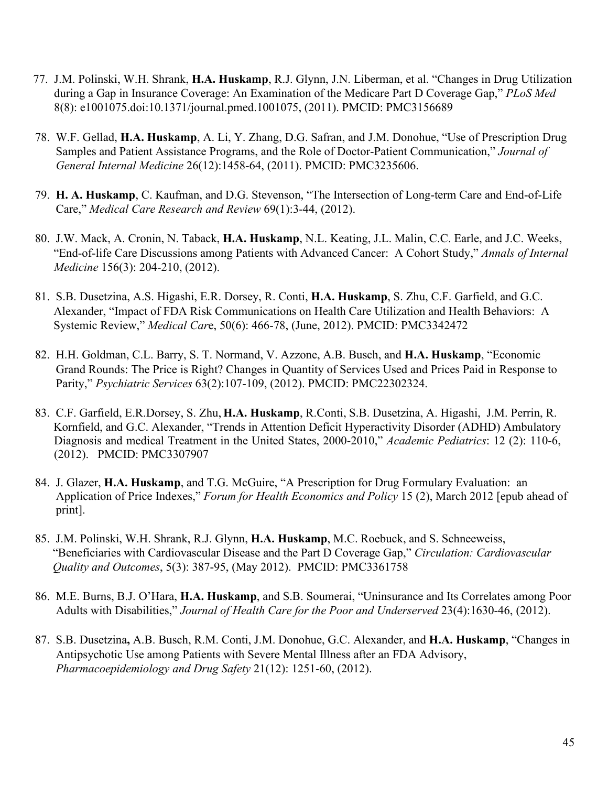- 77. J.M. Polinski, W.H. Shrank, **H.A. Huskamp**, R.J. Glynn, J.N. Liberman, et al. "Changes in Drug Utilization during a Gap in Insurance Coverage: An Examination of the Medicare Part D Coverage Gap," *PLoS Med* 8(8): e1001075.doi:10.1371/journal.pmed.1001075, (2011). PMCID: PMC3156689
- 78. W.F. Gellad, **H.A. Huskamp**, A. Li, Y. Zhang, D.G. Safran, and J.M. Donohue, "Use of Prescription Drug Samples and Patient Assistance Programs, and the Role of Doctor-Patient Communication," *Journal of General Internal Medicine* 26(12):1458-64, (2011). PMCID: PMC3235606.
- 79. **H. A. Huskamp**, C. Kaufman, and D.G. Stevenson, "The Intersection of Long-term Care and End-of-Life Care," *Medical Care Research and Review* 69(1):3-44, (2012).
- 80. J.W. Mack, A. Cronin, N. Taback, **H.A. Huskamp**, N.L. Keating, J.L. Malin, C.C. Earle, and J.C. Weeks, "End-of-life Care Discussions among Patients with Advanced Cancer: A Cohort Study," *Annals of Internal Medicine* 156(3): 204-210, (2012).
- 81. S.B. Dusetzina, A.S. Higashi, E.R. Dorsey, R. Conti, **H.A. Huskamp**, S. Zhu, C.F. Garfield, and G.C. Alexander, "Impact of FDA Risk Communications on Health Care Utilization and Health Behaviors: A Systemic Review," *Medical Car*e, 50(6): 466-78, (June, 2012). PMCID: PMC3342472
- 82. H.H. Goldman, C.L. Barry, S. T. Normand, V. Azzone, A.B. Busch, and **H.A. Huskamp**, "Economic Grand Rounds: The Price is Right? Changes in Quantity of Services Used and Prices Paid in Response to Parity," *Psychiatric Services* 63(2):107-109, (2012). PMCID: PMC22302324.
- 83. C.F. Garfield, E.R.Dorsey, S. Zhu, **H.A. Huskamp**, R.Conti, S.B. Dusetzina, A. Higashi, J.M. Perrin, R. Kornfield, and G.C. Alexander, "Trends in Attention Deficit Hyperactivity Disorder (ADHD) Ambulatory Diagnosis and medical Treatment in the United States, 2000-2010," *Academic Pediatrics*: 12 (2): 110-6, (2012). PMCID: PMC3307907
- 84. J. Glazer, **H.A. Huskamp**, and T.G. McGuire, "A Prescription for Drug Formulary Evaluation: an Application of Price Indexes," *Forum for Health Economics and Policy* 15 (2), March 2012 [epub ahead of print].
- 85. J.M. Polinski, W.H. Shrank, R.J. Glynn, **H.A. Huskamp**, M.C. Roebuck, and S. Schneeweiss, "Beneficiaries with Cardiovascular Disease and the Part D Coverage Gap," *Circulation: Cardiovascular Quality and Outcomes*, 5(3): 387-95, (May 2012). PMCID: PMC3361758
- 86. M.E. Burns, B.J. O'Hara, **H.A. Huskamp**, and S.B. Soumerai, "Uninsurance and Its Correlates among Poor Adults with Disabilities," *Journal of Health Care for the Poor and Underserved* 23(4):1630-46, (2012).
- 87. S.B. Dusetzina**,** A.B. Busch, R.M. Conti, J.M. Donohue, G.C. Alexander, and **H.A. Huskamp**, "Changes in Antipsychotic Use among Patients with Severe Mental Illness after an FDA Advisory, *Pharmacoepidemiology and Drug Safety* 21(12): 1251-60, (2012).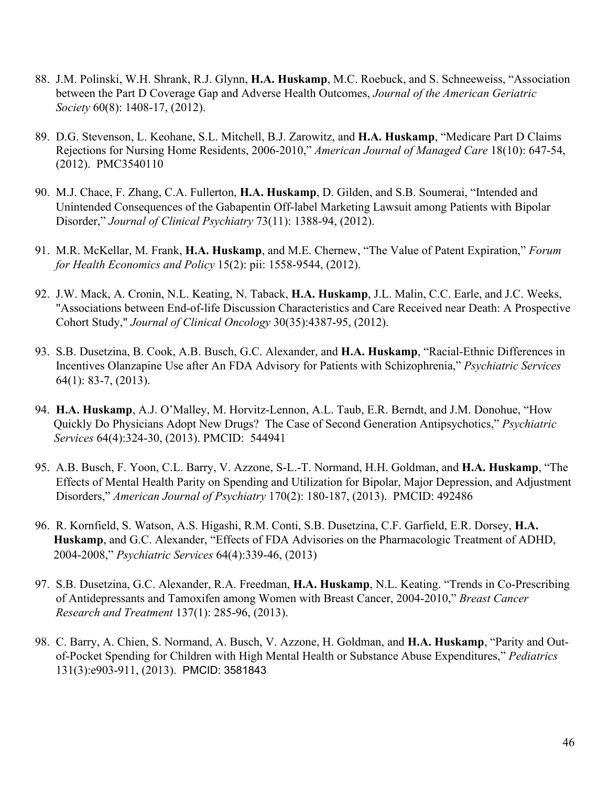- 88. J.M. Polinski, W.H. Shrank, R.J. Glynn, **H.A. Huskamp**, M.C. Roebuck, and S. Schneeweiss, "Association between the Part D Coverage Gap and Adverse Health Outcomes, *Journal of the American Geriatric Society* 60(8): 1408-17, (2012).
- 89. D.G. Stevenson, L. Keohane, S.L. Mitchell, B.J. Zarowitz, and **H.A. Huskamp**, "Medicare Part D Claims Rejections for Nursing Home Residents, 2006-2010," *American Journal of Managed Care* 18(10): 647-54, (2012). PMC3540110
- 90. M.J. Chace, F. Zhang, C.A. Fullerton, **H.A. Huskamp**, D. Gilden, and S.B. Soumerai, "Intended and Unintended Consequences of the Gabapentin Off-label Marketing Lawsuit among Patients with Bipolar Disorder," *Journal of Clinical Psychiatry* 73(11): 1388-94, (2012).
- 91. M.R. McKellar, M. Frank, **H.A. Huskamp**, and M.E. Chernew, "The Value of Patent Expiration," *Forum for Health Economics and Policy* 15(2): pii: 1558-9544, (2012).
- 92. J.W. Mack, A. Cronin, N.L. Keating, N. Taback, **H.A. Huskamp**, J.L. Malin, C.C. Earle, and J.C. Weeks, "Associations between End-of-life Discussion Characteristics and Care Received near Death: A Prospective Cohort Study," *Journal of Clinical Oncology* 30(35):4387-95, (2012).
- 93. S.B. Dusetzina, B. Cook, A.B. Busch, G.C. Alexander, and **H.A. Huskamp**, "Racial-Ethnic Differences in Incentives Olanzapine Use after An FDA Advisory for Patients with Schizophrenia," *Psychiatric Services* 64(1): 83-7, (2013).
- 94. **H.A. Huskamp**, A.J. O'Malley, M. Horvitz-Lennon, A.L. Taub, E.R. Berndt, and J.M. Donohue, "How Quickly Do Physicians Adopt New Drugs? The Case of Second Generation Antipsychotics," *Psychiatric Services* 64(4):324-30, (2013). PMCID: 544941
- 95. A.B. Busch, F. Yoon, C.L. Barry, V. Azzone, S-L.-T. Normand, H.H. Goldman, and **H.A. Huskamp**, "The Effects of Mental Health Parity on Spending and Utilization for Bipolar, Major Depression, and Adjustment Disorders," *American Journal of Psychiatry* 170(2): 180-187, (2013). PMCID: 492486
- 96. R. Kornfield, S. Watson, A.S. Higashi, R.M. Conti, S.B. Dusetzina, C.F. Garfield, E.R. Dorsey, **H.A. Huskamp**, and G.C. Alexander, "Effects of FDA Advisories on the Pharmacologic Treatment of ADHD, 2004-2008," *Psychiatric Services* 64(4):339-46, (2013)
- 97. S.B. Dusetzina, G.C. Alexander, R.A. Freedman, **H.A. Huskamp**, N.L. Keating. "Trends in Co-Prescribing of Antidepressants and Tamoxifen among Women with Breast Cancer, 2004-2010," *Breast Cancer Research and Treatment* 137(1): 285-96, (2013).
- 98. C. Barry, A. Chien, S. Normand, A. Busch, V. Azzone, H. Goldman, and **H.A. Huskamp**, "Parity and Outof-Pocket Spending for Children with High Mental Health or Substance Abuse Expenditures," *Pediatrics* 131(3):e903-911, (2013). PMCID: 3581843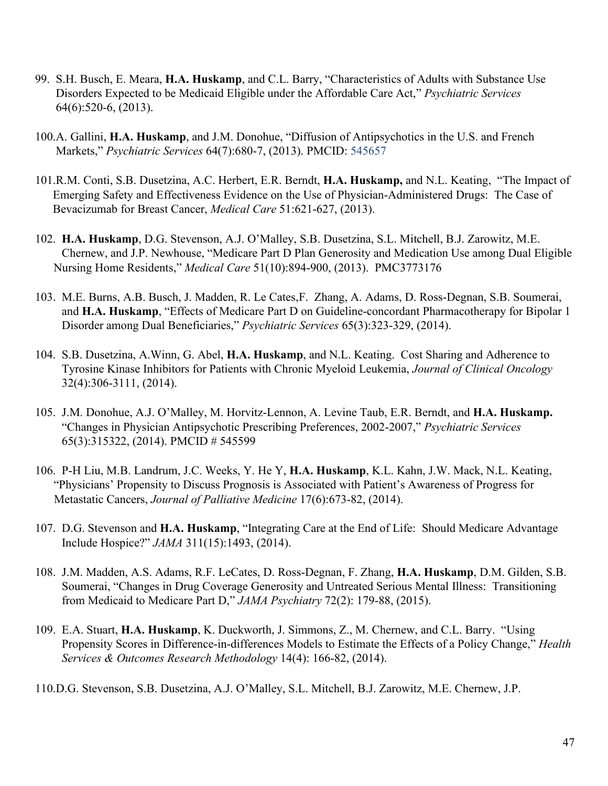- 99. S.H. Busch, E. Meara, **H.A. Huskamp**, and C.L. Barry, "Characteristics of Adults with Substance Use Disorders Expected to be Medicaid Eligible under the Affordable Care Act," *Psychiatric Services* 64(6):520-6, (2013).
- 100.A. Gallini, **H.A. Huskamp**, and J.M. Donohue, "Diffusion of Antipsychotics in the U.S. and French Markets," *Psychiatric Services* 64(7):680-7, (2013). PMCID: 545657
- 101.R.M. Conti, S.B. Dusetzina, A.C. Herbert, E.R. Berndt, **H.A. Huskamp,** and N.L. Keating, "The Impact of Emerging Safety and Effectiveness Evidence on the Use of Physician-Administered Drugs: The Case of Bevacizumab for Breast Cancer, *Medical Care* 51:621-627, (2013).
- 102. **H.A. Huskamp**, D.G. Stevenson, A.J. O'Malley, S.B. Dusetzina, S.L. Mitchell, B.J. Zarowitz, M.E. Chernew, and J.P. Newhouse, "Medicare Part D Plan Generosity and Medication Use among Dual Eligible Nursing Home Residents," *Medical Care* 51(10):894-900, (2013). PMC3773176
- 103. M.E. Burns, A.B. Busch, J. Madden, R. Le Cates,F. Zhang, A. Adams, D. Ross-Degnan, S.B. Soumerai, and **H.A. Huskamp**, "Effects of Medicare Part D on Guideline-concordant Pharmacotherapy for Bipolar 1 Disorder among Dual Beneficiaries," *Psychiatric Services* 65(3):323-329, (2014).
- 104. S.B. Dusetzina, A.Winn, G. Abel, **H.A. Huskamp**, and N.L. Keating. Cost Sharing and Adherence to Tyrosine Kinase Inhibitors for Patients with Chronic Myeloid Leukemia, *Journal of Clinical Oncology* 32(4):306-3111, (2014).
- 105. J.M. Donohue, A.J. O'Malley, M. Horvitz-Lennon, A. Levine Taub, E.R. Berndt, and **H.A. Huskamp.**  "Changes in Physician Antipsychotic Prescribing Preferences, 2002-2007," *Psychiatric Services* 65(3):315322, (2014). PMCID # 545599
- 106. P-H Liu, M.B. Landrum, J.C. Weeks, Y. He Y, **H.A. Huskamp**, K.L. Kahn, J.W. Mack, N.L. Keating, "Physicians' Propensity to Discuss Prognosis is Associated with Patient's Awareness of Progress for Metastatic Cancers, *Journal of Palliative Medicine* 17(6):673-82, (2014).
- 107. D.G. Stevenson and **H.A. Huskamp**, "Integrating Care at the End of Life: Should Medicare Advantage Include Hospice?" *JAMA* 311(15):1493, (2014).
- 108. J.M. Madden, A.S. Adams, R.F. LeCates, D. Ross-Degnan, F. Zhang, **H.A. Huskamp**, D.M. Gilden, S.B. Soumerai, "Changes in Drug Coverage Generosity and Untreated Serious Mental Illness: Transitioning from Medicaid to Medicare Part D," *JAMA Psychiatry* 72(2): 179-88, (2015).
- 109. E.A. Stuart, **H.A. Huskamp**, K. Duckworth, J. Simmons, Z., M. Chernew, and C.L. Barry. "Using Propensity Scores in Difference-in-differences Models to Estimate the Effects of a Policy Change," *Health Services & Outcomes Research Methodology* 14(4): 166-82, (2014).
- 110.D.G. Stevenson, S.B. Dusetzina, A.J. O'Malley, S.L. Mitchell, B.J. Zarowitz, M.E. Chernew, J.P.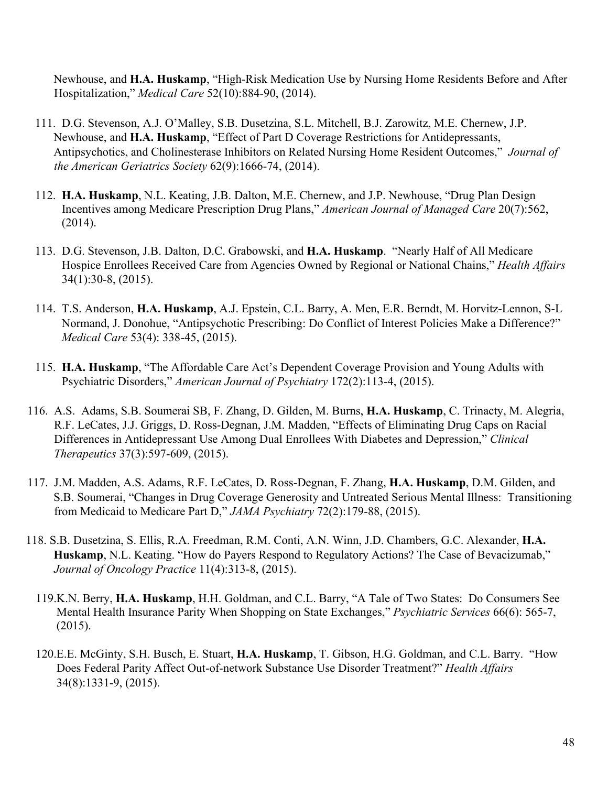Newhouse, and **H.A. Huskamp**, "High-Risk Medication Use by Nursing Home Residents Before and After Hospitalization," *Medical Care* 52(10):884-90, (2014).

- 111. D.G. Stevenson, A.J. O'Malley, S.B. Dusetzina, S.L. Mitchell, B.J. Zarowitz, M.E. Chernew, J.P. Newhouse, and **H.A. Huskamp**, "Effect of Part D Coverage Restrictions for Antidepressants, Antipsychotics, and Cholinesterase Inhibitors on Related Nursing Home Resident Outcomes," *Journal of the American Geriatrics Society* 62(9):1666-74, (2014).
- 112. **H.A. Huskamp**, N.L. Keating, J.B. Dalton, M.E. Chernew, and J.P. Newhouse, "Drug Plan Design Incentives among Medicare Prescription Drug Plans," *American Journal of Managed Care* 20(7):562, (2014).
- 113. D.G. Stevenson, J.B. Dalton, D.C. Grabowski, and **H.A. Huskamp**. "Nearly Half of All Medicare Hospice Enrollees Received Care from Agencies Owned by Regional or National Chains," *Health Affairs* 34(1):30-8, (2015).
- 114. T.S. Anderson, **H.A. Huskamp**, A.J. Epstein, C.L. Barry, A. Men, E.R. Berndt, M. Horvitz-Lennon, S-L Normand, J. Donohue, "Antipsychotic Prescribing: Do Conflict of Interest Policies Make a Difference?" *Medical Care* 53(4): 338-45, (2015).
- 115. **H.A. Huskamp**, "The Affordable Care Act's Dependent Coverage Provision and Young Adults with Psychiatric Disorders," *American Journal of Psychiatry* 172(2):113-4, (2015).
- 116. A.S. Adams, S.B. Soumerai SB, F. Zhang, D. Gilden, M. Burns, **H.A. Huskamp**, C. Trinacty, M. Alegria, R.F. LeCates, J.J. Griggs, D. Ross-Degnan, J.M. Madden, ["Effects of Eliminating Drug Caps on Racial](http://www-ncbi-nlm-nih-gov.ezp-prod1.hul.harvard.edu/pubmed/25620439)  [Differences in Antidepressant Use](http://www-ncbi-nlm-nih-gov.ezp-prod1.hul.harvard.edu/pubmed/25620439) [Among Dual Enrollees With Diabetes and Depression,"](http://www-ncbi-nlm-nih-gov.ezp-prod1.hul.harvard.edu/pubmed/25620439) *Clinical Therapeutics* 37(3):597-609, (2015).
- 117. J.M. Madden, A.S. Adams, R.F. LeCates, D. Ross-Degnan, F. Zhang, **H.A. Huskamp**, D.M. Gilden, and S.B. Soumerai, "Changes in Drug Coverage Generosity and Untreated Serious Mental Illness: Transitioning from Medicaid to Medicare Part D," *JAMA Psychiatry* 72(2):179-88, (2015).
- 118. S.B. Dusetzina, S. Ellis, R.A. Freedman, R.M. Conti, A.N. Winn, J.D. Chambers, G.C. Alexander, **H.A. Huskamp**, N.L. Keating. "How do Payers Respond to Regulatory Actions? The Case of Bevacizumab," *Journal of Oncology Practice* 11(4):313-8, (2015).
	- 119.K.N. Berry, **H.A. Huskamp**, H.H. Goldman, and C.L. Barry, "A Tale of Two States: Do Consumers See Mental Health Insurance Parity When Shopping on State Exchanges," *Psychiatric Services* 66(6): 565-7, (2015).
	- 120.E.E. McGinty, S.H. Busch, E. Stuart, **H.A. Huskamp**, T. Gibson, H.G. Goldman, and C.L. Barry. "How Does Federal Parity Affect Out-of-network Substance Use Disorder Treatment?" *Health Affairs* 34(8):1331-9, (2015).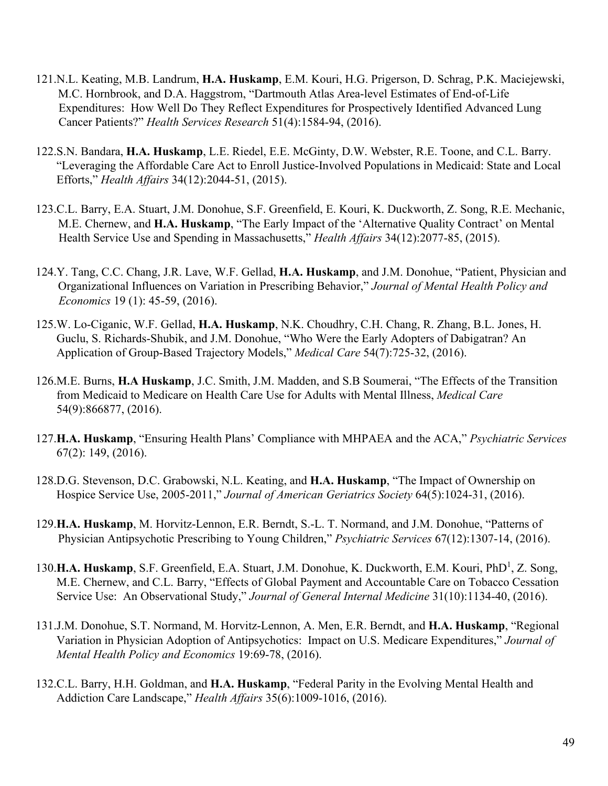- 121.N.L. Keating, M.B. Landrum, **H.A. Huskamp**, E.M. Kouri, H.G. Prigerson, D. Schrag, P.K. Maciejewski, M.C. Hornbrook, and D.A. Haggstrom, "Dartmouth Atlas Area-level Estimates of End-of-Life Expenditures: How Well Do They Reflect Expenditures for Prospectively Identified Advanced Lung Cancer Patients?" *Health Services Research* 51(4):1584-94, (2016).
- 122.S.N. Bandara, **H.A. Huskamp**, L.E. Riedel, E.E. McGinty, D.W. Webster, R.E. Toone, and C.L. Barry. "Leveraging the Affordable Care Act to Enroll Justice-Involved Populations in Medicaid: State and Local Efforts," *Health Affairs* 34(12):2044-51, (2015).
- 123.C.L. Barry, E.A. Stuart, J.M. Donohue, S.F. Greenfield, E. Kouri, K. Duckworth, Z. Song, R.E. Mechanic, M.E. Chernew, and **H.A. Huskamp**, "The Early Impact of the 'Alternative Quality Contract' on Mental Health Service Use and Spending in Massachusetts," *Health Affairs* 34(12):2077-85, (2015).
- 124.Y. Tang, C.C. Chang, J.R. Lave, W.F. Gellad, **H.A. Huskamp**, and J.M. Donohue, "Patient, Physician and Organizational Influences on Variation in Prescribing Behavior," *Journal of Mental Health Policy and Economics* 19 (1): 45-59, (2016).
- 125.W. Lo-Ciganic, W.F. Gellad, **H.A. Huskamp**, N.K. Choudhry, C.H. Chang, R. Zhang, B.L. Jones, H. Guclu, S. Richards-Shubik, and J.M. Donohue, "Who Were the Early Adopters of Dabigatran? An Application of Group-Based Trajectory Models," *Medical Care* 54(7):725-32, (2016).
- 126.M.E. Burns, **H.A Huskamp**, J.C. Smith, J.M. Madden, and S.B Soumerai, "The Effects of the Transition from Medicaid to Medicare on Health Care Use for Adults with Mental Illness, *Medical Care* 54(9):866877, (2016).
- 127.**H.A. Huskamp**, "Ensuring Health Plans' Compliance with MHPAEA and the ACA," *Psychiatric Services* 67(2): 149, (2016).
- 128.D.G. Stevenson, D.C. Grabowski, N.L. Keating, and **H.A. Huskamp**, "The Impact of Ownership on Hospice Service Use, 2005-2011," *Journal of American Geriatrics Society* 64(5):1024-31, (2016).
- 129.**H.A. Huskamp**, M. Horvitz-Lennon, E.R. Berndt, S.-L. T. Normand, and J.M. Donohue, "Patterns of Physician Antipsychotic Prescribing to Young Children," *Psychiatric Services* 67(12):1307-14, (2016).
- 130.H.A. Huskamp, S.F. Greenfield, E.A. Stuart, J.M. Donohue, K. Duckworth, E.M. Kouri, PhD<sup>1</sup>, Z. Song, M.E. Chernew, and C.L. Barry, "Effects of Global Payment and Accountable Care on Tobacco Cessation Service Use: An Observational Study," *Journal of General Internal Medicine* 31(10):1134-40, (2016).
- 131.J.M. Donohue, S.T. Normand, M. Horvitz-Lennon, A. Men, E.R. Berndt, and **H.A. Huskamp**, "Regional Variation in Physician Adoption of Antipsychotics: Impact on U.S. Medicare Expenditures," *Journal of Mental Health Policy and Economics* 19:69-78, (2016).
- 132.C.L. Barry, H.H. Goldman, and **H.A. Huskamp**, "Federal Parity in the Evolving Mental Health and Addiction Care Landscape," *Health Affairs* 35(6):1009-1016, (2016).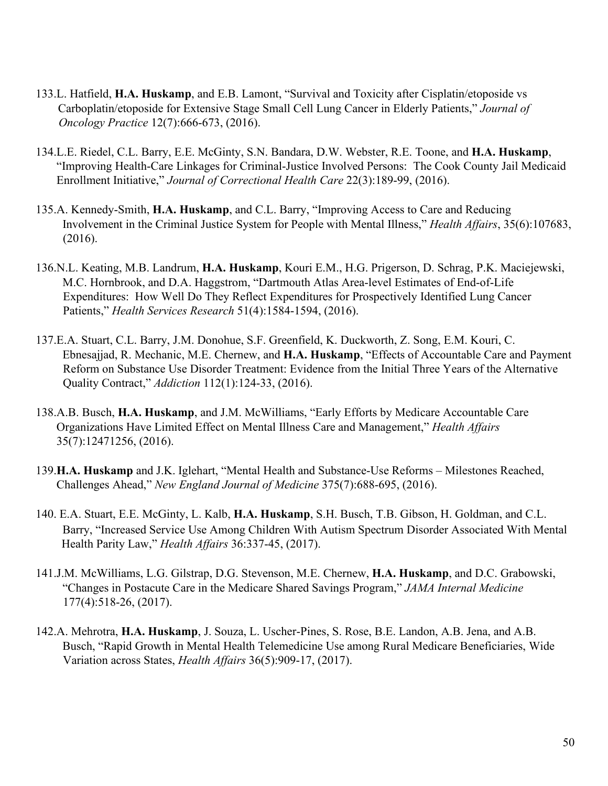- 133.L. Hatfield, **H.A. Huskamp**, and E.B. Lamont, "Survival and Toxicity after Cisplatin/etoposide vs Carboplatin/etoposide for Extensive Stage Small Cell Lung Cancer in Elderly Patients," *Journal of Oncology Practice* 12(7):666-673, (2016).
- 134.L.E. Riedel, C.L. Barry, E.E. McGinty, S.N. Bandara, D.W. Webster, R.E. Toone, and **H.A. Huskamp**, "Improving Health-Care Linkages for Criminal-Justice Involved Persons: The Cook County Jail Medicaid Enrollment Initiative," *Journal of Correctional Health Care* 22(3):189-99, (2016).
- 135.A. Kennedy-Smith, **H.A. Huskamp**, and C.L. Barry, "Improving Access to Care and Reducing Involvement in the Criminal Justice System for People with Mental Illness," *Health Affairs*, 35(6):107683, (2016).
- 136.N.L. Keating, M.B. Landrum, **H.A. Huskamp**, Kouri E.M., H.G. Prigerson, D. Schrag, P.K. Maciejewski, M.C. Hornbrook, and D.A. Haggstrom, "Dartmouth Atlas Area-level Estimates of End-of-Life Expenditures: How Well Do They Reflect Expenditures for Prospectively Identified Lung Cancer Patients," *Health Services Research* 51(4):1584-1594, (2016).
- 137.E.A. Stuart, C.L. Barry, J.M. Donohue, S.F. Greenfield, K. Duckworth, Z. Song, E.M. Kouri, C. Ebnesajjad, R. Mechanic, M.E. Chernew, and **H.A. Huskamp**, "Effects of Accountable Care and Payment Reform on Substance Use Disorder Treatment: Evidence from the Initial Three Years of the Alternative Quality Contract," *Addiction* 112(1):124-33, (2016).
- 138.A.B. Busch, **H.A. Huskamp**, and J.M. McWilliams, "Early Efforts by Medicare Accountable Care Organizations Have Limited Effect on Mental Illness Care and Management," *Health Affairs* 35(7):12471256, (2016).
- 139.**H.A. Huskamp** and J.K. Iglehart, "Mental Health and Substance-Use Reforms Milestones Reached, Challenges Ahead," *New England Journal of Medicine* 375(7):688-695, (2016).
- 140. E.A. Stuart, E.E. McGinty, L. Kalb, **H.A. Huskamp**, S.H. Busch, T.B. Gibson, H. Goldman, and C.L. Barry, "Increased Service Use Among Children With Autism Spectrum Disorder Associated With Mental Health Parity Law," *Health Affairs* 36:337-45, (2017).
- 141.J.M. McWilliams, L.G. Gilstrap, D.G. Stevenson, M.E. Chernew, **H.A. Huskamp**, and D.C. Grabowski, "Changes in Postacute Care in the Medicare Shared Savings Program," *JAMA Internal Medicine* 177(4):518-26, (2017).
- 142.A. Mehrotra, **H.A. Huskamp**, J. Souza, L. Uscher-Pines, S. Rose, B.E. Landon, A.B. Jena, and A.B. Busch, "Rapid Growth in Mental Health Telemedicine Use among Rural Medicare Beneficiaries, Wide Variation across States, *Health Affairs* 36(5):909-17, (2017).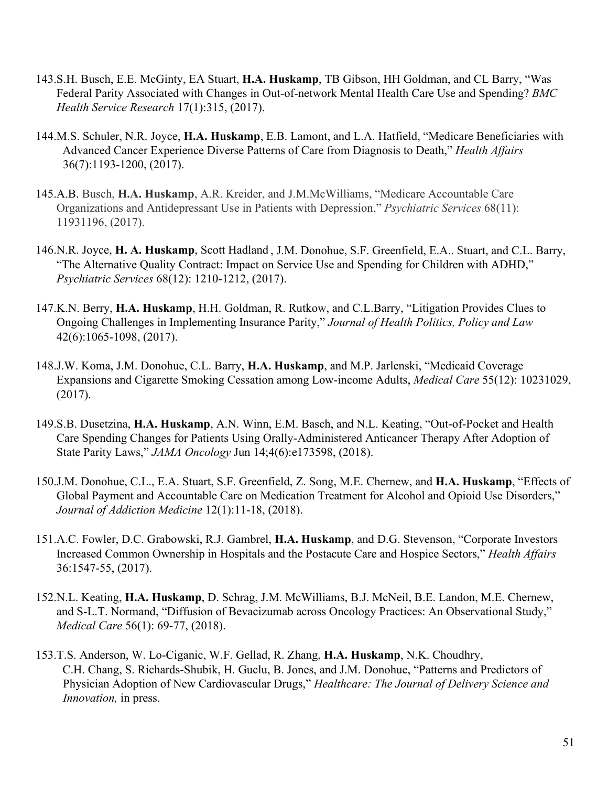- 143.S.H. Busch, E.E. McGinty, EA Stuart, **H.A. Huskamp**, TB Gibson, HH Goldman, and CL Barry, "Was Federal Parity Associated with Changes in Out-of-network Mental Health Care Use and Spending? *BMC Health Service Research* 17(1):315, (2017).
- 144.M.S. Schuler, N.R. Joyce, **H.A. Huskamp**, E.B. Lamont, and L.A. Hatfield, "Medicare Beneficiaries with Advanced Cancer Experience Diverse Patterns of Care from Diagnosis to Death," *Health Affairs* 36(7):1193-1200, (2017).
- 145.A.B. Busch, **H.A. Huskamp**, A.R. Kreider, and J.M.McWilliams, "Medicare Accountable Care Organizations and Antidepressant Use in Patients with Depression," *Psychiatric Services* 68(11): 11931196, (2017).
- 146.N.R. Joyce, **H. A. Huskamp**, Scott Hadland , J.M. Donohue, S.F. Greenfield, E.A.. Stuart, and C.L. Barry, "The Alternative Quality Contract: Impact on Service Use and Spending for Children with ADHD," *Psychiatric Services* 68(12): 1210-1212, (2017).
- 147.K.N. Berry, **H.A. Huskamp**, H.H. Goldman, R. Rutkow, and C.L.Barry, "Litigation Provides Clues to Ongoing Challenges in Implementing Insurance Parity," *Journal of Health Politics, Policy and Law* 42(6):1065-1098, (2017).
- 148.J.W. Koma, J.M. Donohue, C.L. Barry, **H.A. Huskamp**, and M.P. Jarlenski, "Medicaid Coverage Expansions and Cigarette Smoking Cessation among Low-income Adults, *Medical Care* 55(12): 10231029, (2017).
- 149.S.B. Dusetzina, **H.A. Huskamp**, A.N. Winn, E.M. Basch, and N.L. Keating, "Out-of-Pocket and Health Care Spending Changes for Patients Using Orally-Administered Anticancer Therapy After Adoption of State Parity Laws," *JAMA Oncology* Jun 14;4(6):e173598, (2018).
- 150.J.M. Donohue, C.L., E.A. Stuart, S.F. Greenfield, Z. Song, M.E. Chernew, and **H.A. Huskamp**, "Effects of Global Payment and Accountable Care on Medication Treatment for Alcohol and Opioid Use Disorders," *Journal of Addiction Medicine* 12(1):11-18, (2018).
- 151.A.C. Fowler, D.C. Grabowski, R.J. Gambrel, **H.A. Huskamp**, and D.G. Stevenson, "Corporate Investors Increased Common Ownership in Hospitals and the Postacute Care and Hospice Sectors," *Health Affairs* 36:1547-55, (2017).
- 152.N.L. Keating, **H.A. Huskamp**, D. Schrag, J.M. McWilliams, B.J. McNeil, B.E. Landon, M.E. Chernew, and S-L.T. Normand, "Diffusion of Bevacizumab across Oncology Practices: An Observational Study," *Medical Care* 56(1): 69-77, (2018).
- 153.T.S. Anderson, W. Lo-Ciganic, W.F. Gellad, R. Zhang, **H.A. Huskamp**, N.K. Choudhry, C.H. Chang, S. Richards-Shubik, H. Guclu, B. Jones, and J.M. Donohue, "Patterns and Predictors of Physician Adoption of New Cardiovascular Drugs," *Healthcare: The Journal of Delivery Science and Innovation,* in press.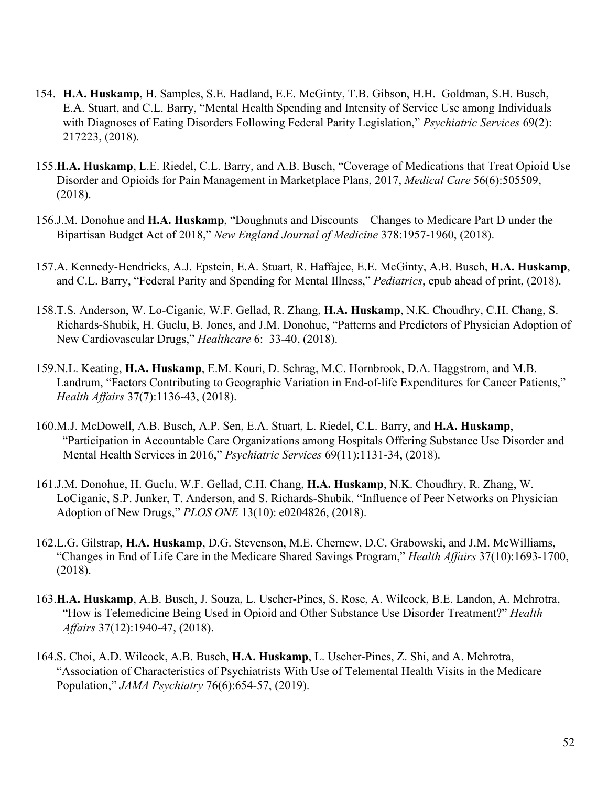- 154. **H.A. Huskamp**, H. Samples, S.E. Hadland, E.E. McGinty, T.B. Gibson, H.H. Goldman, S.H. Busch, E.A. Stuart, and C.L. Barry, "Mental Health Spending and Intensity of Service Use among Individuals with Diagnoses of Eating Disorders Following Federal Parity Legislation," *Psychiatric Services* 69(2): 217223, (2018).
- 155.**H.A. Huskamp**, L.E. Riedel, C.L. Barry, and A.B. Busch, "Coverage of Medications that Treat Opioid Use Disorder and Opioids for Pain Management in Marketplace Plans, 2017, *Medical Care* 56(6):505509, (2018).
- 156.J.M. Donohue and **H.A. Huskamp**, "Doughnuts and Discounts Changes to Medicare Part D under the Bipartisan Budget Act of 2018," *New England Journal of Medicine* 378:1957-1960, (2018).
- 157.A. Kennedy-Hendricks, A.J. Epstein, E.A. Stuart, R. Haffajee, E.E. McGinty, A.B. Busch, **H.A. Huskamp**, and C.L. Barry, "Federal Parity and Spending for Mental Illness," *Pediatrics*, epub ahead of print, (2018).
- 158.T.S. Anderson, W. Lo-Ciganic, W.F. Gellad, R. Zhang, **H.A. Huskamp**, N.K. Choudhry, C.H. Chang, S. Richards-Shubik, H. Guclu, B. Jones, and J.M. Donohue, "Patterns and Predictors of Physician Adoption of New Cardiovascular Drugs," *Healthcare* 6: 33-40, (2018).
- 159.N.L. Keating, **H.A. Huskamp**, E.M. Kouri, D. Schrag, M.C. Hornbrook, D.A. Haggstrom, and M.B. Landrum, "Factors Contributing to Geographic Variation in End-of-life Expenditures for Cancer Patients," *Health Affairs* 37(7):1136-43, (2018).
- 160.M.J. McDowell, A.B. Busch, A.P. Sen, E.A. Stuart, L. Riedel, C.L. Barry, and **H.A. Huskamp**, "Participation in Accountable Care Organizations among Hospitals Offering Substance Use Disorder and Mental Health Services in 2016," *Psychiatric Services* 69(11):1131-34, (2018).
- 161.J.M. Donohue, H. Guclu, W.F. Gellad, C.H. Chang, **H.A. Huskamp**, N.K. Choudhry, R. Zhang, W. LoCiganic, S.P. Junker, T. Anderson, and S. Richards-Shubik. "Influence of Peer Networks on Physician Adoption of New Drugs," *PLOS ONE* 13(10): e0204826, (2018).
- 162.L.G. Gilstrap, **H.A. Huskamp**, D.G. Stevenson, M.E. Chernew, D.C. Grabowski, and J.M. McWilliams, "Changes in End of Life Care in the Medicare Shared Savings Program," *Health Affairs* 37(10):1693-1700, (2018).
- 163.**H.A. Huskamp**, A.B. Busch, J. Souza, L. Uscher-Pines, S. Rose, A. Wilcock, B.E. Landon, A. Mehrotra, "How is Telemedicine Being Used in Opioid and Other Substance Use Disorder Treatment?" *Health Affairs* 37(12):1940-47, (2018).
- 164.S. Choi, A.D. Wilcock, A.B. Busch, **H.A. Huskamp**, L. Uscher-Pines, Z. Shi, and A. Mehrotra, "Association of Characteristics of Psychiatrists With Use of Telemental Health Visits in the Medicare Population," *JAMA Psychiatry* 76(6):654-57, (2019).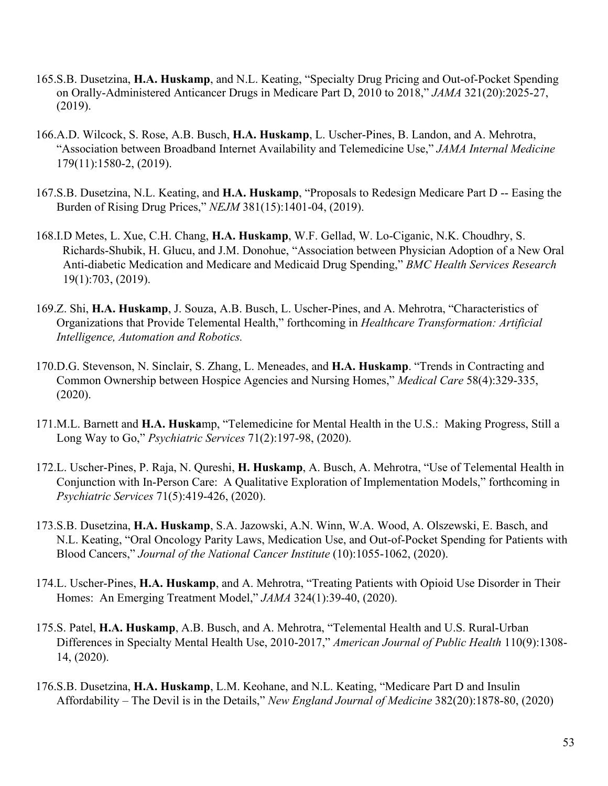- 165.S.B. Dusetzina, **H.A. Huskamp**, and N.L. Keating, "Specialty Drug Pricing and Out-of-Pocket Spending on Orally-Administered Anticancer Drugs in Medicare Part D, 2010 to 2018," *JAMA* 321(20):2025-27, (2019).
- 166.A.D. Wilcock, S. Rose, A.B. Busch, **H.A. Huskamp**, L. Uscher-Pines, B. Landon, and A. Mehrotra, "Association between Broadband Internet Availability and Telemedicine Use," *JAMA Internal Medicine* 179(11):1580-2, (2019).
- 167.S.B. Dusetzina, N.L. Keating, and **H.A. Huskamp**, "Proposals to Redesign Medicare Part D -- Easing the Burden of Rising Drug Prices," *NEJM* 381(15):1401-04, (2019).
- 168.I.D Metes, L. Xue, C.H. Chang, **H.A. Huskamp**, W.F. Gellad, W. Lo-Ciganic, N.K. Choudhry, S. Richards-Shubik, H. Glucu, and J.M. Donohue, "Association between Physician Adoption of a New Oral Anti-diabetic Medication and Medicare and Medicaid Drug Spending," *BMC Health Services Research* 19(1):703, (2019).
- 169.Z. Shi, **H.A. Huskamp**, J. Souza, A.B. Busch, L. Uscher-Pines, and A. Mehrotra, "Characteristics of Organizations that Provide Telemental Health," forthcoming in *Healthcare Transformation: Artificial Intelligence, Automation and Robotics.*
- 170.D.G. Stevenson, N. Sinclair, S. Zhang, L. Meneades, and **H.A. Huskamp**. "Trends in Contracting and Common Ownership between Hospice Agencies and Nursing Homes," *Medical Care* 58(4):329-335, (2020).
- 171.M.L. Barnett and **H.A. Huska**mp, "Telemedicine for Mental Health in the U.S.: Making Progress, Still a Long Way to Go," *Psychiatric Services* 71(2):197-98, (2020).
- 172.L. Uscher-Pines, P. Raja, N. Qureshi, **H. Huskamp**, A. Busch, A. Mehrotra, "Use of Telemental Health in Conjunction with In-Person Care: A Qualitative Exploration of Implementation Models," forthcoming in *Psychiatric Services* 71(5):419-426, (2020).
- 173.S.B. Dusetzina, **H.A. Huskamp**, S.A. Jazowski, A.N. Winn, W.A. Wood, A. Olszewski, E. Basch, and N.L. Keating, "Oral Oncology Parity Laws, Medication Use, and Out-of-Pocket Spending for Patients with Blood Cancers," *Journal of the National Cancer Institute* (10):1055-1062, (2020).
- 174.L. Uscher-Pines, **H.A. Huskamp**, and A. Mehrotra, "Treating Patients with Opioid Use Disorder in Their Homes: An Emerging Treatment Model," *JAMA* 324(1):39-40, (2020).
- 175.S. Patel, **H.A. Huskamp**, A.B. Busch, and A. Mehrotra, "Telemental Health and U.S. Rural-Urban Differences in Specialty Mental Health Use, 2010-2017," *American Journal of Public Health* 110(9):1308- 14, (2020).
- 176.S.B. Dusetzina, **H.A. Huskamp**, L.M. Keohane, and N.L. Keating, "Medicare Part D and Insulin Affordability – The Devil is in the Details," *New England Journal of Medicine* 382(20):1878-80, (2020)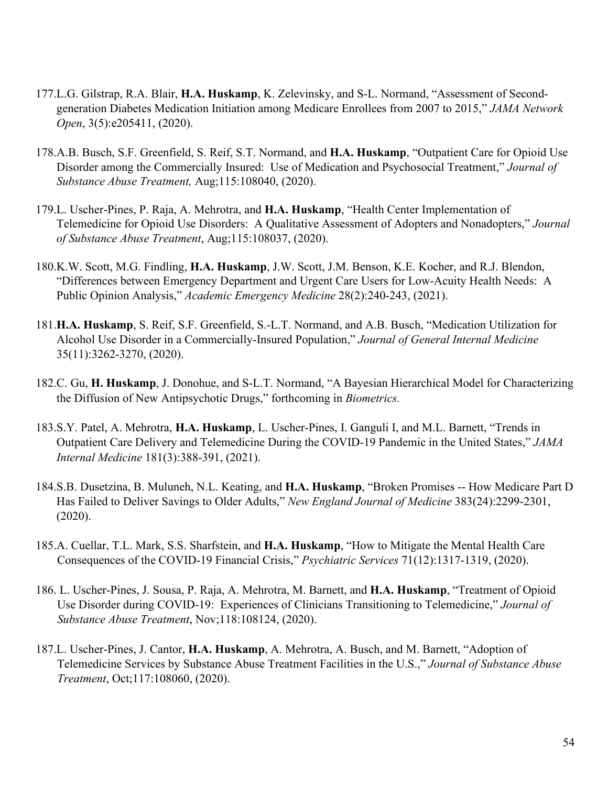- 177.L.G. Gilstrap, R.A. Blair, **H.A. Huskamp**, K. Zelevinsky, and S-L. Normand, "Assessment of Secondgeneration Diabetes Medication Initiation among Medicare Enrollees from 2007 to 2015," *JAMA Network Open*, 3(5):e205411, (2020).
- 178.A.B. Busch, S.F. Greenfield, S. Reif, S.T. Normand, and **H.A. Huskamp**, "Outpatient Care for Opioid Use Disorder among the Commercially Insured: Use of Medication and Psychosocial Treatment," *Journal of Substance Abuse Treatment,* Aug;115:108040, (2020).
- 179.L. Uscher-Pines, P. Raja, A. Mehrotra, and **H.A. Huskamp**, "Health Center Implementation of Telemedicine for Opioid Use Disorders: A Qualitative Assessment of Adopters and Nonadopters," *Journal of Substance Abuse Treatment*, Aug;115:108037, (2020).
- 180.K.W. Scott, M.G. Findling, **H.A. Huskamp**, J.W. Scott, J.M. Benson, K.E. Kocher, and R.J. Blendon, "Differences between Emergency Department and Urgent Care Users for Low-Acuity Health Needs: A Public Opinion Analysis," *Academic Emergency Medicine* 28(2):240-243, (2021).
- 181.**H.A. Huskamp**, S. Reif, S.F. Greenfield, S.-L.T. Normand, and A.B. Busch, "Medication Utilization for Alcohol Use Disorder in a Commercially-Insured Population," *Journal of General Internal Medicine* 35(11):3262-3270, (2020).
- 182.C. Gu, **H. Huskamp**, J. Donohue, and S-L.T. Normand, "A Bayesian Hierarchical Model for Characterizing the Diffusion of New Antipsychotic Drugs," forthcoming in *Biometrics.*
- 183.S.Y. Patel, A. Mehrotra, **H.A. Huskamp**, L. Uscher-Pines, I. Ganguli I, and M.L. Barnett, "Trends in Outpatient Care Delivery and Telemedicine During the COVID-19 Pandemic in the United States," *JAMA Internal Medicine* 181(3):388-391, (2021).
- 184.S.B. Dusetzina, B. Muluneh, N.L. Keating, and **H.A. Huskamp**, "Broken Promises -- How Medicare Part D Has Failed to Deliver Savings to Older Adults," *New England Journal of Medicine* 383(24):2299-2301, (2020).
- 185.A. Cuellar, T.L. Mark, S.S. Sharfstein, and **H.A. Huskamp**, "How to Mitigate the Mental Health Care Consequences of the COVID-19 Financial Crisis," *Psychiatric Services* 71(12):1317-1319, (2020).
- 186. L. Uscher-Pines, J. Sousa, P. Raja, A. Mehrotra, M. Barnett, and **H.A. Huskamp**, "Treatment of Opioid Use Disorder during COVID-19: Experiences of Clinicians Transitioning to Telemedicine," *Journal of Substance Abuse Treatment*, Nov;118:108124, (2020).
- 187.L. Uscher-Pines, J. Cantor, **H.A. Huskamp**, A. Mehrotra, A. Busch, and M. Barnett, "Adoption of Telemedicine Services by Substance Abuse Treatment Facilities in the U.S.," *Journal of Substance Abuse Treatment*, Oct;117:108060, (2020).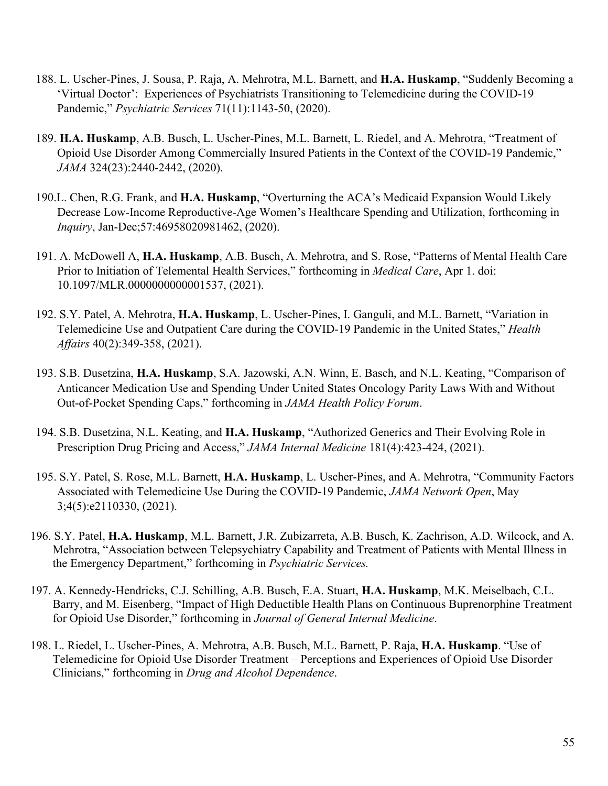- 188. L. Uscher-Pines, J. Sousa, P. Raja, A. Mehrotra, M.L. Barnett, and **H.A. Huskamp**, "Suddenly Becoming a 'Virtual Doctor': Experiences of Psychiatrists Transitioning to Telemedicine during the COVID-19 Pandemic," *Psychiatric Services* 71(11):1143-50, (2020).
- 189. **H.A. Huskamp**, A.B. Busch, L. Uscher-Pines, M.L. Barnett, L. Riedel, and A. Mehrotra, "Treatment of Opioid Use Disorder Among Commercially Insured Patients in the Context of the COVID-19 Pandemic," *JAMA* 324(23):2440-2442, (2020).
- 190.L. Chen, R.G. Frank, and **H.A. Huskamp**, "Overturning the ACA's Medicaid Expansion Would Likely Decrease Low-Income Reproductive-Age Women's Healthcare Spending and Utilization, forthcoming in *Inquiry*, Jan-Dec;57:46958020981462, (2020).
- 191. A. McDowell A, **H.A. Huskamp**, A.B. Busch, A. Mehrotra, and S. Rose, "Patterns of Mental Health Care Prior to Initiation of Telemental Health Services," forthcoming in *Medical Care*, Apr 1. doi: 10.1097/MLR.0000000000001537, (2021).
- 192. S.Y. Patel, A. Mehrotra, **H.A. Huskamp**, L. Uscher-Pines, I. Ganguli, and M.L. Barnett, "Variation in Telemedicine Use and Outpatient Care during the COVID-19 Pandemic in the United States," *Health Affairs* 40(2):349-358, (2021).
- 193. S.B. Dusetzina, **H.A. Huskamp**, S.A. Jazowski, A.N. Winn, E. Basch, and N.L. Keating, "Comparison of Anticancer Medication Use and Spending Under United States Oncology Parity Laws With and Without Out-of-Pocket Spending Caps," forthcoming in *JAMA Health Policy Forum*.
- 194. S.B. Dusetzina, N.L. Keating, and **H.A. Huskamp**, "Authorized Generics and Their Evolving Role in Prescription Drug Pricing and Access," *JAMA Internal Medicine* 181(4):423-424, (2021).
- 195. S.Y. Patel, S. Rose, M.L. Barnett, **H.A. Huskamp**, L. Uscher-Pines, and A. Mehrotra, "Community Factors Associated with Telemedicine Use During the COVID-19 Pandemic, *JAMA Network Open*, May 3;4(5):e2110330, (2021).
- 196. S.Y. Patel, **H.A. Huskamp**, M.L. Barnett, J.R. Zubizarreta, A.B. Busch, K. Zachrison, A.D. Wilcock, and A. Mehrotra, "Association between Telepsychiatry Capability and Treatment of Patients with Mental Illness in the Emergency Department," forthcoming in *Psychiatric Services.*
- 197. A. Kennedy-Hendricks, C.J. Schilling, A.B. Busch, E.A. Stuart, **H.A. Huskamp**, M.K. Meiselbach, C.L. Barry, and M. Eisenberg, "Impact of High Deductible Health Plans on Continuous Buprenorphine Treatment for Opioid Use Disorder," forthcoming in *Journal of General Internal Medicine*.
- 198. L. Riedel, L. Uscher-Pines, A. Mehrotra, A.B. Busch, M.L. Barnett, P. Raja, **H.A. Huskamp**. "Use of Telemedicine for Opioid Use Disorder Treatment – Perceptions and Experiences of Opioid Use Disorder Clinicians," forthcoming in *Drug and Alcohol Dependence*.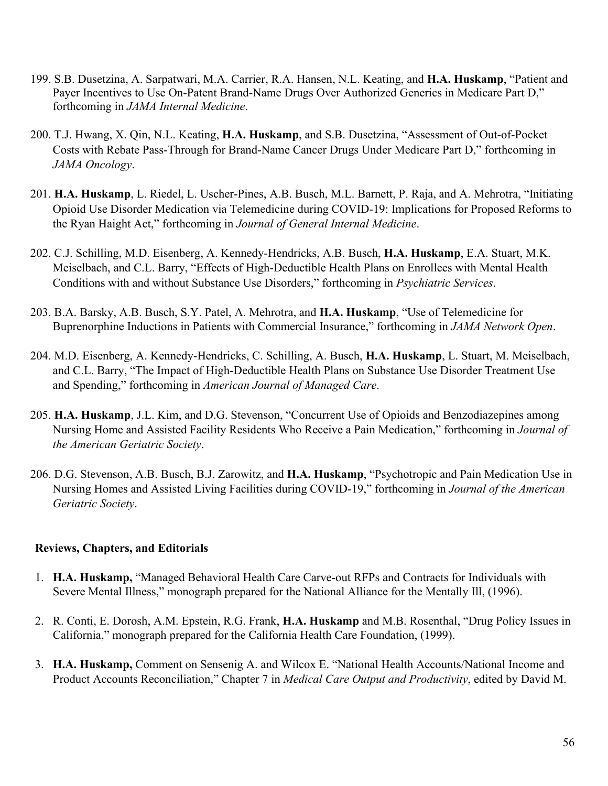- 199. S.B. Dusetzina, A. Sarpatwari, M.A. Carrier, R.A. Hansen, N.L. Keating, and **H.A. Huskamp**, "Patient and Payer Incentives to Use On-Patent Brand-Name Drugs Over Authorized Generics in Medicare Part D," forthcoming in *JAMA Internal Medicine*.
- 200. T.J. Hwang, X. Qin, N.L. Keating, **H.A. Huskamp**, and S.B. Dusetzina, "Assessment of Out-of-Pocket Costs with Rebate Pass-Through for Brand-Name Cancer Drugs Under Medicare Part D," forthcoming in *JAMA Oncology*.
- 201. **H.A. Huskamp**, L. Riedel, L. Uscher-Pines, A.B. Busch, M.L. Barnett, P. Raja, and A. Mehrotra, "Initiating Opioid Use Disorder Medication via Telemedicine during COVID-19: Implications for Proposed Reforms to the Ryan Haight Act," forthcoming in *Journal of General Internal Medicine*.
- 202. C.J. Schilling, M.D. Eisenberg, A. Kennedy-Hendricks, A.B. Busch, **H.A. Huskamp**, E.A. Stuart, M.K. Meiselbach, and C.L. Barry, "Effects of High-Deductible Health Plans on Enrollees with Mental Health Conditions with and without Substance Use Disorders," forthcoming in *Psychiatric Services*.
- 203. B.A. Barsky, A.B. Busch, S.Y. Patel, A. Mehrotra, and **H.A. Huskamp**, "Use of Telemedicine for Buprenorphine Inductions in Patients with Commercial Insurance," forthcoming in *JAMA Network Open*.
- 204. M.D. Eisenberg, A. Kennedy-Hendricks, C. Schilling, A. Busch, **H.A. Huskamp**, L. Stuart, M. Meiselbach, and C.L. Barry, "The Impact of High-Deductible Health Plans on Substance Use Disorder Treatment Use and Spending," forthcoming in *American Journal of Managed Care*.
- 205. **H.A. Huskamp**, J.L. Kim, and D.G. Stevenson, "Concurrent Use of Opioids and Benzodiazepines among Nursing Home and Assisted Facility Residents Who Receive a Pain Medication," forthcoming in *Journal of the American Geriatric Society*.
- 206. D.G. Stevenson, A.B. Busch, B.J. Zarowitz, and **H.A. Huskamp**, "Psychotropic and Pain Medication Use in Nursing Homes and Assisted Living Facilities during COVID-19," forthcoming in *Journal of the American Geriatric Society*.

#### **Reviews, Chapters, and Editorials**

- 1. **H.A. Huskamp,** "Managed Behavioral Health Care Carve-out RFPs and Contracts for Individuals with Severe Mental Illness," monograph prepared for the National Alliance for the Mentally Ill, (1996).
- 2. R. Conti, E. Dorosh, A.M. Epstein, R.G. Frank, **H.A. Huskamp** and M.B. Rosenthal, "Drug Policy Issues in California," monograph prepared for the California Health Care Foundation, (1999).
- 3. **H.A. Huskamp,** Comment on Sensenig A. and Wilcox E. "National Health Accounts/National Income and Product Accounts Reconciliation," Chapter 7 in *Medical Care Output and Productivity*, edited by David M.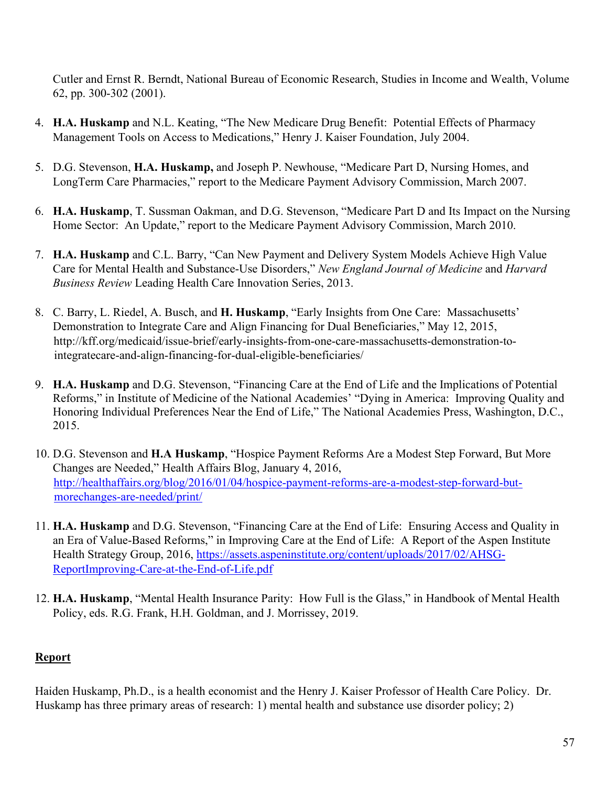Cutler and Ernst R. Berndt, National Bureau of Economic Research, Studies in Income and Wealth, Volume 62, pp. 300-302 (2001).

- 4. **H.A. Huskamp** and N.L. Keating, "The New Medicare Drug Benefit: Potential Effects of Pharmacy Management Tools on Access to Medications," Henry J. Kaiser Foundation, July 2004.
- 5. D.G. Stevenson, **H.A. Huskamp,** and Joseph P. Newhouse, "Medicare Part D, Nursing Homes, and LongTerm Care Pharmacies," report to the Medicare Payment Advisory Commission, March 2007.
- 6. **H.A. Huskamp**, T. Sussman Oakman, and D.G. Stevenson, "Medicare Part D and Its Impact on the Nursing Home Sector: An Update," report to the Medicare Payment Advisory Commission, March 2010.
- 7. **H.A. Huskamp** and C.L. Barry, "Can New Payment and Delivery System Models Achieve High Value Care for Mental Health and Substance-Use Disorders," *New England Journal of Medicine* and *Harvard Business Review* Leading Health Care Innovation Series, 2013.
- 8. C. Barry, L. Riedel, A. Busch, and **H. Huskamp**, "Early Insights from One Care: Massachusetts' Demonstration to Integrate Care and Align Financing for Dual Beneficiaries," May 12, 2015, http://kff.org/medicaid/issue-brief/early-insights-from-one-care-massachusetts-demonstration-tointegratecare-and-align-financing-for-dual-eligible-beneficiaries/
- 9. **H.A. Huskamp** and D.G. Stevenson, "Financing Care at the End of Life and the Implications of Potential Reforms," in Institute of Medicine of the National Academies' "Dying in America: Improving Quality and Honoring Individual Preferences Near the End of Life," The National Academies Press, Washington, D.C., 2015.
- 10. D.G. Stevenson and **H.A Huskamp**, "Hospice Payment Reforms Are a Modest Step Forward, But More Changes are Needed," Health Affairs Blog, January 4, 2016, [http://healthaffairs.org/blog/2016/01/04/hospice-payment-reforms-are-a-modest-step-forward-but](http://healthaffairs.org/blog/2016/01/04/hospice-payment-reforms-are-a-modest-step-forward-but-more-changes-are-needed/print/)[morechanges-are-needed/print/](http://healthaffairs.org/blog/2016/01/04/hospice-payment-reforms-are-a-modest-step-forward-but-more-changes-are-needed/print/)
- 11. **H.A. Huskamp** and D.G. Stevenson, "Financing Care at the End of Life: Ensuring Access and Quality in an Era of Value-Based Reforms," in Improving Care at the End of Life: A Report of the Aspen Institute Health Strategy Group, 2016, [https://assets.aspeninstitute.org/content/uploads/2017/02/AHSG-](https://assets.aspeninstitute.org/content/uploads/2017/02/AHSG-Report-Improving-Care-at-the-End-of-Life.pdf)[ReportImproving-Care-at-the-End-of-Life.pdf](https://assets.aspeninstitute.org/content/uploads/2017/02/AHSG-Report-Improving-Care-at-the-End-of-Life.pdf)
- 12. **H.A. Huskamp**, "Mental Health Insurance Parity: How Full is the Glass," in Handbook of Mental Health Policy, eds. R.G. Frank, H.H. Goldman, and J. Morrissey, 2019.

## **Report**

Haiden Huskamp, Ph.D., is a health economist and the Henry J. Kaiser Professor of Health Care Policy. Dr. Huskamp has three primary areas of research: 1) mental health and substance use disorder policy; 2)